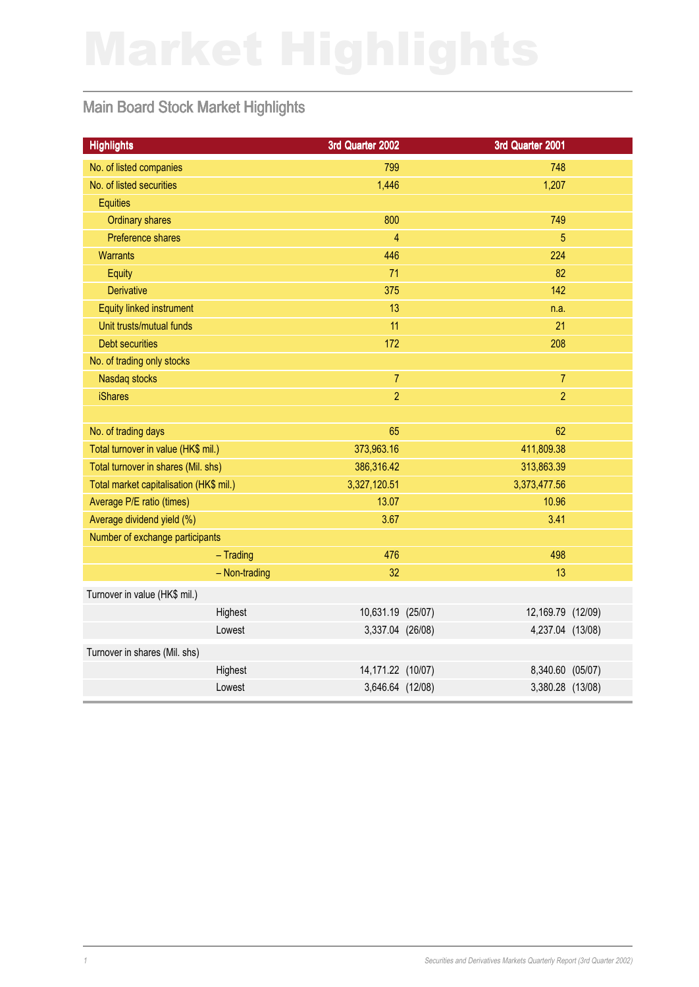# Main Board Stock Market Highlights

| <b>Highlights</b>                       | 3rd Quarter 2002   | 3rd Quarter 2001  |  |
|-----------------------------------------|--------------------|-------------------|--|
| No. of listed companies                 | 799                | 748               |  |
| No. of listed securities                | 1,446              | 1,207             |  |
| <b>Equities</b>                         |                    |                   |  |
| <b>Ordinary shares</b>                  | 800                | 749               |  |
| Preference shares                       | $\overline{4}$     | 5                 |  |
| <b>Warrants</b>                         | 446                | 224               |  |
| Equity                                  | 71                 | 82                |  |
| <b>Derivative</b>                       | 375                | 142               |  |
| Equity linked instrument                | 13                 | n.a.              |  |
| Unit trusts/mutual funds                | 11                 | 21                |  |
| <b>Debt securities</b>                  | 172                | 208               |  |
| No. of trading only stocks              |                    |                   |  |
| Nasdaq stocks                           | $\overline{7}$     | $\overline{7}$    |  |
| <b>iShares</b>                          | $\overline{2}$     | $\overline{2}$    |  |
|                                         |                    |                   |  |
| No. of trading days                     | 65                 | 62                |  |
| Total turnover in value (HK\$ mil.)     | 373,963.16         | 411,809.38        |  |
| Total turnover in shares (Mil. shs)     | 386,316.42         | 313,863.39        |  |
| Total market capitalisation (HK\$ mil.) | 3,327,120.51       | 3,373,477.56      |  |
| Average P/E ratio (times)               | 13.07              | 10.96             |  |
| Average dividend yield (%)              | 3.67               | 3.41              |  |
| Number of exchange participants         |                    |                   |  |
| $-$ Trading                             | 476                | 498               |  |
| - Non-trading                           | 32                 | 13                |  |
| Turnover in value (HK\$ mil.)           |                    |                   |  |
| Highest                                 | 10,631.19 (25/07)  | 12,169.79 (12/09) |  |
| Lowest                                  | 3,337.04 (26/08)   | 4,237.04 (13/08)  |  |
| Turnover in shares (Mil. shs)           |                    |                   |  |
| Highest                                 | 14, 171.22 (10/07) | 8,340.60 (05/07)  |  |
| Lowest                                  | 3,646.64 (12/08)   | 3,380.28 (13/08)  |  |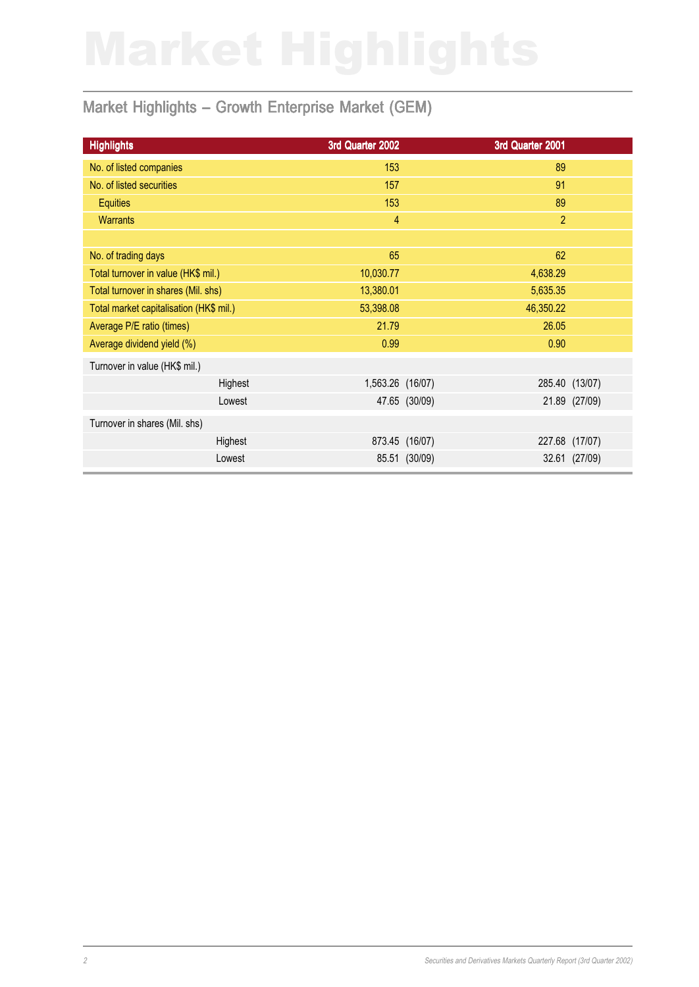# Market Highlights - Growth Enterprise Market (GEM)

| <b>Highlights</b>                       | 3rd Quarter 2002 |                | 3rd Quarter 2001 |                |
|-----------------------------------------|------------------|----------------|------------------|----------------|
| No. of listed companies                 | 153              |                | 89               |                |
| No. of listed securities                | 157              |                | 91               |                |
| <b>Equities</b>                         | 153              |                | 89               |                |
| <b>Warrants</b>                         | $\overline{4}$   |                | $\overline{2}$   |                |
|                                         |                  |                |                  |                |
| No. of trading days                     | 65               |                | 62               |                |
| Total turnover in value (HK\$ mil.)     | 10,030.77        |                | 4,638.29         |                |
| Total turnover in shares (Mil. shs)     | 13,380.01        |                | 5,635.35         |                |
| Total market capitalisation (HK\$ mil.) | 53,398.08        |                | 46,350.22        |                |
| Average P/E ratio (times)               | 21.79            |                | 26.05            |                |
| Average dividend yield (%)              | 0.99             |                | 0.90             |                |
| Turnover in value (HK\$ mil.)           |                  |                |                  |                |
| Highest                                 | 1,563.26 (16/07) |                |                  | 285.40 (13/07) |
| Lowest                                  |                  | 47.65 (30/09)  |                  | 21.89 (27/09)  |
| Turnover in shares (Mil. shs)           |                  |                |                  |                |
| Highest                                 |                  | 873.45 (16/07) | 227.68           | (17/07)        |
| Lowest                                  |                  | 85.51 (30/09)  |                  | 32.61 (27/09)  |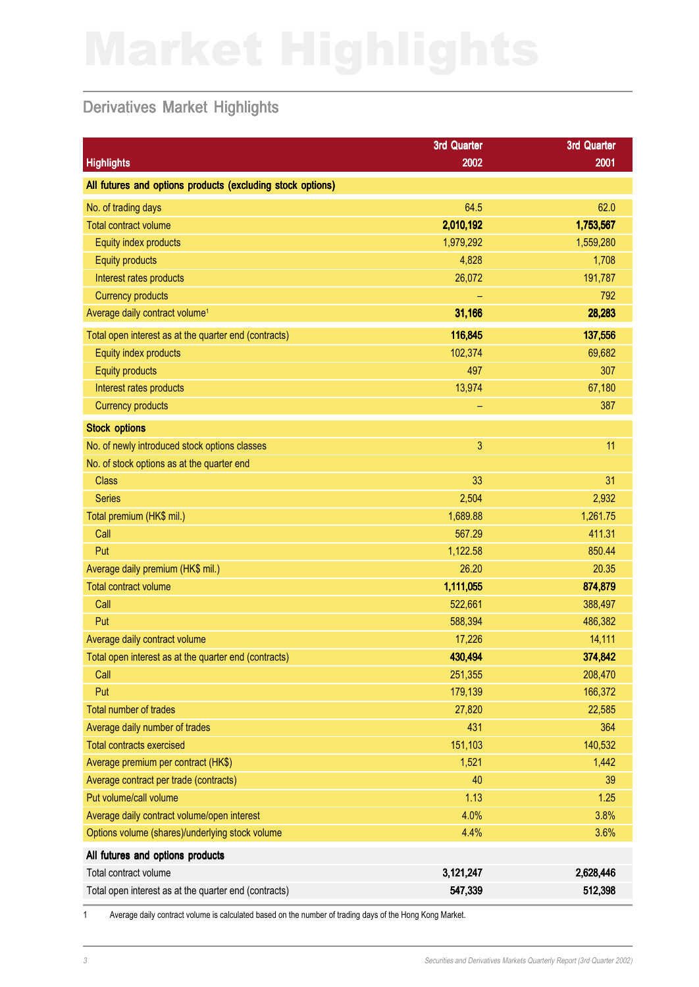## Derivatives Market Highlights

|                                                            | 3rd Quarter  | 3rd Quarter |
|------------------------------------------------------------|--------------|-------------|
| <b>Highlights</b>                                          | 2002         | 2001        |
| All futures and options products (excluding stock options) |              |             |
| No. of trading days                                        | 64.5         | 62.0        |
| <b>Total contract volume</b>                               | 2,010,192    | 1,753,567   |
| Equity index products                                      | 1,979,292    | 1,559,280   |
| <b>Equity products</b>                                     | 4,828        | 1,708       |
| Interest rates products                                    | 26,072       | 191,787     |
| <b>Currency products</b>                                   |              | 792         |
| Average daily contract volume <sup>1</sup>                 | 31,166       | 28,283      |
| Total open interest as at the quarter end (contracts)      | 116,845      | 137,556     |
| Equity index products                                      | 102,374      | 69,682      |
| <b>Equity products</b>                                     | 497          | 307         |
| Interest rates products                                    | 13,974       | 67,180      |
| <b>Currency products</b>                                   |              | 387         |
| <b>Stock options</b>                                       |              |             |
| No. of newly introduced stock options classes              | $\mathbf{3}$ | 11          |
| No. of stock options as at the quarter end                 |              |             |
| <b>Class</b>                                               | 33           | 31          |
| <b>Series</b>                                              | 2,504        | 2,932       |
| Total premium (HK\$ mil.)                                  | 1,689.88     | 1,261.75    |
| Call                                                       | 567.29       | 411.31      |
| Put                                                        | 1,122.58     | 850.44      |
| Average daily premium (HK\$ mil.)                          | 26.20        | 20.35       |
| <b>Total contract volume</b>                               | 1,111,055    | 874,879     |
| Call                                                       | 522,661      | 388,497     |
| Put                                                        | 588,394      | 486,382     |
| Average daily contract volume                              | 17,226       | 14,111      |
| Total open interest as at the quarter end (contracts)      | 430,494      | 374,842     |
| Call                                                       | 251,355      | 208,470     |
| Put                                                        | 179,139      | 166,372     |
| Total number of trades                                     | 27,820       | 22,585      |
| Average daily number of trades                             | 431          | 364         |
| <b>Total contracts exercised</b>                           | 151,103      | 140,532     |
| Average premium per contract (HK\$)                        | 1,521        | 1,442       |
| Average contract per trade (contracts)                     | 40           | 39          |
| Put volume/call volume                                     | 1.13         | 1.25        |
| Average daily contract volume/open interest                | 4.0%         | 3.8%        |
| Options volume (shares)/underlying stock volume            | 4.4%         | 3.6%        |
| All futures and options products                           |              |             |
| Total contract volume                                      | 3,121,247    | 2,628,446   |
| Total open interest as at the quarter end (contracts)      | 547,339      | 512,398     |

1 Average daily contract volume is calculated based on the number of trading days of the Hong Kong Market.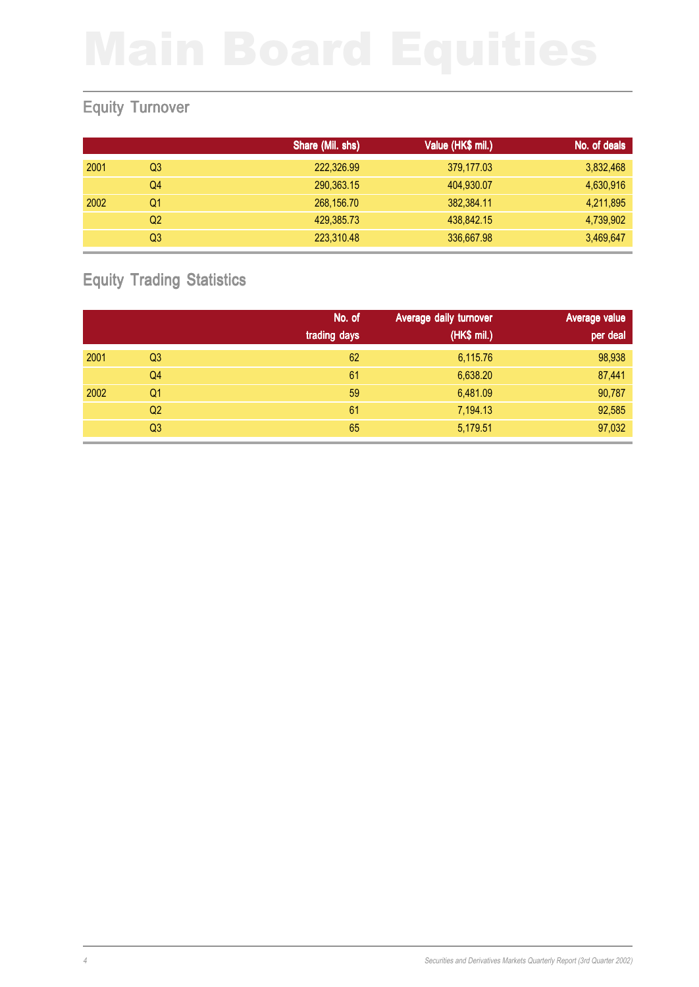# Equity Turnover

|      |    | Share (Mil. shs) | Value (HK\$ mil.) | No. of deals |
|------|----|------------------|-------------------|--------------|
| 2001 | Q3 | 222,326.99       | 379,177.03        | 3,832,468    |
|      | Q4 | 290,363.15       | 404,930.07        | 4,630,916    |
| 2002 | Q1 | 268,156.70       | 382,384.11        | 4,211,895    |
|      | Q2 | 429,385.73       | 438,842.15        | 4,739,902    |
|      | Q3 | 223,310.48       | 336,667.98        | 3,469,647    |

# Equity Trading Statistics

|      |                | No. of       | Average daily turnover | Average value |
|------|----------------|--------------|------------------------|---------------|
|      |                | trading days | (HK\$ mil.)            | per deal      |
| 2001 | Q <sub>3</sub> | 62           | 6,115.76               | 98,938        |
|      | Q4             | 61           | 6,638.20               | 87,441        |
| 2002 | Q1             | 59           | 6,481.09               | 90,787        |
|      | Q2             | 61           | 7,194.13               | 92,585        |
|      | Q3             | 65           | 5,179.51               | 97,032        |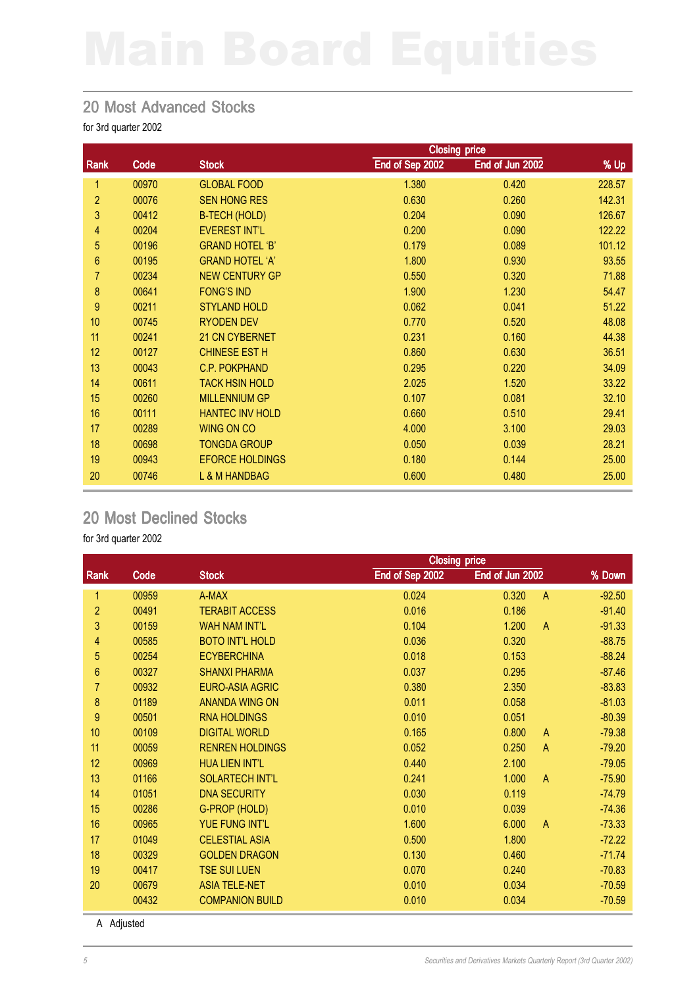### 20 Most Advanced Stocks

for 3rd quarter 2002

|                |       |                          | <b>Closing price</b> |                 |        |  |
|----------------|-------|--------------------------|----------------------|-----------------|--------|--|
| Rank           | Code  | <b>Stock</b>             | End of Sep 2002      | End of Jun 2002 | % Up   |  |
| 1              | 00970 | <b>GLOBAL FOOD</b>       | 1.380                | 0.420           | 228.57 |  |
| $\overline{c}$ | 00076 | <b>SEN HONG RES</b>      | 0.630                | 0.260           | 142.31 |  |
| 3              | 00412 | <b>B-TECH (HOLD)</b>     | 0.204                | 0.090           | 126.67 |  |
| 4              | 00204 | <b>EVEREST INT'L</b>     | 0.200                | 0.090           | 122.22 |  |
| 5              | 00196 | <b>GRAND HOTEL 'B'</b>   | 0.179                | 0.089           | 101.12 |  |
| 6              | 00195 | <b>GRAND HOTEL 'A'</b>   | 1.800                | 0.930           | 93.55  |  |
| $\overline{7}$ | 00234 | <b>NEW CENTURY GP</b>    | 0.550                | 0.320           | 71.88  |  |
| 8              | 00641 | <b>FONG'S IND</b>        | 1.900                | 1.230           | 54.47  |  |
| $\overline{9}$ | 00211 | <b>STYLAND HOLD</b>      | 0.062                | 0.041           | 51.22  |  |
| 10             | 00745 | <b>RYODEN DEV</b>        | 0.770                | 0.520           | 48.08  |  |
| 11             | 00241 | 21 CN CYBERNET           | 0.231                | 0.160           | 44.38  |  |
| 12             | 00127 | <b>CHINESE EST H</b>     | 0.860                | 0.630           | 36.51  |  |
| 13             | 00043 | <b>C.P. POKPHAND</b>     | 0.295                | 0.220           | 34.09  |  |
| 14             | 00611 | <b>TACK HSIN HOLD</b>    | 2.025                | 1.520           | 33.22  |  |
| 15             | 00260 | <b>MILLENNIUM GP</b>     | 0.107                | 0.081           | 32.10  |  |
| 16             | 00111 | <b>HANTEC INV HOLD</b>   | 0.660                | 0.510           | 29.41  |  |
| 17             | 00289 | <b>WING ON CO</b>        | 4.000                | 3.100           | 29.03  |  |
| 18             | 00698 | <b>TONGDA GROUP</b>      | 0.050                | 0.039           | 28.21  |  |
| 19             | 00943 | <b>EFORCE HOLDINGS</b>   | 0.180                | 0.144           | 25.00  |  |
| 20             | 00746 | <b>L &amp; M HANDBAG</b> | 0.600                | 0.480           | 25.00  |  |

### 20 Most Declined Stocks

for 3rd quarter 2002

|                  |       | <b>Closing price</b>   |                 |                         |          |
|------------------|-------|------------------------|-----------------|-------------------------|----------|
| Rank             | Code  | <b>Stock</b>           | End of Sep 2002 | End of Jun 2002         | % Down   |
| 1                | 00959 | A-MAX                  | 0.024           | 0.320<br>$\mathsf{A}$   | $-92.50$ |
| $\overline{2}$   | 00491 | <b>TERABIT ACCESS</b>  | 0.016           | 0.186                   | $-91.40$ |
| 3                | 00159 | <b>WAH NAM INT'L</b>   | 0.104           | 1.200<br>$\mathsf{A}$   | $-91.33$ |
| 4                | 00585 | <b>BOTO INT'L HOLD</b> | 0.036           | 0.320                   | $-88.75$ |
| 5                | 00254 | <b>ECYBERCHINA</b>     | 0.018           | 0.153                   | $-88.24$ |
| $\boldsymbol{6}$ | 00327 | <b>SHANXI PHARMA</b>   | 0.037           | 0.295                   | $-87.46$ |
| 7                | 00932 | <b>EURO-ASIA AGRIC</b> | 0.380           | 2.350                   | $-83.83$ |
| $\bf 8$          | 01189 | <b>ANANDA WING ON</b>  | 0.011           | 0.058                   | $-81.03$ |
| 9                | 00501 | <b>RNA HOLDINGS</b>    | 0.010           | 0.051                   | $-80.39$ |
| 10               | 00109 | <b>DIGITAL WORLD</b>   | 0.165           | 0.800<br>$\overline{A}$ | $-79.38$ |
| 11               | 00059 | <b>RENREN HOLDINGS</b> | 0.052           | 0.250<br>$\mathsf{A}$   | $-79.20$ |
| 12               | 00969 | <b>HUA LIEN INT'L</b>  | 0.440           | 2.100                   | $-79.05$ |
| 13               | 01166 | <b>SOLARTECH INT'L</b> | 0.241           | 1.000<br>$\mathsf{A}$   | $-75.90$ |
| 14               | 01051 | <b>DNA SECURITY</b>    | 0.030           | 0.119                   | $-74.79$ |
| 15               | 00286 | G-PROP (HOLD)          | 0.010           | 0.039                   | $-74.36$ |
| 16               | 00965 | <b>YUE FUNG INT'L</b>  | 1.600           | 6.000<br>$\mathsf{A}$   | $-73.33$ |
| 17               | 01049 | <b>CELESTIAL ASIA</b>  | 0.500           | 1.800                   | $-72.22$ |
| 18               | 00329 | <b>GOLDEN DRAGON</b>   | 0.130           | 0.460                   | $-71.74$ |
| 19               | 00417 | <b>TSE SUI LUEN</b>    | 0.070           | 0.240                   | $-70.83$ |
| 20               | 00679 | <b>ASIA TELE-NET</b>   | 0.010           | 0.034                   | $-70.59$ |
|                  | 00432 | <b>COMPANION BUILD</b> | 0.010           | 0.034                   | $-70.59$ |

A Adjusted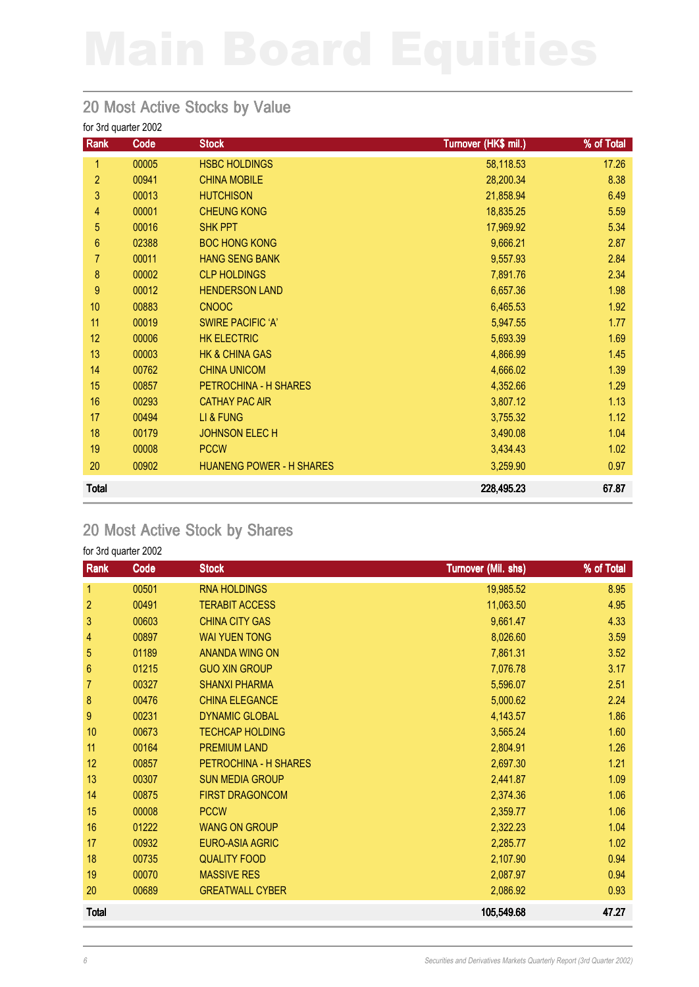### 20 Most Active Stocks by Value

for 3rd quarter 2002

| Rank             | Code  | <b>Stock</b>                    | Turnover (HK\$ mil.) | % of Total |
|------------------|-------|---------------------------------|----------------------|------------|
| 1                | 00005 | <b>HSBC HOLDINGS</b>            | 58,118.53            | 17.26      |
| $\overline{c}$   | 00941 | <b>CHINA MOBILE</b>             | 28,200.34            | 8.38       |
| 3                | 00013 | <b>HUTCHISON</b>                | 21,858.94            | 6.49       |
| 4                | 00001 | <b>CHEUNG KONG</b>              | 18,835.25            | 5.59       |
| 5                | 00016 | <b>SHK PPT</b>                  | 17,969.92            | 5.34       |
| $\boldsymbol{6}$ | 02388 | <b>BOC HONG KONG</b>            | 9,666.21             | 2.87       |
| 7                | 00011 | <b>HANG SENG BANK</b>           | 9,557.93             | 2.84       |
| 8                | 00002 | <b>CLP HOLDINGS</b>             | 7,891.76             | 2.34       |
| $\boldsymbol{9}$ | 00012 | <b>HENDERSON LAND</b>           | 6,657.36             | 1.98       |
| 10               | 00883 | <b>CNOOC</b>                    | 6,465.53             | 1.92       |
| 11               | 00019 | <b>SWIRE PACIFIC 'A'</b>        | 5,947.55             | 1.77       |
| 12               | 00006 | <b>HK ELECTRIC</b>              | 5,693.39             | 1.69       |
| 13               | 00003 | <b>HK &amp; CHINA GAS</b>       | 4,866.99             | 1.45       |
| 14               | 00762 | <b>CHINA UNICOM</b>             | 4,666.02             | 1.39       |
| 15               | 00857 | PETROCHINA - H SHARES           | 4,352.66             | 1.29       |
| 16               | 00293 | <b>CATHAY PAC AIR</b>           | 3,807.12             | 1.13       |
| 17               | 00494 | LI & FUNG                       | 3,755.32             | 1.12       |
| 18               | 00179 | <b>JOHNSON ELECH</b>            | 3,490.08             | 1.04       |
| 19               | 00008 | <b>PCCW</b>                     | 3,434.43             | 1.02       |
| 20               | 00902 | <b>HUANENG POWER - H SHARES</b> | 3,259.90             | 0.97       |
| <b>Total</b>     |       |                                 | 228,495.23           | 67.87      |

### 20 Most Active Stock by Shares

| Rank           | Code  | <b>Stock</b>           | Turnover (Mil. shs) | % of Total |
|----------------|-------|------------------------|---------------------|------------|
| $\mathbf{1}$   | 00501 | <b>RNA HOLDINGS</b>    | 19,985.52           | 8.95       |
| $\overline{c}$ | 00491 | <b>TERABIT ACCESS</b>  | 11,063.50           | 4.95       |
| 3              | 00603 | <b>CHINA CITY GAS</b>  | 9,661.47            | 4.33       |
| 4              | 00897 | <b>WAI YUEN TONG</b>   | 8,026.60            | 3.59       |
| 5              | 01189 | <b>ANANDA WING ON</b>  | 7,861.31            | 3.52       |
| 6              | 01215 | <b>GUO XIN GROUP</b>   | 7,076.78            | 3.17       |
| 7              | 00327 | <b>SHANXI PHARMA</b>   | 5,596.07            | 2.51       |
| 8              | 00476 | <b>CHINA ELEGANCE</b>  | 5,000.62            | 2.24       |
| 9              | 00231 | <b>DYNAMIC GLOBAL</b>  | 4,143.57            | 1.86       |
| 10             | 00673 | <b>TECHCAP HOLDING</b> | 3,565.24            | 1.60       |
| 11             | 00164 | <b>PREMIUM LAND</b>    | 2,804.91            | 1.26       |
| 12             | 00857 | PETROCHINA - H SHARES  | 2,697.30            | 1.21       |
| 13             | 00307 | <b>SUN MEDIA GROUP</b> | 2,441.87            | 1.09       |
| 14             | 00875 | <b>FIRST DRAGONCOM</b> | 2,374.36            | 1.06       |
| 15             | 00008 | <b>PCCW</b>            | 2,359.77            | 1.06       |
| 16             | 01222 | <b>WANG ON GROUP</b>   | 2,322.23            | 1.04       |
| 17             | 00932 | <b>EURO-ASIA AGRIC</b> | 2,285.77            | 1.02       |
| 18             | 00735 | <b>QUALITY FOOD</b>    | 2,107.90            | 0.94       |
| 19             | 00070 | <b>MASSIVE RES</b>     | 2,087.97            | 0.94       |
| 20             | 00689 | <b>GREATWALL CYBER</b> | 2,086.92            | 0.93       |
| <b>Total</b>   |       |                        | 105,549.68          | 47.27      |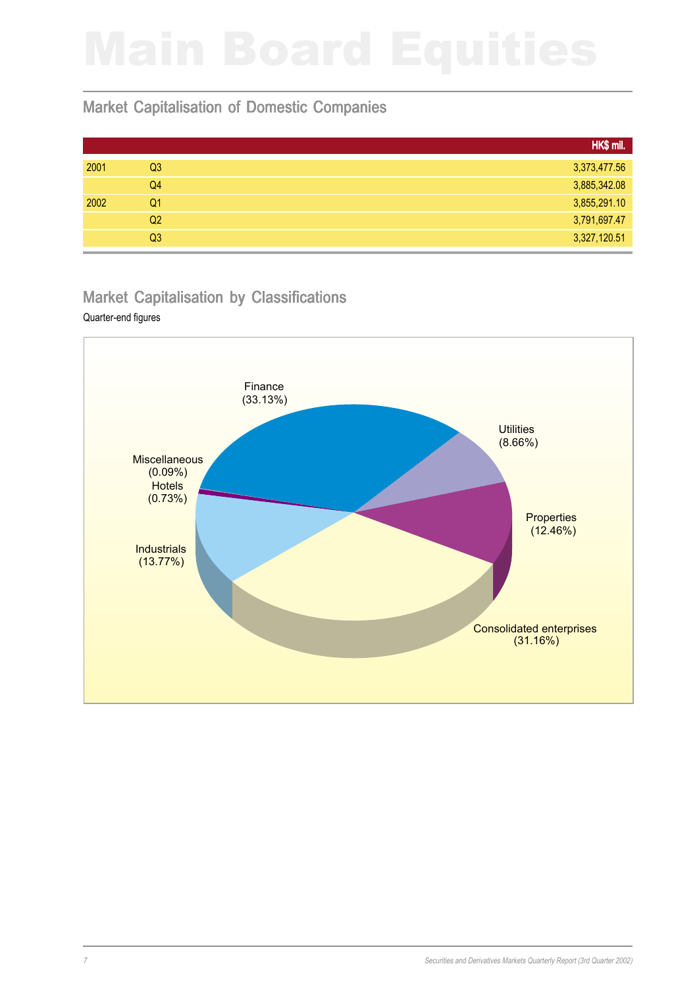### Market Capitalisation of Domestic Companies

|      |                | HK\$ mil.    |
|------|----------------|--------------|
| 2001 | Q <sub>3</sub> | 3,373,477.56 |
|      | Q4             | 3,885,342.08 |
| 2002 | Q1             | 3,855,291.10 |
|      | Q2             | 3,791,697.47 |
|      | Q <sub>3</sub> | 3,327,120.51 |

### Market Capitalisation by Classifications

### Quarter-end figures

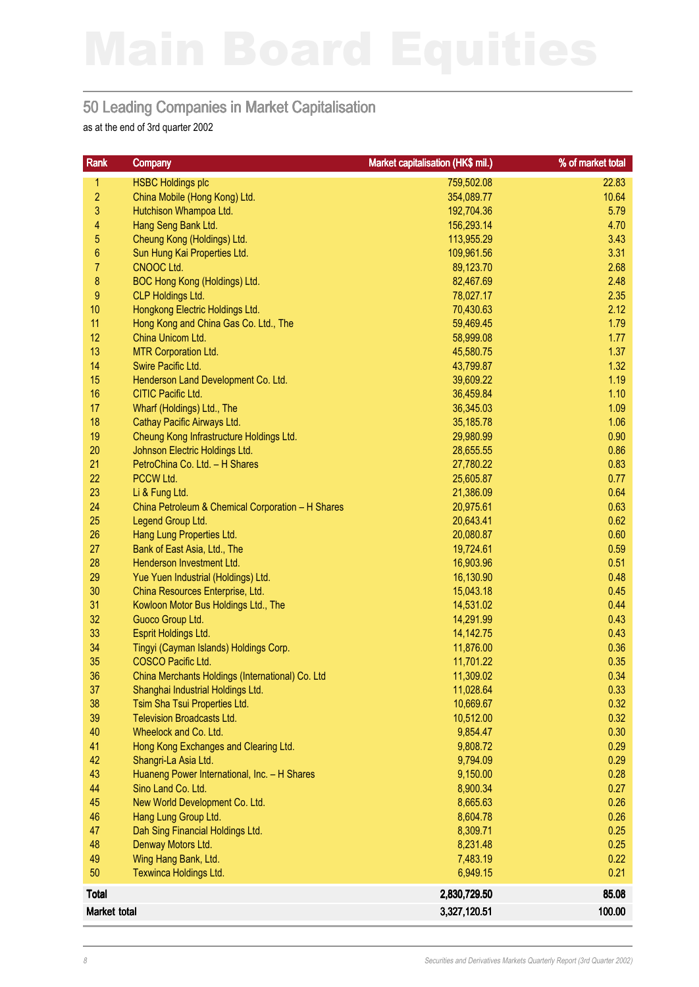### 50 Leading Companies in Market Capitalisation

as at the end of 3rd quarter 2002

| Rank                    | <b>Company</b>                                           | Market capitalisation (HK\$ mil.) | % of market total |
|-------------------------|----------------------------------------------------------|-----------------------------------|-------------------|
| 1                       | <b>HSBC Holdings plc</b>                                 | 759,502.08                        | 22.83             |
| $\overline{2}$          | China Mobile (Hong Kong) Ltd.                            | 354,089.77                        | 10.64             |
| 3                       | Hutchison Whampoa Ltd.                                   | 192,704.36                        | 5.79              |
| $\overline{\mathbf{4}}$ | Hang Seng Bank Ltd.                                      | 156,293.14                        | 4.70              |
| 5                       | Cheung Kong (Holdings) Ltd.                              | 113,955.29                        | 3.43              |
| $\boldsymbol{6}$        | Sun Hung Kai Properties Ltd.                             | 109,961.56                        | 3.31              |
| $\overline{7}$          | CNOOC Ltd.                                               | 89,123.70                         | 2.68              |
| $\bf 8$                 | BOC Hong Kong (Holdings) Ltd.                            | 82,467.69                         | 2.48              |
| $\boldsymbol{9}$        | <b>CLP Holdings Ltd.</b>                                 | 78,027.17                         | 2.35              |
| 10                      | Hongkong Electric Holdings Ltd.                          | 70,430.63                         | 2.12              |
| 11                      | Hong Kong and China Gas Co. Ltd., The                    | 59,469.45                         | 1.79              |
| 12                      | China Unicom Ltd.                                        | 58,999.08                         | 1.77              |
| 13                      | <b>MTR Corporation Ltd.</b>                              | 45,580.75                         | 1.37              |
| 14                      | Swire Pacific Ltd.                                       | 43,799.87                         | 1.32              |
| 15                      | Henderson Land Development Co. Ltd.                      | 39,609.22                         | 1.19              |
| 16                      | CITIC Pacific Ltd.                                       | 36,459.84                         | 1.10              |
| 17                      | Wharf (Holdings) Ltd., The                               | 36,345.03                         | 1.09              |
| 18                      | Cathay Pacific Airways Ltd.                              | 35,185.78                         | 1.06              |
| 19                      | Cheung Kong Infrastructure Holdings Ltd.                 | 29,980.99                         | 0.90              |
| 20                      | Johnson Electric Holdings Ltd.                           | 28,655.55                         | 0.86              |
| 21                      | PetroChina Co. Ltd. - H Shares                           | 27,780.22                         | 0.83              |
| 22                      | PCCW Ltd.                                                | 25,605.87                         | 0.77              |
| 23                      | Li & Fung Ltd.                                           | 21,386.09                         | 0.64              |
| 24                      | China Petroleum & Chemical Corporation - H Shares        | 20,975.61                         | 0.63              |
| 25                      | Legend Group Ltd.                                        | 20,643.41                         | 0.62              |
| 26                      | Hang Lung Properties Ltd.                                | 20,080.87                         | 0.60              |
| 27                      | Bank of East Asia, Ltd., The                             | 19,724.61                         | 0.59              |
| 28                      | Henderson Investment Ltd.                                | 16,903.96                         | 0.51              |
| 29<br>30                | Yue Yuen Industrial (Holdings) Ltd.                      | 16,130.90                         | 0.48              |
| 31                      | China Resources Enterprise, Ltd.                         | 15,043.18<br>14,531.02            | 0.45<br>0.44      |
| 32                      | Kowloon Motor Bus Holdings Ltd., The<br>Guoco Group Ltd. | 14,291.99                         | 0.43              |
| 33                      | Esprit Holdings Ltd.                                     | 14,142.75                         | 0.43              |
| 34                      | Tingyi (Cayman Islands) Holdings Corp.                   | 11,876.00                         | 0.36              |
| 35                      | COSCO Pacific Ltd.                                       | 11,701.22                         | 0.35              |
| 36                      | China Merchants Holdings (International) Co. Ltd         | 11,309.02                         | 0.34              |
| 37                      | Shanghai Industrial Holdings Ltd.                        | 11,028.64                         | 0.33              |
| 38                      | Tsim Sha Tsui Properties Ltd.                            | 10,669.67                         | 0.32              |
| 39                      | <b>Television Broadcasts Ltd.</b>                        | 10,512.00                         | 0.32              |
| 40                      | Wheelock and Co. Ltd.                                    | 9,854.47                          | 0.30              |
| 41                      | Hong Kong Exchanges and Clearing Ltd.                    | 9,808.72                          | 0.29              |
| 42                      | Shangri-La Asia Ltd.                                     | 9,794.09                          | 0.29              |
| 43                      | Huaneng Power International, Inc. - H Shares             | 9,150.00                          | 0.28              |
| 44                      | Sino Land Co. Ltd.                                       | 8,900.34                          | 0.27              |
| 45                      | New World Development Co. Ltd.                           | 8,665.63                          | 0.26              |
| 46                      | Hang Lung Group Ltd.                                     | 8,604.78                          | 0.26              |
| 47                      | Dah Sing Financial Holdings Ltd.                         | 8,309.71                          | 0.25              |
| 48                      | Denway Motors Ltd.                                       | 8,231.48                          | 0.25              |
| 49                      | Wing Hang Bank, Ltd.                                     | 7,483.19                          | 0.22              |
| 50                      | Texwinca Holdings Ltd.                                   | 6,949.15                          | 0.21              |
| <b>Total</b>            |                                                          | 2,830,729.50                      | 85.08             |
| Market total            |                                                          | 3,327,120.51                      | 100.00            |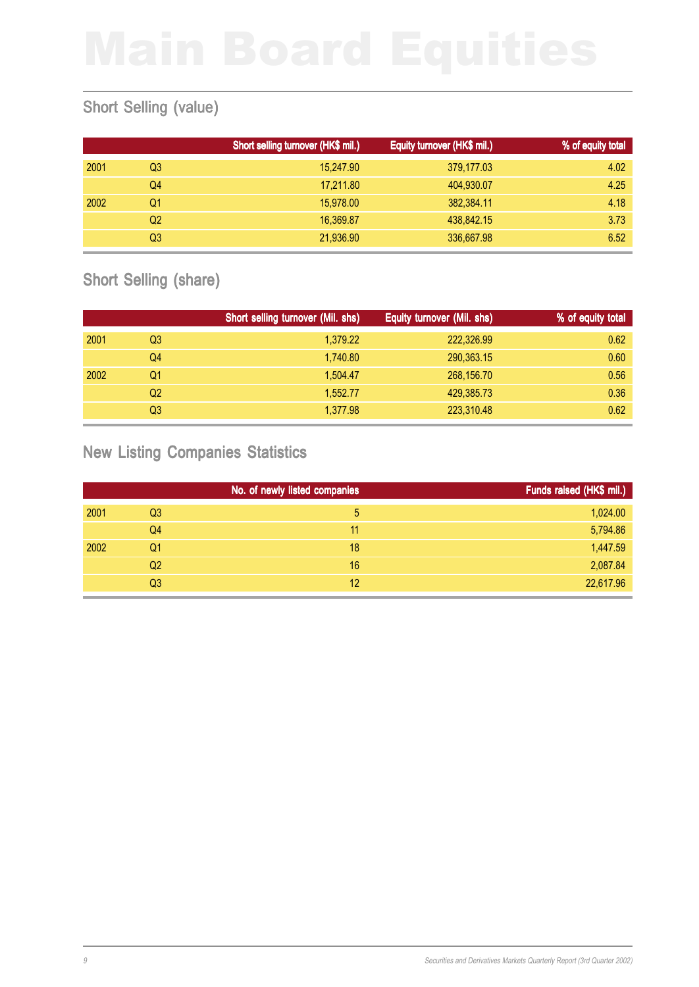# Short Selling (value)

|      |    | Short selling turnover (HK\$ mil.) | Equity turnover (HK\$ mil.) | % of equity total |
|------|----|------------------------------------|-----------------------------|-------------------|
| 2001 | Q3 | 15,247.90                          | 379,177.03                  | 4.02              |
|      | Q4 | 17,211.80                          | 404,930.07                  | 4.25              |
| 2002 | Q1 | 15,978,00                          | 382,384.11                  | 4.18              |
|      | Q2 | 16.369.87                          | 438,842.15                  | 3.73              |
|      | Q3 | 21,936.90                          | 336,667.98                  | 6.52              |

## Short Selling (share)

|      |    | Short selling turnover (Mil. shs) | Equity turnover (Mil. shs) | % of equity total |
|------|----|-----------------------------------|----------------------------|-------------------|
| 2001 | Q3 | 1,379.22                          | 222,326.99                 | 0.62              |
|      | Q4 | 1,740.80                          | 290,363.15                 | 0.60              |
| 2002 | Q1 | 1,504.47                          | 268,156.70                 | 0.56              |
|      | Q2 | 1.552.77                          | 429,385.73                 | 0.36              |
|      | Q3 | 1,377.98                          | 223,310.48                 | 0.62              |

### New Listing Companies Statistics

|      |                | No. of newly listed companies | Funds raised (HK\$ mil.) |
|------|----------------|-------------------------------|--------------------------|
| 2001 | Q <sub>3</sub> | 5                             | 1,024.00                 |
|      | Q4             | 11                            | 5,794.86                 |
| 2002 | Q1             | 18                            | 1,447.59                 |
|      | Q2             | 16                            | 2,087.84                 |
|      | Q <sub>3</sub> | 12                            | 22,617.96                |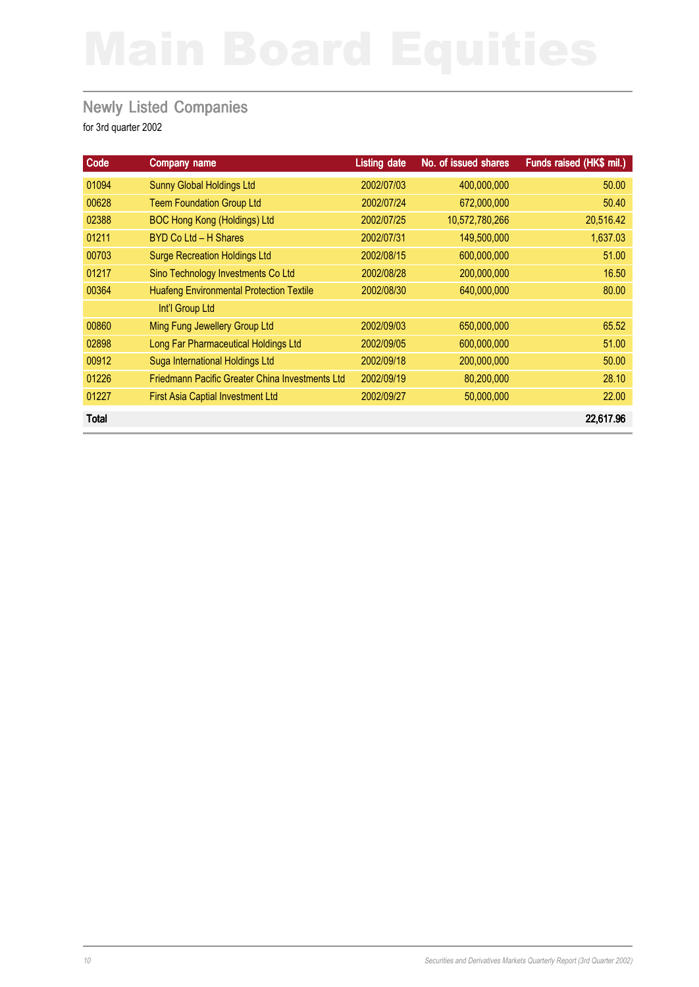### **Newly Listed Companies**

| Code         | <b>Company name</b>                             | <b>Listing date</b> | No. of issued shares | Funds raised (HK\$ mil.) |
|--------------|-------------------------------------------------|---------------------|----------------------|--------------------------|
| 01094        | <b>Sunny Global Holdings Ltd</b>                | 2002/07/03          | 400,000,000          | 50.00                    |
| 00628        | <b>Teem Foundation Group Ltd</b>                | 2002/07/24          | 672,000,000          | 50.40                    |
| 02388        | <b>BOC Hong Kong (Holdings) Ltd</b>             | 2002/07/25          | 10,572,780,266       | 20,516.42                |
| 01211        | BYD Co Ltd - H Shares                           | 2002/07/31          | 149,500,000          | 1,637.03                 |
| 00703        | <b>Surge Recreation Holdings Ltd</b>            | 2002/08/15          | 600,000,000          | 51.00                    |
| 01217        | Sino Technology Investments Co Ltd              | 2002/08/28          | 200,000,000          | 16.50                    |
| 00364        | <b>Huafeng Environmental Protection Textile</b> | 2002/08/30          | 640,000,000          | 80.00                    |
|              | Int'l Group Ltd                                 |                     |                      |                          |
| 00860        | Ming Fung Jewellery Group Ltd                   | 2002/09/03          | 650,000,000          | 65.52                    |
| 02898        | Long Far Pharmaceutical Holdings Ltd            | 2002/09/05          | 600,000,000          | 51.00                    |
| 00912        | Suga International Holdings Ltd                 | 2002/09/18          | 200,000,000          | 50.00                    |
| 01226        | Friedmann Pacific Greater China Investments Ltd | 2002/09/19          | 80,200,000           | 28.10                    |
| 01227        | <b>First Asia Captial Investment Ltd</b>        | 2002/09/27          | 50,000,000           | 22.00                    |
| <b>Total</b> |                                                 |                     |                      | 22,617.96                |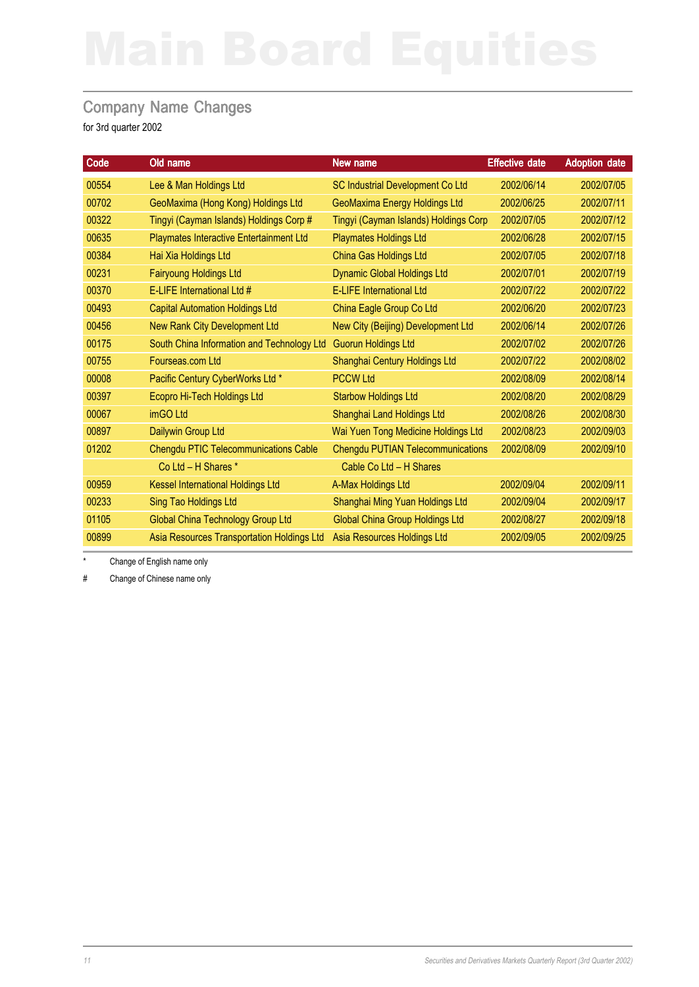### Company Name Changes

for 3rd quarter 2002

| 00554<br>Lee & Man Holdings Ltd<br>SC Industrial Development Co Ltd<br>2002/06/14<br>2002/07/05<br>00702<br>GeoMaxima (Hong Kong) Holdings Ltd<br><b>GeoMaxima Energy Holdings Ltd</b><br>2002/06/25<br>2002/07/11<br>00322<br>Tingyi (Cayman Islands) Holdings Corp #<br>Tingyi (Cayman Islands) Holdings Corp<br>2002/07/05<br>2002/07/12<br>00635<br>Playmates Interactive Entertainment Ltd<br><b>Playmates Holdings Ltd</b><br>2002/06/28<br>2002/07/15<br>00384<br>Hai Xia Holdings Ltd<br>China Gas Holdings Ltd<br>2002/07/05<br>2002/07/18<br><b>Fairyoung Holdings Ltd</b><br><b>Dynamic Global Holdings Ltd</b><br>00231<br>2002/07/01<br>2002/07/19<br>00370<br>E-LIFE International Ltd #<br><b>E-LIFE International Ltd</b><br>2002/07/22<br>2002/07/22<br>00493<br><b>Capital Automation Holdings Ltd</b><br>China Eagle Group Co Ltd<br>2002/06/20<br>2002/07/23<br>New Rank City Development Ltd<br>00456<br>New City (Beijing) Development Ltd<br>2002/06/14<br>2002/07/26<br>00175<br>South China Information and Technology Ltd<br><b>Guorun Holdings Ltd</b><br>2002/07/02<br>2002/07/26<br>00755<br>Shanghai Century Holdings Ltd<br>Fourseas.com Ltd<br>2002/07/22<br>2002/08/02<br>00008<br>Pacific Century CyberWorks Ltd *<br><b>PCCW Ltd</b><br>2002/08/09<br>2002/08/14 |
|-----------------------------------------------------------------------------------------------------------------------------------------------------------------------------------------------------------------------------------------------------------------------------------------------------------------------------------------------------------------------------------------------------------------------------------------------------------------------------------------------------------------------------------------------------------------------------------------------------------------------------------------------------------------------------------------------------------------------------------------------------------------------------------------------------------------------------------------------------------------------------------------------------------------------------------------------------------------------------------------------------------------------------------------------------------------------------------------------------------------------------------------------------------------------------------------------------------------------------------------------------------------------------------------------------|
|                                                                                                                                                                                                                                                                                                                                                                                                                                                                                                                                                                                                                                                                                                                                                                                                                                                                                                                                                                                                                                                                                                                                                                                                                                                                                                     |
|                                                                                                                                                                                                                                                                                                                                                                                                                                                                                                                                                                                                                                                                                                                                                                                                                                                                                                                                                                                                                                                                                                                                                                                                                                                                                                     |
|                                                                                                                                                                                                                                                                                                                                                                                                                                                                                                                                                                                                                                                                                                                                                                                                                                                                                                                                                                                                                                                                                                                                                                                                                                                                                                     |
|                                                                                                                                                                                                                                                                                                                                                                                                                                                                                                                                                                                                                                                                                                                                                                                                                                                                                                                                                                                                                                                                                                                                                                                                                                                                                                     |
|                                                                                                                                                                                                                                                                                                                                                                                                                                                                                                                                                                                                                                                                                                                                                                                                                                                                                                                                                                                                                                                                                                                                                                                                                                                                                                     |
|                                                                                                                                                                                                                                                                                                                                                                                                                                                                                                                                                                                                                                                                                                                                                                                                                                                                                                                                                                                                                                                                                                                                                                                                                                                                                                     |
|                                                                                                                                                                                                                                                                                                                                                                                                                                                                                                                                                                                                                                                                                                                                                                                                                                                                                                                                                                                                                                                                                                                                                                                                                                                                                                     |
|                                                                                                                                                                                                                                                                                                                                                                                                                                                                                                                                                                                                                                                                                                                                                                                                                                                                                                                                                                                                                                                                                                                                                                                                                                                                                                     |
|                                                                                                                                                                                                                                                                                                                                                                                                                                                                                                                                                                                                                                                                                                                                                                                                                                                                                                                                                                                                                                                                                                                                                                                                                                                                                                     |
|                                                                                                                                                                                                                                                                                                                                                                                                                                                                                                                                                                                                                                                                                                                                                                                                                                                                                                                                                                                                                                                                                                                                                                                                                                                                                                     |
|                                                                                                                                                                                                                                                                                                                                                                                                                                                                                                                                                                                                                                                                                                                                                                                                                                                                                                                                                                                                                                                                                                                                                                                                                                                                                                     |
|                                                                                                                                                                                                                                                                                                                                                                                                                                                                                                                                                                                                                                                                                                                                                                                                                                                                                                                                                                                                                                                                                                                                                                                                                                                                                                     |
| Ecopro Hi-Tech Holdings Ltd<br>00397<br><b>Starbow Holdings Ltd</b><br>2002/08/20<br>2002/08/29                                                                                                                                                                                                                                                                                                                                                                                                                                                                                                                                                                                                                                                                                                                                                                                                                                                                                                                                                                                                                                                                                                                                                                                                     |
| 00067<br>imGO Ltd<br>Shanghai Land Holdings Ltd<br>2002/08/26<br>2002/08/30                                                                                                                                                                                                                                                                                                                                                                                                                                                                                                                                                                                                                                                                                                                                                                                                                                                                                                                                                                                                                                                                                                                                                                                                                         |
| Wai Yuen Tong Medicine Holdings Ltd<br>00897<br>Dailywin Group Ltd<br>2002/08/23<br>2002/09/03                                                                                                                                                                                                                                                                                                                                                                                                                                                                                                                                                                                                                                                                                                                                                                                                                                                                                                                                                                                                                                                                                                                                                                                                      |
| <b>Chengdu PTIC Telecommunications Cable</b><br>01202<br>Chengdu PUTIAN Telecommunications<br>2002/08/09<br>2002/09/10                                                                                                                                                                                                                                                                                                                                                                                                                                                                                                                                                                                                                                                                                                                                                                                                                                                                                                                                                                                                                                                                                                                                                                              |
| Co Ltd - H Shares *<br>Cable Co Ltd - H Shares                                                                                                                                                                                                                                                                                                                                                                                                                                                                                                                                                                                                                                                                                                                                                                                                                                                                                                                                                                                                                                                                                                                                                                                                                                                      |
| <b>Kessel International Holdings Ltd</b><br>00959<br>A-Max Holdings Ltd<br>2002/09/04<br>2002/09/11                                                                                                                                                                                                                                                                                                                                                                                                                                                                                                                                                                                                                                                                                                                                                                                                                                                                                                                                                                                                                                                                                                                                                                                                 |
| 00233<br><b>Sing Tao Holdings Ltd</b><br>Shanghai Ming Yuan Holdings Ltd<br>2002/09/04<br>2002/09/17                                                                                                                                                                                                                                                                                                                                                                                                                                                                                                                                                                                                                                                                                                                                                                                                                                                                                                                                                                                                                                                                                                                                                                                                |
| <b>Global China Group Holdings Ltd</b><br>01105<br><b>Global China Technology Group Ltd</b><br>2002/08/27<br>2002/09/18                                                                                                                                                                                                                                                                                                                                                                                                                                                                                                                                                                                                                                                                                                                                                                                                                                                                                                                                                                                                                                                                                                                                                                             |
| Asia Resources Transportation Holdings Ltd<br>Asia Resources Holdings Ltd<br>2002/09/05<br>00899<br>2002/09/25                                                                                                                                                                                                                                                                                                                                                                                                                                                                                                                                                                                                                                                                                                                                                                                                                                                                                                                                                                                                                                                                                                                                                                                      |

Change of English name only

# Change of Chinese name only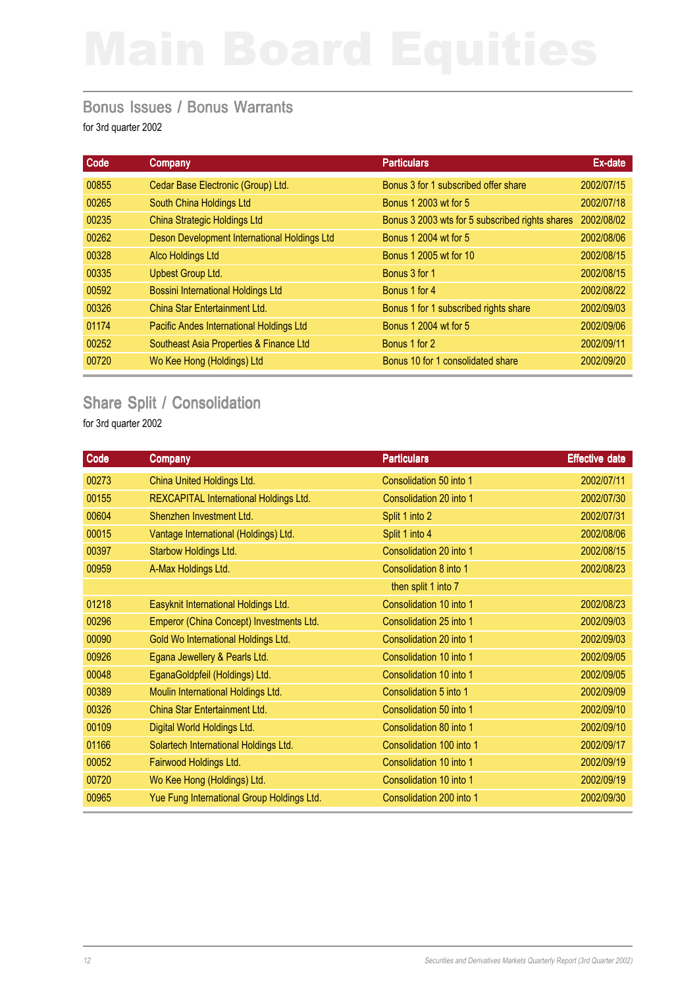### Bonus Issues / Bonus Warrants

for 3rd quarter 2002

| Code  | Company                                      | <b>Particulars</b>                              | Ex-date    |
|-------|----------------------------------------------|-------------------------------------------------|------------|
| 00855 | Cedar Base Electronic (Group) Ltd.           | Bonus 3 for 1 subscribed offer share            | 2002/07/15 |
| 00265 | South China Holdings Ltd                     | Bonus 1 2003 wt for 5                           | 2002/07/18 |
| 00235 | <b>China Strategic Holdings Ltd</b>          | Bonus 3 2003 wts for 5 subscribed rights shares | 2002/08/02 |
| 00262 | Deson Development International Holdings Ltd | Bonus 1 2004 wt for 5                           | 2002/08/06 |
| 00328 | Alco Holdings Ltd                            | Bonus 1 2005 wt for 10                          | 2002/08/15 |
| 00335 | <b>Upbest Group Ltd.</b>                     | Bonus 3 for 1                                   | 2002/08/15 |
| 00592 | <b>Bossini International Holdings Ltd</b>    | Bonus 1 for 4                                   | 2002/08/22 |
| 00326 | China Star Entertainment Ltd.                | Bonus 1 for 1 subscribed rights share           | 2002/09/03 |
| 01174 | Pacific Andes International Holdings Ltd     | Bonus 1 2004 wt for 5                           | 2002/09/06 |
| 00252 | Southeast Asia Properties & Finance Ltd      | Bonus 1 for 2                                   | 2002/09/11 |
| 00720 | Wo Kee Hong (Holdings) Ltd                   | Bonus 10 for 1 consolidated share               | 2002/09/20 |
|       |                                              |                                                 |            |

# Share Split / Consolidation

| Code  | Company                                    | <b>Particulars</b>       | <b>Effective date</b> |
|-------|--------------------------------------------|--------------------------|-----------------------|
| 00273 | China United Holdings Ltd.                 | Consolidation 50 into 1  | 2002/07/11            |
| 00155 | REXCAPITAL International Holdings Ltd.     | Consolidation 20 into 1  | 2002/07/30            |
| 00604 | Shenzhen Investment Ltd.                   | Split 1 into 2           | 2002/07/31            |
| 00015 | Vantage International (Holdings) Ltd.      | Split 1 into 4           | 2002/08/06            |
| 00397 | Starbow Holdings Ltd.                      | Consolidation 20 into 1  | 2002/08/15            |
| 00959 | A-Max Holdings Ltd.                        | Consolidation 8 into 1   | 2002/08/23            |
|       |                                            | then split 1 into 7      |                       |
| 01218 | Easyknit International Holdings Ltd.       | Consolidation 10 into 1  | 2002/08/23            |
| 00296 | Emperor (China Concept) Investments Ltd.   | Consolidation 25 into 1  | 2002/09/03            |
| 00090 | Gold Wo International Holdings Ltd.        | Consolidation 20 into 1  | 2002/09/03            |
| 00926 | Egana Jewellery & Pearls Ltd.              | Consolidation 10 into 1  | 2002/09/05            |
| 00048 | EganaGoldpfeil (Holdings) Ltd.             | Consolidation 10 into 1  | 2002/09/05            |
| 00389 | Moulin International Holdings Ltd.         | Consolidation 5 into 1   | 2002/09/09            |
| 00326 | China Star Entertainment Ltd.              | Consolidation 50 into 1  | 2002/09/10            |
| 00109 | Digital World Holdings Ltd.                | Consolidation 80 into 1  | 2002/09/10            |
| 01166 | Solartech International Holdings Ltd.      | Consolidation 100 into 1 | 2002/09/17            |
| 00052 | Fairwood Holdings Ltd.                     | Consolidation 10 into 1  | 2002/09/19            |
| 00720 | Wo Kee Hong (Holdings) Ltd.                | Consolidation 10 into 1  | 2002/09/19            |
| 00965 | Yue Fung International Group Holdings Ltd. | Consolidation 200 into 1 | 2002/09/30            |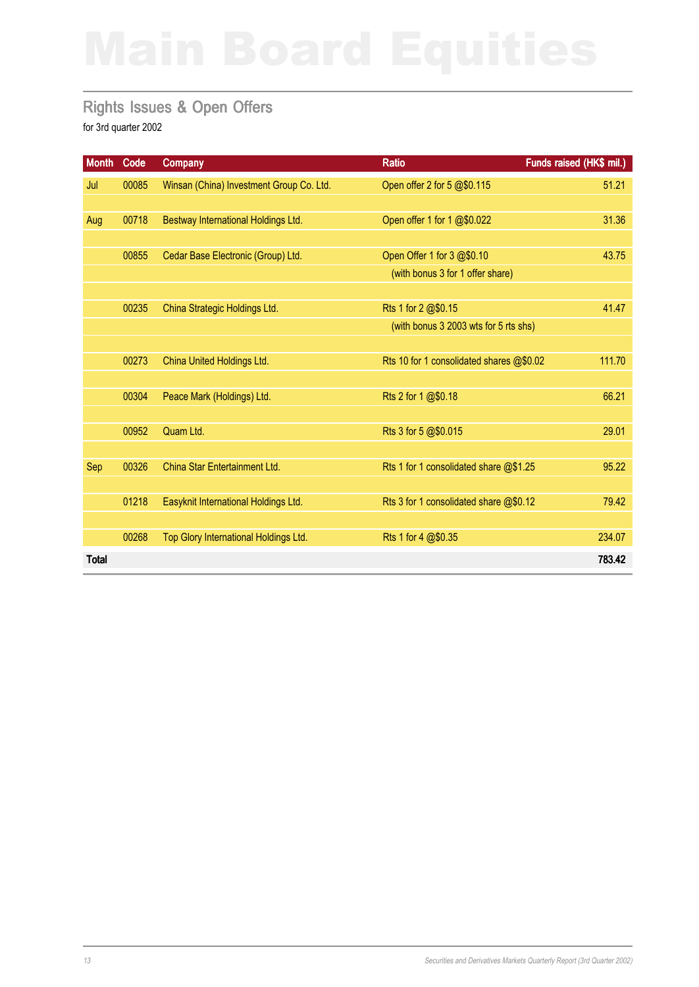### Rights Issues & Open Offers

| <b>Month</b> | Code  | <b>Company</b>                           | <b>Ratio</b>                             | Funds raised (HK\$ mil.) |
|--------------|-------|------------------------------------------|------------------------------------------|--------------------------|
| Jul          | 00085 | Winsan (China) Investment Group Co. Ltd. | Open offer 2 for 5 @\$0.115              | 51.21                    |
|              |       |                                          |                                          |                          |
| Aug          | 00718 | Bestway International Holdings Ltd.      | Open offer 1 for 1 @\$0.022              | 31.36                    |
|              |       |                                          |                                          |                          |
|              | 00855 | Cedar Base Electronic (Group) Ltd.       | Open Offer 1 for 3 @\$0.10               | 43.75                    |
|              |       |                                          | (with bonus 3 for 1 offer share)         |                          |
|              |       |                                          |                                          |                          |
|              | 00235 | China Strategic Holdings Ltd.            | Rts 1 for 2 @\$0.15                      | 41.47                    |
|              |       |                                          | (with bonus 3 2003 wts for 5 rts shs)    |                          |
|              | 00273 | China United Holdings Ltd.               | Rts 10 for 1 consolidated shares @\$0.02 | 111.70                   |
|              |       |                                          |                                          |                          |
|              | 00304 | Peace Mark (Holdings) Ltd.               | Rts 2 for 1 @\$0.18                      | 66.21                    |
|              |       |                                          |                                          |                          |
|              | 00952 | Quam Ltd.                                | Rts 3 for 5 @\$0.015                     | 29.01                    |
|              |       |                                          |                                          |                          |
| Sep          | 00326 | China Star Entertainment Ltd.            | Rts 1 for 1 consolidated share @\$1.25   | 95.22                    |
|              |       |                                          |                                          |                          |
|              | 01218 | Easyknit International Holdings Ltd.     | Rts 3 for 1 consolidated share @\$0.12   | 79.42                    |
|              |       |                                          |                                          |                          |
|              | 00268 | Top Glory International Holdings Ltd.    | Rts 1 for 4 @\$0.35                      | 234.07                   |
| <b>Total</b> |       |                                          |                                          | 783.42                   |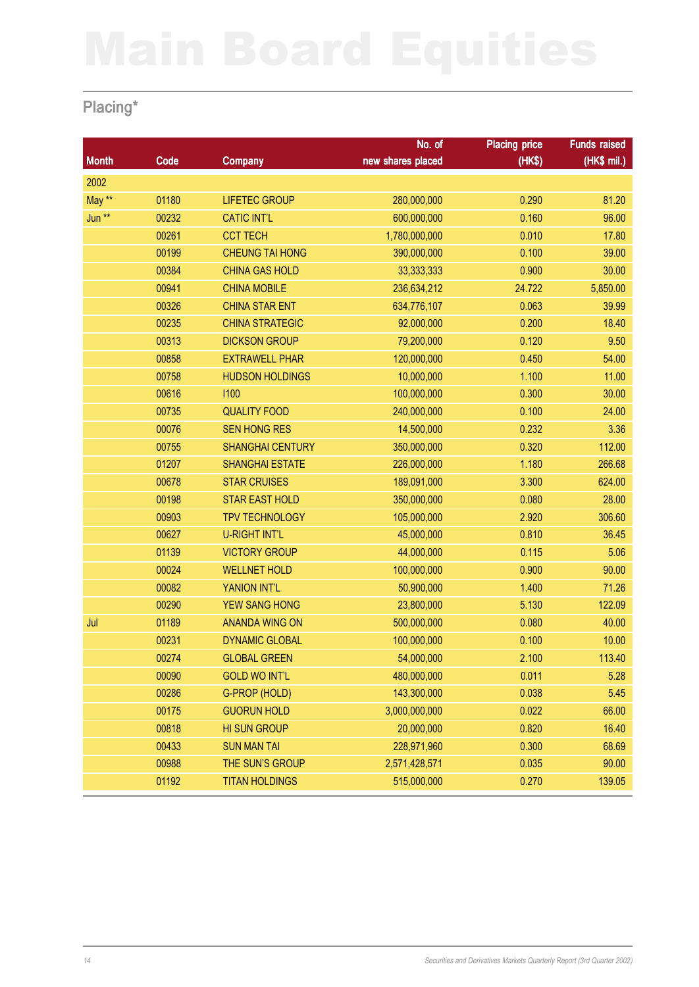# Placing\*

|              |       |                         | No. of            | <b>Placing price</b> | <b>Funds raised</b> |
|--------------|-------|-------------------------|-------------------|----------------------|---------------------|
| <b>Month</b> | Code  | <b>Company</b>          | new shares placed | (HK\$)               | (HK\$ mil.)         |
| 2002         |       |                         |                   |                      |                     |
| May **       | 01180 | <b>LIFETEC GROUP</b>    | 280,000,000       | 0.290                | 81.20               |
| Jun **       | 00232 | <b>CATIC INT'L</b>      | 600,000,000       | 0.160                | 96.00               |
|              | 00261 | <b>CCT TECH</b>         | 1,780,000,000     | 0.010                | 17.80               |
|              | 00199 | <b>CHEUNG TAI HONG</b>  | 390,000,000       | 0.100                | 39.00               |
|              | 00384 | <b>CHINA GAS HOLD</b>   | 33, 333, 333      | 0.900                | 30.00               |
|              | 00941 | <b>CHINA MOBILE</b>     | 236,634,212       | 24.722               | 5,850.00            |
|              | 00326 | <b>CHINA STAR ENT</b>   | 634,776,107       | 0.063                | 39.99               |
|              | 00235 | <b>CHINA STRATEGIC</b>  | 92,000,000        | 0.200                | 18.40               |
|              | 00313 | <b>DICKSON GROUP</b>    | 79,200,000        | 0.120                | 9.50                |
|              | 00858 | <b>EXTRAWELL PHAR</b>   | 120,000,000       | 0.450                | 54.00               |
|              | 00758 | <b>HUDSON HOLDINGS</b>  | 10,000,000        | 1.100                | 11.00               |
|              | 00616 | 1100                    | 100,000,000       | 0.300                | 30.00               |
|              | 00735 | <b>QUALITY FOOD</b>     | 240,000,000       | 0.100                | 24.00               |
|              | 00076 | <b>SEN HONG RES</b>     | 14,500,000        | 0.232                | 3.36                |
|              | 00755 | <b>SHANGHAI CENTURY</b> | 350,000,000       | 0.320                | 112.00              |
|              | 01207 | <b>SHANGHAI ESTATE</b>  | 226,000,000       | 1.180                | 266.68              |
|              | 00678 | <b>STAR CRUISES</b>     | 189,091,000       | 3.300                | 624.00              |
|              | 00198 | <b>STAR EAST HOLD</b>   | 350,000,000       | 0.080                | 28.00               |
|              | 00903 | <b>TPV TECHNOLOGY</b>   | 105,000,000       | 2.920                | 306.60              |
|              | 00627 | <b>U-RIGHT INT'L</b>    | 45,000,000        | 0.810                | 36.45               |
|              | 01139 | <b>VICTORY GROUP</b>    | 44,000,000        | 0.115                | 5.06                |
|              | 00024 | <b>WELLNET HOLD</b>     | 100,000,000       | 0.900                | 90.00               |
|              | 00082 | YANION INT'L            | 50,900,000        | 1.400                | 71.26               |
|              | 00290 | <b>YEW SANG HONG</b>    | 23,800,000        | 5.130                | 122.09              |
| Jul          | 01189 | <b>ANANDA WING ON</b>   | 500,000,000       | 0.080                | 40.00               |
|              | 00231 | <b>DYNAMIC GLOBAL</b>   | 100,000,000       | 0.100                | 10.00               |
|              | 00274 | <b>GLOBAL GREEN</b>     | 54,000,000        | 2.100                | 113.40              |
|              | 00090 | <b>GOLD WO INT'L</b>    | 480,000,000       | 0.011                | 5.28                |
|              | 00286 | G-PROP (HOLD)           | 143,300,000       | 0.038                | 5.45                |
|              | 00175 | <b>GUORUN HOLD</b>      | 3,000,000,000     | 0.022                | 66.00               |
|              | 00818 | <b>HI SUN GROUP</b>     | 20,000,000        | 0.820                | 16.40               |
|              | 00433 | <b>SUN MAN TAI</b>      | 228,971,960       | 0.300                | 68.69               |
|              | 00988 | THE SUN'S GROUP         | 2,571,428,571     | 0.035                | 90.00               |
|              | 01192 | <b>TITAN HOLDINGS</b>   | 515,000,000       | 0.270                | 139.05              |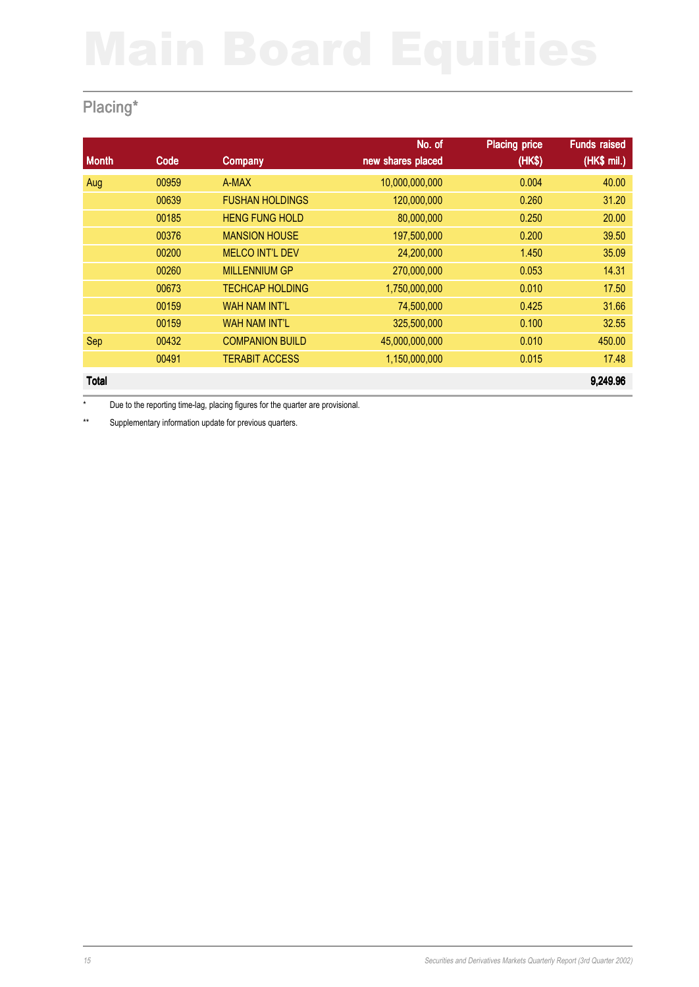# Placing\*

|              |       |                        | No. of            | <b>Placing price</b> | <b>Funds raised</b> |
|--------------|-------|------------------------|-------------------|----------------------|---------------------|
| <b>Month</b> | Code  | Company                | new shares placed | (HK\$)               | (HK\$ mil.)         |
| Aug          | 00959 | A-MAX                  | 10,000,000,000    | 0.004                | 40.00               |
|              | 00639 | <b>FUSHAN HOLDINGS</b> | 120,000,000       | 0.260                | 31.20               |
|              | 00185 | <b>HENG FUNG HOLD</b>  | 80,000,000        | 0.250                | 20.00               |
|              | 00376 | <b>MANSION HOUSE</b>   | 197,500,000       | 0.200                | 39.50               |
|              | 00200 | <b>MELCO INT'L DEV</b> | 24,200,000        | 1.450                | 35.09               |
|              | 00260 | <b>MILLENNIUM GP</b>   | 270,000,000       | 0.053                | 14.31               |
|              | 00673 | <b>TECHCAP HOLDING</b> | 1,750,000,000     | 0.010                | 17.50               |
|              | 00159 | <b>WAH NAM INT'L</b>   | 74,500,000        | 0.425                | 31.66               |
|              | 00159 | <b>WAH NAM INT'L</b>   | 325,500,000       | 0.100                | 32.55               |
| Sep          | 00432 | <b>COMPANION BUILD</b> | 45,000,000,000    | 0.010                | 450.00              |
|              | 00491 | <b>TERABIT ACCESS</b>  | 1,150,000,000     | 0.015                | 17.48               |
| <b>Total</b> |       |                        |                   |                      | 9,249.96            |

\* Due to the reporting time-lag, placing figures for the quarter are provisional.

\*\* Supplementary information update for previous quarters.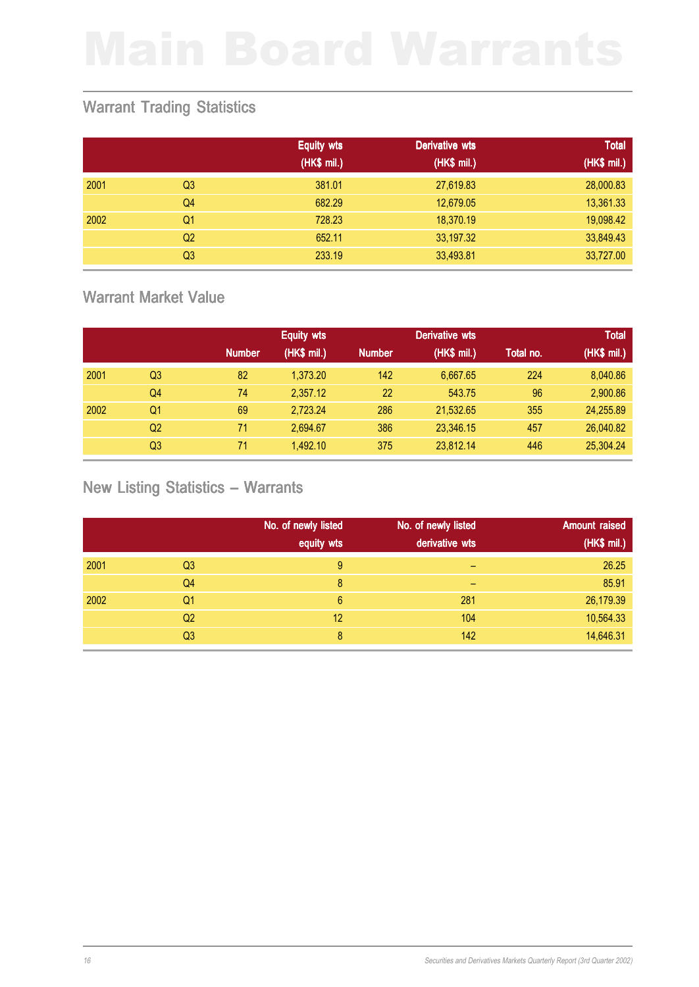### Warrant Trading Statistics

|      |                | <b>Equity wts</b> | Derivative wts | <b>Total</b> |
|------|----------------|-------------------|----------------|--------------|
|      |                | (HK\$ mil.)       | (HK\$ mil.)    | (HK\$ mil.)  |
| 2001 | Q <sub>3</sub> | 381.01            | 27,619.83      | 28,000.83    |
|      | Q <sub>4</sub> | 682.29            | 12,679.05      | 13,361.33    |
| 2002 | Q1             | 728.23            | 18,370.19      | 19,098.42    |
|      | Q <sub>2</sub> | 652.11            | 33,197.32      | 33,849.43    |
|      | Q <sub>3</sub> | 233.19            | 33,493.81      | 33,727.00    |

### Warrant Market Value

|      |    |               | <b>Equity wts</b> |               | <b>Derivative wts</b> |           | <b>Total</b> |
|------|----|---------------|-------------------|---------------|-----------------------|-----------|--------------|
|      |    | <b>Number</b> | (HK\$ mil.)       | <b>Number</b> | (HK\$ mil.)           | Total no. | (HK\$ mil.)  |
| 2001 | Q3 | 82            | 1,373.20          | 142           | 6.667.65              | 224       | 8,040.86     |
|      | Q4 | 74            | 2,357.12          | 22            | 543.75                | 96        | 2,900.86     |
| 2002 | Q1 | 69            | 2,723.24          | 286           | 21,532.65             | 355       | 24,255.89    |
|      | Q2 | 71            | 2.694.67          | 386           | 23,346.15             | 457       | 26,040.82    |
|      | Q3 | 71            | 1.492.10          | 375           | 23.812.14             | 446       | 25,304.24    |

# New Listing Statistics – Warrants

|      |                | No. of newly listed<br>equity wts | No. of newly listed<br>derivative wts | <b>Amount raised</b><br>(HK\$ mil.) |
|------|----------------|-----------------------------------|---------------------------------------|-------------------------------------|
|      |                |                                   |                                       |                                     |
| 2001 | Q <sub>3</sub> | 9                                 | -                                     | 26.25                               |
|      | Q4             | 8                                 | -                                     | 85.91                               |
| 2002 | Q <sub>1</sub> | 6                                 | 281                                   | 26,179.39                           |
|      | Q <sub>2</sub> | 12                                | 104                                   | 10,564.33                           |
|      | Q <sub>3</sub> | 8                                 | 142                                   | 14,646.31                           |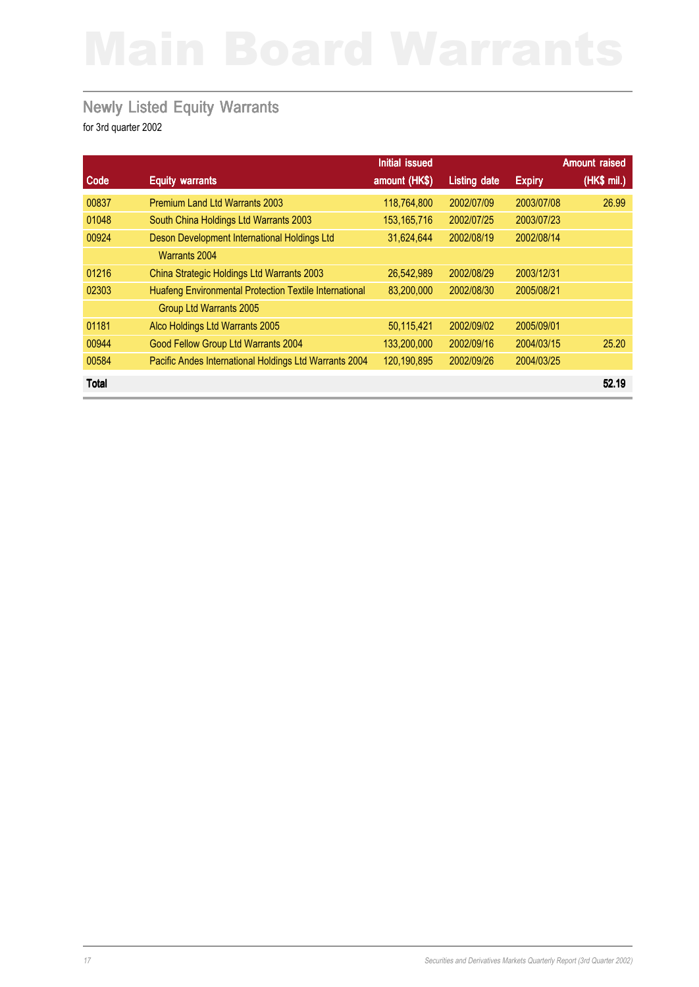### Newly Listed Equity Warrants

|              |                                                               | Initial issued |                     |               | <b>Amount raised</b> |
|--------------|---------------------------------------------------------------|----------------|---------------------|---------------|----------------------|
| Code         | <b>Equity warrants</b>                                        | amount (HK\$)  | <b>Listing date</b> | <b>Expiry</b> | (HK\$ mil.)          |
| 00837        | <b>Premium Land Ltd Warrants 2003</b>                         | 118,764,800    | 2002/07/09          | 2003/07/08    | 26.99                |
| 01048        | South China Holdings Ltd Warrants 2003                        | 153, 165, 716  | 2002/07/25          | 2003/07/23    |                      |
| 00924        | Deson Development International Holdings Ltd                  | 31,624,644     | 2002/08/19          | 2002/08/14    |                      |
|              | Warrants 2004                                                 |                |                     |               |                      |
| 01216        | China Strategic Holdings Ltd Warrants 2003                    | 26,542,989     | 2002/08/29          | 2003/12/31    |                      |
| 02303        | <b>Huafeng Environmental Protection Textile International</b> | 83,200,000     | 2002/08/30          | 2005/08/21    |                      |
|              | Group Ltd Warrants 2005                                       |                |                     |               |                      |
| 01181        | Alco Holdings Ltd Warrants 2005                               | 50,115,421     | 2002/09/02          | 2005/09/01    |                      |
| 00944        | Good Fellow Group Ltd Warrants 2004                           | 133,200,000    | 2002/09/16          | 2004/03/15    | 25.20                |
| 00584        | Pacific Andes International Holdings Ltd Warrants 2004        | 120,190,895    | 2002/09/26          | 2004/03/25    |                      |
| <b>Total</b> |                                                               |                |                     |               | 52.19                |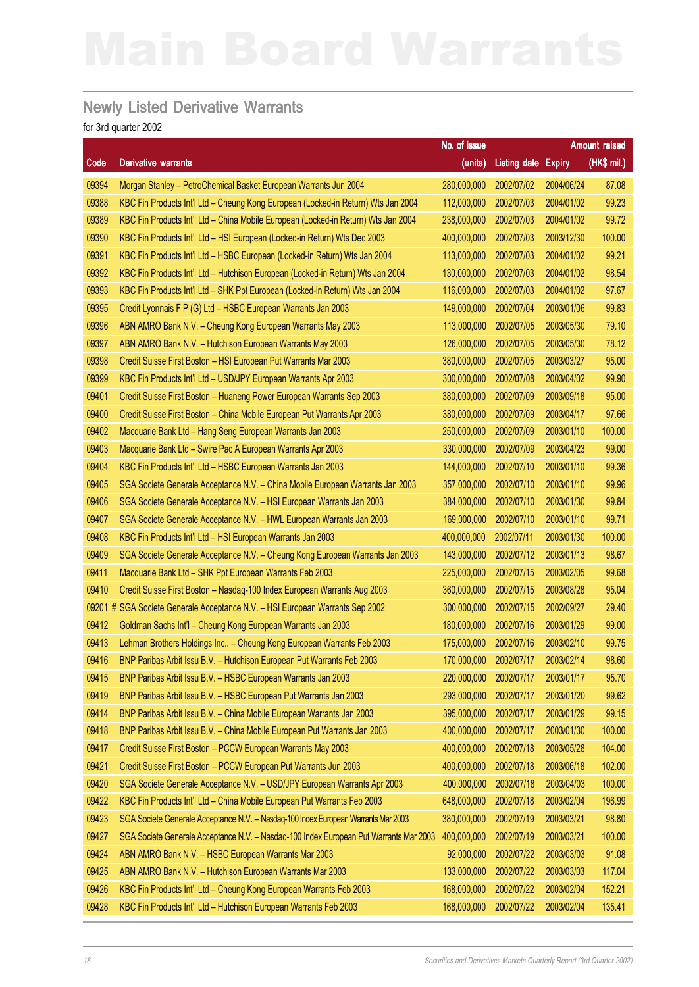### Newly Listed Derivative Warrants

|        |                                                                                        | No. of issue           |                            |            | Amount raised |
|--------|----------------------------------------------------------------------------------------|------------------------|----------------------------|------------|---------------|
| Code   | <b>Derivative warrants</b>                                                             | (units)                | <b>Listing date Expiry</b> |            | (HK\$ mil.)   |
| 09394  | Morgan Stanley - PetroChemical Basket European Warrants Jun 2004                       | 280,000,000            | 2002/07/02                 | 2004/06/24 | 87.08         |
| 09388  | KBC Fin Products Int'l Ltd - Cheung Kong European (Locked-in Return) Wts Jan 2004      | 112,000,000            | 2002/07/03                 | 2004/01/02 | 99.23         |
| 09389  | KBC Fin Products Int'l Ltd - China Mobile European (Locked-in Return) Wts Jan 2004     | 238,000,000            | 2002/07/03                 | 2004/01/02 | 99.72         |
| 09390  | KBC Fin Products Int'l Ltd - HSI European (Locked-in Return) Wts Dec 2003              | 400,000,000            | 2002/07/03                 | 2003/12/30 | 100.00        |
| 09391  | KBC Fin Products Int'l Ltd - HSBC European (Locked-in Return) Wts Jan 2004             | 113,000,000            | 2002/07/03                 | 2004/01/02 | 99.21         |
| 09392  | KBC Fin Products Int'l Ltd - Hutchison European (Locked-in Return) Wts Jan 2004        | 130,000,000            | 2002/07/03                 | 2004/01/02 | 98.54         |
| 09393  | KBC Fin Products Int'l Ltd - SHK Ppt European (Locked-in Return) Wts Jan 2004          | 116,000,000            | 2002/07/03                 | 2004/01/02 | 97.67         |
| 09395  | Credit Lyonnais F P (G) Ltd - HSBC European Warrants Jan 2003                          | 149,000,000            | 2002/07/04                 | 2003/01/06 | 99.83         |
| 09396  | ABN AMRO Bank N.V. - Cheung Kong European Warrants May 2003                            | 113,000,000            | 2002/07/05                 | 2003/05/30 | 79.10         |
| 09397  | ABN AMRO Bank N.V. - Hutchison European Warrants May 2003                              | 126,000,000            | 2002/07/05                 | 2003/05/30 | 78.12         |
| 09398  | Credit Suisse First Boston - HSI European Put Warrants Mar 2003                        | 380,000,000            | 2002/07/05                 | 2003/03/27 | 95.00         |
| 09399  | KBC Fin Products Int'l Ltd - USD/JPY European Warrants Apr 2003                        | 300,000,000            | 2002/07/08                 | 2003/04/02 | 99.90         |
| 09401  | Credit Suisse First Boston - Huaneng Power European Warrants Sep 2003                  | 380,000,000            | 2002/07/09                 | 2003/09/18 | 95.00         |
| 09400  | Credit Suisse First Boston - China Mobile European Put Warrants Apr 2003               | 380,000,000            | 2002/07/09                 | 2003/04/17 | 97.66         |
| 09402  | Macquarie Bank Ltd - Hang Seng European Warrants Jan 2003                              | 250,000,000            | 2002/07/09                 | 2003/01/10 | 100.00        |
| 09403  | Macquarie Bank Ltd - Swire Pac A European Warrants Apr 2003                            | 330,000,000            | 2002/07/09                 | 2003/04/23 | 99.00         |
| 09404  | KBC Fin Products Int'l Ltd - HSBC European Warrants Jan 2003                           | 144,000,000            | 2002/07/10                 | 2003/01/10 | 99.36         |
| 09405  | SGA Societe Generale Acceptance N.V. - China Mobile European Warrants Jan 2003         | 357,000,000            | 2002/07/10                 | 2003/01/10 | 99.96         |
| 09406  | SGA Societe Generale Acceptance N.V. - HSI European Warrants Jan 2003                  | 384,000,000            | 2002/07/10                 | 2003/01/30 | 99.84         |
| 09407  | SGA Societe Generale Acceptance N.V. - HWL European Warrants Jan 2003                  | 169,000,000            | 2002/07/10                 | 2003/01/10 | 99.71         |
| 09408  | KBC Fin Products Int'l Ltd - HSI European Warrants Jan 2003                            | 400,000,000            | 2002/07/11                 | 2003/01/30 | 100.00        |
| 09409  | SGA Societe Generale Acceptance N.V. - Cheung Kong European Warrants Jan 2003          | 143,000,000            | 2002/07/12                 | 2003/01/13 | 98.67         |
| 09411  | Macquarie Bank Ltd - SHK Ppt European Warrants Feb 2003                                | 225,000,000            | 2002/07/15                 | 2003/02/05 | 99.68         |
| 09410  | Credit Suisse First Boston - Nasdaq-100 Index European Warrants Aug 2003               | 360,000,000            | 2002/07/15                 | 2003/08/28 | 95.04         |
| 09201# | SGA Societe Generale Acceptance N.V. - HSI European Warrants Sep 2002                  | 300,000,000            | 2002/07/15                 | 2002/09/27 | 29.40         |
| 09412  | Goldman Sachs Int'l - Cheung Kong European Warrants Jan 2003                           | 180,000,000            | 2002/07/16                 | 2003/01/29 | 99.00         |
| 09413  | Lehman Brothers Holdings Inc - Cheung Kong European Warrants Feb 2003                  | 175,000,000            | 2002/07/16                 | 2003/02/10 | 99.75         |
| 09416  | BNP Paribas Arbit Issu B.V. - Hutchison European Put Warrants Feb 2003                 | 170,000,000 2002/07/17 |                            | 2003/02/14 | 98.60         |
| 09415  | BNP Paribas Arbit Issu B.V. - HSBC European Warrants Jan 2003                          | 220,000,000            | 2002/07/17                 | 2003/01/17 | 95.70         |
| 09419  | BNP Paribas Arbit Issu B.V. - HSBC European Put Warrants Jan 2003                      | 293,000,000            | 2002/07/17                 | 2003/01/20 | 99.62         |
| 09414  | BNP Paribas Arbit Issu B.V. - China Mobile European Warrants Jan 2003                  | 395,000,000            | 2002/07/17                 | 2003/01/29 | 99.15         |
| 09418  | BNP Paribas Arbit Issu B.V. - China Mobile European Put Warrants Jan 2003              | 400,000,000            | 2002/07/17                 | 2003/01/30 | 100.00        |
| 09417  | Credit Suisse First Boston - PCCW European Warrants May 2003                           | 400,000,000            | 2002/07/18                 | 2003/05/28 | 104.00        |
| 09421  | Credit Suisse First Boston - PCCW European Put Warrants Jun 2003                       | 400,000,000            | 2002/07/18                 | 2003/06/18 | 102.00        |
| 09420  | SGA Societe Generale Acceptance N.V. - USD/JPY European Warrants Apr 2003              | 400,000,000            | 2002/07/18                 | 2003/04/03 | 100.00        |
| 09422  | KBC Fin Products Int'l Ltd - China Mobile European Put Warrants Feb 2003               | 648,000,000            | 2002/07/18                 | 2003/02/04 | 196.99        |
| 09423  | SGA Societe Generale Acceptance N.V. - Nasdaq-100 Index European Warrants Mar 2003     | 380,000,000            | 2002/07/19                 | 2003/03/21 | 98.80         |
| 09427  | SGA Societe Generale Acceptance N.V. - Nasdaq-100 Index European Put Warrants Mar 2003 | 400,000,000            | 2002/07/19                 | 2003/03/21 | 100.00        |
| 09424  | ABN AMRO Bank N.V. - HSBC European Warrants Mar 2003                                   | 92,000,000             | 2002/07/22                 | 2003/03/03 | 91.08         |
| 09425  | ABN AMRO Bank N.V. - Hutchison European Warrants Mar 2003                              | 133,000,000            | 2002/07/22                 | 2003/03/03 | 117.04        |
| 09426  | KBC Fin Products Int'l Ltd - Cheung Kong European Warrants Feb 2003                    | 168,000,000            | 2002/07/22                 | 2003/02/04 | 152.21        |
| 09428  | KBC Fin Products Int'l Ltd - Hutchison European Warrants Feb 2003                      | 168,000,000            | 2002/07/22                 | 2003/02/04 | 135.41        |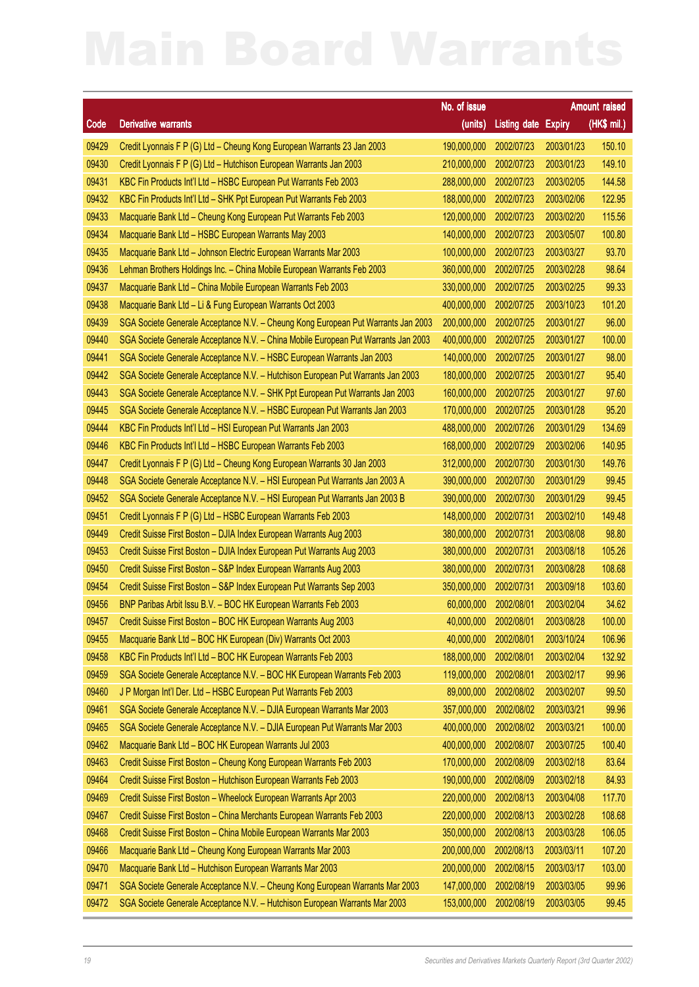|       |                                                                                    |                         |                       |               | Amount raised |
|-------|------------------------------------------------------------------------------------|-------------------------|-----------------------|---------------|---------------|
| Code  | <b>Derivative warrants</b>                                                         | No. of issue<br>(units) | <b>Listing date</b>   | <b>Expiry</b> | (HK\$ mil.)   |
| 09429 | Credit Lyonnais F P (G) Ltd - Cheung Kong European Warrants 23 Jan 2003            | 190,000,000             | 2002/07/23            | 2003/01/23    | 150.10        |
| 09430 | Credit Lyonnais F P (G) Ltd - Hutchison European Warrants Jan 2003                 | 210,000,000             | 2002/07/23            | 2003/01/23    | 149.10        |
| 09431 | KBC Fin Products Int'l Ltd - HSBC European Put Warrants Feb 2003                   | 288,000,000             | 2002/07/23            | 2003/02/05    | 144.58        |
| 09432 | KBC Fin Products Int'l Ltd - SHK Ppt European Put Warrants Feb 2003                | 188,000,000             | 2002/07/23            | 2003/02/06    | 122.95        |
| 09433 | Macquarie Bank Ltd - Cheung Kong European Put Warrants Feb 2003                    | 120,000,000             | 2002/07/23            | 2003/02/20    | 115.56        |
| 09434 | Macquarie Bank Ltd - HSBC European Warrants May 2003                               | 140,000,000             | 2002/07/23            | 2003/05/07    | 100.80        |
| 09435 | Macquarie Bank Ltd - Johnson Electric European Warrants Mar 2003                   | 100,000,000             | 2002/07/23            | 2003/03/27    | 93.70         |
| 09436 | Lehman Brothers Holdings Inc. - China Mobile European Warrants Feb 2003            | 360,000,000             | 2002/07/25            | 2003/02/28    | 98.64         |
| 09437 | Macquarie Bank Ltd - China Mobile European Warrants Feb 2003                       | 330,000,000             | 2002/07/25            | 2003/02/25    | 99.33         |
| 09438 | Macquarie Bank Ltd - Li & Fung European Warrants Oct 2003                          | 400,000,000             | 2002/07/25            | 2003/10/23    | 101.20        |
| 09439 | SGA Societe Generale Acceptance N.V. - Cheung Kong European Put Warrants Jan 2003  | 200,000,000             | 2002/07/25            | 2003/01/27    | 96.00         |
| 09440 | SGA Societe Generale Acceptance N.V. - China Mobile European Put Warrants Jan 2003 | 400,000,000             | 2002/07/25            | 2003/01/27    | 100.00        |
| 09441 | SGA Societe Generale Acceptance N.V. - HSBC European Warrants Jan 2003             | 140,000,000             | 2002/07/25            | 2003/01/27    | 98.00         |
| 09442 | SGA Societe Generale Acceptance N.V. - Hutchison European Put Warrants Jan 2003    | 180,000,000             | 2002/07/25            | 2003/01/27    | 95.40         |
| 09443 | SGA Societe Generale Acceptance N.V. - SHK Ppt European Put Warrants Jan 2003      | 160,000,000             | 2002/07/25            | 2003/01/27    | 97.60         |
| 09445 | SGA Societe Generale Acceptance N.V. - HSBC European Put Warrants Jan 2003         | 170,000,000             | 2002/07/25            | 2003/01/28    | 95.20         |
| 09444 | KBC Fin Products Int'l Ltd - HSI European Put Warrants Jan 2003                    | 488,000,000             | 2002/07/26            | 2003/01/29    | 134.69        |
| 09446 | KBC Fin Products Int'l Ltd - HSBC European Warrants Feb 2003                       | 168,000,000             | 2002/07/29            | 2003/02/06    | 140.95        |
| 09447 | Credit Lyonnais F P (G) Ltd - Cheung Kong European Warrants 30 Jan 2003            | 312,000,000             | 2002/07/30            | 2003/01/30    | 149.76        |
| 09448 | SGA Societe Generale Acceptance N.V. - HSI European Put Warrants Jan 2003 A        | 390,000,000             | 2002/07/30            | 2003/01/29    | 99.45         |
| 09452 | SGA Societe Generale Acceptance N.V. - HSI European Put Warrants Jan 2003 B        | 390,000,000             | 2002/07/30            | 2003/01/29    | 99.45         |
| 09451 | Credit Lyonnais F P (G) Ltd - HSBC European Warrants Feb 2003                      | 148,000,000             | 2002/07/31            | 2003/02/10    | 149.48        |
| 09449 | Credit Suisse First Boston - DJIA Index European Warrants Aug 2003                 | 380,000,000             | 2002/07/31            | 2003/08/08    | 98.80         |
| 09453 | Credit Suisse First Boston - DJIA Index European Put Warrants Aug 2003             | 380,000,000             | 2002/07/31            | 2003/08/18    | 105.26        |
| 09450 | Credit Suisse First Boston - S&P Index European Warrants Aug 2003                  | 380,000,000             | 2002/07/31            | 2003/08/28    | 108.68        |
| 09454 | Credit Suisse First Boston - S&P Index European Put Warrants Sep 2003              | 350,000,000             | 2002/07/31            | 2003/09/18    | 103.60        |
| 09456 | BNP Paribas Arbit Issu B.V. - BOC HK European Warrants Feb 2003                    | 60,000,000              | 2002/08/01            | 2003/02/04    | 34.62         |
| 09457 | Credit Suisse First Boston - BOC HK European Warrants Aug 2003                     |                         | 40,000,000 2002/08/01 | 2003/08/28    | 100.00        |
| 09455 | Macquarie Bank Ltd - BOC HK European (Div) Warrants Oct 2003                       | 40,000,000              | 2002/08/01            | 2003/10/24    | 106.96        |
| 09458 | KBC Fin Products Int'l Ltd - BOC HK European Warrants Feb 2003                     | 188,000,000             | 2002/08/01            | 2003/02/04    | 132.92        |
| 09459 | SGA Societe Generale Acceptance N.V. - BOC HK European Warrants Feb 2003           | 119,000,000             | 2002/08/01            | 2003/02/17    | 99.96         |
| 09460 | J P Morgan Int'l Der. Ltd - HSBC European Put Warrants Feb 2003                    | 89,000,000              | 2002/08/02            | 2003/02/07    | 99.50         |
| 09461 | SGA Societe Generale Acceptance N.V. - DJIA European Warrants Mar 2003             | 357,000,000             | 2002/08/02            | 2003/03/21    | 99.96         |
| 09465 | SGA Societe Generale Acceptance N.V. - DJIA European Put Warrants Mar 2003         | 400,000,000             | 2002/08/02            | 2003/03/21    | 100.00        |
| 09462 | Macquarie Bank Ltd - BOC HK European Warrants Jul 2003                             | 400,000,000             | 2002/08/07            | 2003/07/25    | 100.40        |
| 09463 | Credit Suisse First Boston - Cheung Kong European Warrants Feb 2003                | 170,000,000             | 2002/08/09            | 2003/02/18    | 83.64         |
| 09464 | Credit Suisse First Boston - Hutchison European Warrants Feb 2003                  | 190,000,000             | 2002/08/09            | 2003/02/18    | 84.93         |
| 09469 | Credit Suisse First Boston - Wheelock European Warrants Apr 2003                   | 220,000,000             | 2002/08/13            | 2003/04/08    | 117.70        |
| 09467 | Credit Suisse First Boston - China Merchants European Warrants Feb 2003            | 220,000,000             | 2002/08/13            | 2003/02/28    | 108.68        |
| 09468 | Credit Suisse First Boston - China Mobile European Warrants Mar 2003               | 350,000,000             | 2002/08/13            | 2003/03/28    | 106.05        |
| 09466 | Macquarie Bank Ltd - Cheung Kong European Warrants Mar 2003                        | 200,000,000             | 2002/08/13            | 2003/03/11    | 107.20        |
| 09470 | Macquarie Bank Ltd - Hutchison European Warrants Mar 2003                          | 200,000,000             | 2002/08/15            | 2003/03/17    | 103.00        |
| 09471 | SGA Societe Generale Acceptance N.V. - Cheung Kong European Warrants Mar 2003      | 147,000,000             | 2002/08/19            | 2003/03/05    | 99.96         |
| 09472 | SGA Societe Generale Acceptance N.V. - Hutchison European Warrants Mar 2003        | 153,000,000             | 2002/08/19            | 2003/03/05    | 99.45         |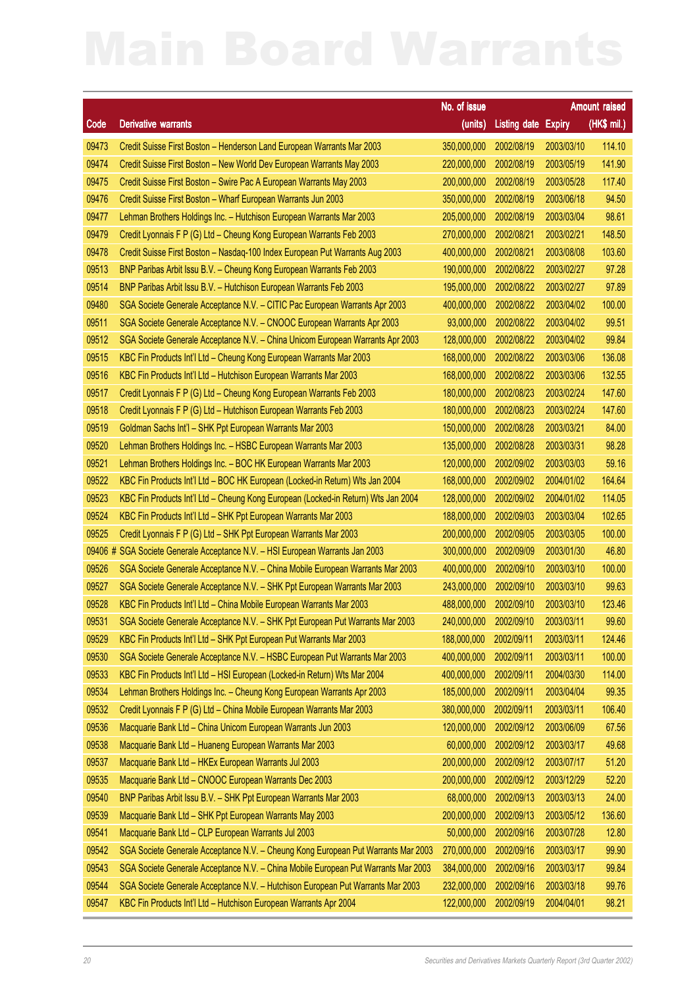|         |                                                                                    | No. of issue |                            |            | Amount raised |
|---------|------------------------------------------------------------------------------------|--------------|----------------------------|------------|---------------|
| Code    | <b>Derivative warrants</b>                                                         | (units)      | <b>Listing date Expiry</b> |            | (HK\$ mil.)   |
| 09473   | Credit Suisse First Boston - Henderson Land European Warrants Mar 2003             | 350,000,000  | 2002/08/19                 | 2003/03/10 | 114.10        |
| 09474   | Credit Suisse First Boston - New World Dev European Warrants May 2003              | 220,000,000  | 2002/08/19                 | 2003/05/19 | 141.90        |
| 09475   | Credit Suisse First Boston - Swire Pac A European Warrants May 2003                | 200,000,000  | 2002/08/19                 | 2003/05/28 | 117.40        |
| 09476   | Credit Suisse First Boston - Wharf European Warrants Jun 2003                      | 350,000,000  | 2002/08/19                 | 2003/06/18 | 94.50         |
| 09477   | Lehman Brothers Holdings Inc. - Hutchison European Warrants Mar 2003               | 205,000,000  | 2002/08/19                 | 2003/03/04 | 98.61         |
| 09479   | Credit Lyonnais F P (G) Ltd - Cheung Kong European Warrants Feb 2003               | 270,000,000  | 2002/08/21                 | 2003/02/21 | 148.50        |
| 09478   | Credit Suisse First Boston - Nasdaq-100 Index European Put Warrants Aug 2003       | 400,000,000  | 2002/08/21                 | 2003/08/08 | 103.60        |
| 09513   | BNP Paribas Arbit Issu B.V. - Cheung Kong European Warrants Feb 2003               | 190,000,000  | 2002/08/22                 | 2003/02/27 | 97.28         |
| 09514   | BNP Paribas Arbit Issu B.V. - Hutchison European Warrants Feb 2003                 | 195,000,000  | 2002/08/22                 | 2003/02/27 | 97.89         |
| 09480   | SGA Societe Generale Acceptance N.V. - CITIC Pac European Warrants Apr 2003        | 400,000,000  | 2002/08/22                 | 2003/04/02 | 100.00        |
| 09511   | SGA Societe Generale Acceptance N.V. - CNOOC European Warrants Apr 2003            | 93,000,000   | 2002/08/22                 | 2003/04/02 | 99.51         |
| 09512   | SGA Societe Generale Acceptance N.V. - China Unicom European Warrants Apr 2003     | 128,000,000  | 2002/08/22                 | 2003/04/02 | 99.84         |
| 09515   | KBC Fin Products Int'l Ltd - Cheung Kong European Warrants Mar 2003                | 168,000,000  | 2002/08/22                 | 2003/03/06 | 136.08        |
| 09516   | KBC Fin Products Int'l Ltd - Hutchison European Warrants Mar 2003                  | 168,000,000  | 2002/08/22                 | 2003/03/06 | 132.55        |
| 09517   | Credit Lyonnais F P (G) Ltd - Cheung Kong European Warrants Feb 2003               | 180,000,000  | 2002/08/23                 | 2003/02/24 | 147.60        |
| 09518   | Credit Lyonnais F P (G) Ltd - Hutchison European Warrants Feb 2003                 | 180,000,000  | 2002/08/23                 | 2003/02/24 | 147.60        |
| 09519   | Goldman Sachs Int'l - SHK Ppt European Warrants Mar 2003                           | 150,000,000  | 2002/08/28                 | 2003/03/21 | 84.00         |
| 09520   | Lehman Brothers Holdings Inc. - HSBC European Warrants Mar 2003                    | 135,000,000  | 2002/08/28                 | 2003/03/31 | 98.28         |
| 09521   | Lehman Brothers Holdings Inc. - BOC HK European Warrants Mar 2003                  | 120,000,000  | 2002/09/02                 | 2003/03/03 | 59.16         |
| 09522   | KBC Fin Products Int'l Ltd - BOC HK European (Locked-in Return) Wts Jan 2004       | 168,000,000  | 2002/09/02                 | 2004/01/02 | 164.64        |
| 09523   | KBC Fin Products Int'l Ltd - Cheung Kong European (Locked-in Return) Wts Jan 2004  | 128,000,000  | 2002/09/02                 | 2004/01/02 | 114.05        |
| 09524   | KBC Fin Products Int'l Ltd - SHK Ppt European Warrants Mar 2003                    | 188,000,000  | 2002/09/03                 | 2003/03/04 | 102.65        |
| 09525   | Credit Lyonnais F P (G) Ltd - SHK Ppt European Warrants Mar 2003                   | 200,000,000  | 2002/09/05                 | 2003/03/05 | 100.00        |
| 09406 # | SGA Societe Generale Acceptance N.V. - HSI European Warrants Jan 2003              | 300,000,000  | 2002/09/09                 | 2003/01/30 | 46.80         |
| 09526   | SGA Societe Generale Acceptance N.V. - China Mobile European Warrants Mar 2003     | 400,000,000  | 2002/09/10                 | 2003/03/10 | 100.00        |
| 09527   | SGA Societe Generale Acceptance N.V. - SHK Ppt European Warrants Mar 2003          | 243,000,000  | 2002/09/10                 | 2003/03/10 | 99.63         |
| 09528   | KBC Fin Products Int'l Ltd - China Mobile European Warrants Mar 2003               | 488,000,000  | 2002/09/10                 | 2003/03/10 | 123.46        |
| 09531   | SGA Societe Generale Acceptance N.V. - SHK Ppt European Put Warrants Mar 2003      |              | 240,000,000 2002/09/10     | 2003/03/11 | 99.60         |
| 09529   | KBC Fin Products Int'l Ltd - SHK Ppt European Put Warrants Mar 2003                | 188,000,000  | 2002/09/11                 | 2003/03/11 | 124.46        |
| 09530   | SGA Societe Generale Acceptance N.V. - HSBC European Put Warrants Mar 2003         | 400,000,000  | 2002/09/11                 | 2003/03/11 | 100.00        |
| 09533   | KBC Fin Products Int'l Ltd - HSI European (Locked-in Return) Wts Mar 2004          | 400,000,000  | 2002/09/11                 | 2004/03/30 | 114.00        |
| 09534   | Lehman Brothers Holdings Inc. - Cheung Kong European Warrants Apr 2003             | 185,000,000  | 2002/09/11                 | 2003/04/04 | 99.35         |
| 09532   | Credit Lyonnais F P (G) Ltd - China Mobile European Warrants Mar 2003              | 380,000,000  | 2002/09/11                 | 2003/03/11 | 106.40        |
| 09536   | Macquarie Bank Ltd - China Unicom European Warrants Jun 2003                       | 120,000,000  | 2002/09/12                 | 2003/06/09 | 67.56         |
| 09538   | Macquarie Bank Ltd - Huaneng European Warrants Mar 2003                            | 60,000,000   | 2002/09/12                 | 2003/03/17 | 49.68         |
| 09537   | Macquarie Bank Ltd - HKEx European Warrants Jul 2003                               | 200,000,000  | 2002/09/12                 | 2003/07/17 | 51.20         |
| 09535   | Macquarie Bank Ltd - CNOOC European Warrants Dec 2003                              | 200,000,000  | 2002/09/12                 | 2003/12/29 | 52.20         |
| 09540   | BNP Paribas Arbit Issu B.V. - SHK Ppt European Warrants Mar 2003                   | 68,000,000   | 2002/09/13                 | 2003/03/13 | 24.00         |
| 09539   | Macquarie Bank Ltd - SHK Ppt European Warrants May 2003                            | 200,000,000  | 2002/09/13                 | 2003/05/12 | 136.60        |
| 09541   | Macquarie Bank Ltd - CLP European Warrants Jul 2003                                | 50,000,000   | 2002/09/16                 | 2003/07/28 | 12.80         |
| 09542   | SGA Societe Generale Acceptance N.V. - Cheung Kong European Put Warrants Mar 2003  | 270,000,000  | 2002/09/16                 | 2003/03/17 | 99.90         |
| 09543   | SGA Societe Generale Acceptance N.V. - China Mobile European Put Warrants Mar 2003 | 384,000,000  | 2002/09/16                 | 2003/03/17 | 99.84         |
| 09544   | SGA Societe Generale Acceptance N.V. - Hutchison European Put Warrants Mar 2003    | 232,000,000  | 2002/09/16                 | 2003/03/18 | 99.76         |
| 09547   | KBC Fin Products Int'l Ltd - Hutchison European Warrants Apr 2004                  | 122,000,000  | 2002/09/19                 | 2004/04/01 | 98.21         |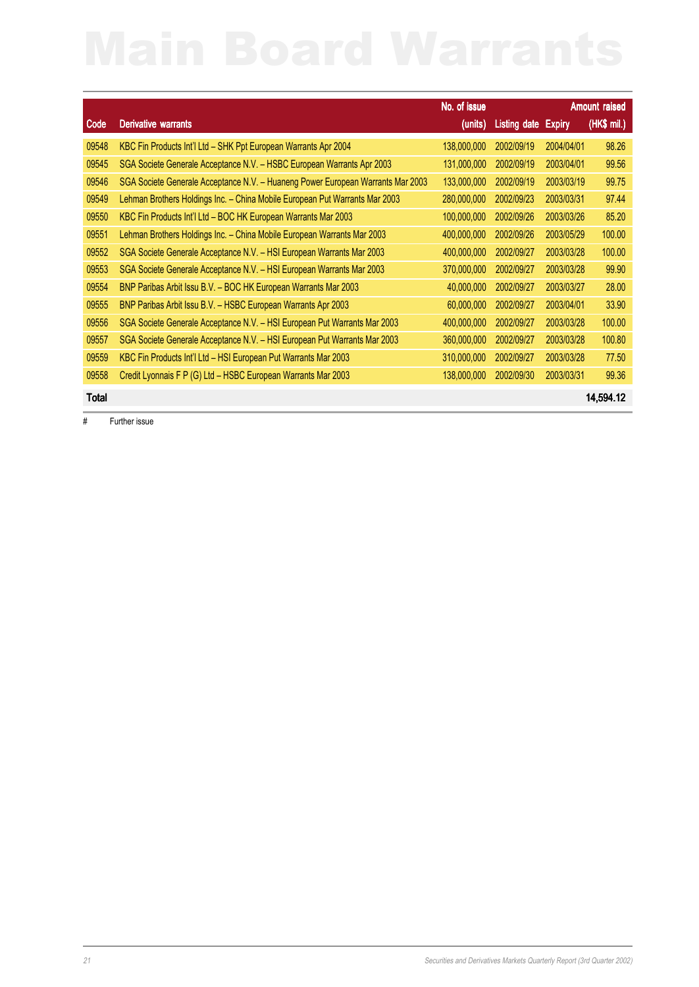|              | No. of issue                                                                    |             |              |               | <b>Amount raised</b> |
|--------------|---------------------------------------------------------------------------------|-------------|--------------|---------------|----------------------|
| Code         | <b>Derivative warrants</b>                                                      | (units)     | Listing date | <b>Expiry</b> | (HK\$ mil.)          |
| 09548        | KBC Fin Products Int'l Ltd - SHK Ppt European Warrants Apr 2004                 | 138,000,000 | 2002/09/19   | 2004/04/01    | 98.26                |
| 09545        | SGA Societe Generale Acceptance N.V. - HSBC European Warrants Apr 2003          | 131,000,000 | 2002/09/19   | 2003/04/01    | 99.56                |
| 09546        | SGA Societe Generale Acceptance N.V. - Huaneng Power European Warrants Mar 2003 | 133,000,000 | 2002/09/19   | 2003/03/19    | 99.75                |
| 09549        | Lehman Brothers Holdings Inc. - China Mobile European Put Warrants Mar 2003     | 280,000,000 | 2002/09/23   | 2003/03/31    | 97.44                |
| 09550        | KBC Fin Products Int'l Ltd - BOC HK European Warrants Mar 2003                  | 100,000,000 | 2002/09/26   | 2003/03/26    | 85.20                |
| 09551        | Lehman Brothers Holdings Inc. - China Mobile European Warrants Mar 2003         | 400,000,000 | 2002/09/26   | 2003/05/29    | 100.00               |
| 09552        | SGA Societe Generale Acceptance N.V. - HSI European Warrants Mar 2003           | 400,000,000 | 2002/09/27   | 2003/03/28    | 100.00               |
| 09553        | SGA Societe Generale Acceptance N.V. - HSI European Warrants Mar 2003           | 370,000,000 | 2002/09/27   | 2003/03/28    | 99.90                |
| 09554        | BNP Paribas Arbit Issu B.V. - BOC HK European Warrants Mar 2003                 | 40,000,000  | 2002/09/27   | 2003/03/27    | 28.00                |
| 09555        | BNP Paribas Arbit Issu B.V. - HSBC European Warrants Apr 2003                   | 60,000,000  | 2002/09/27   | 2003/04/01    | 33.90                |
| 09556        | SGA Societe Generale Acceptance N.V. - HSI European Put Warrants Mar 2003       | 400,000,000 | 2002/09/27   | 2003/03/28    | 100.00               |
| 09557        | SGA Societe Generale Acceptance N.V. - HSI European Put Warrants Mar 2003       | 360,000,000 | 2002/09/27   | 2003/03/28    | 100.80               |
| 09559        | KBC Fin Products Int'l Ltd - HSI European Put Warrants Mar 2003                 | 310,000,000 | 2002/09/27   | 2003/03/28    | 77.50                |
| 09558        | Credit Lyonnais F P (G) Ltd - HSBC European Warrants Mar 2003                   | 138,000,000 | 2002/09/30   | 2003/03/31    | 99.36                |
| <b>Total</b> |                                                                                 |             |              |               | 14,594.12            |

# Further issue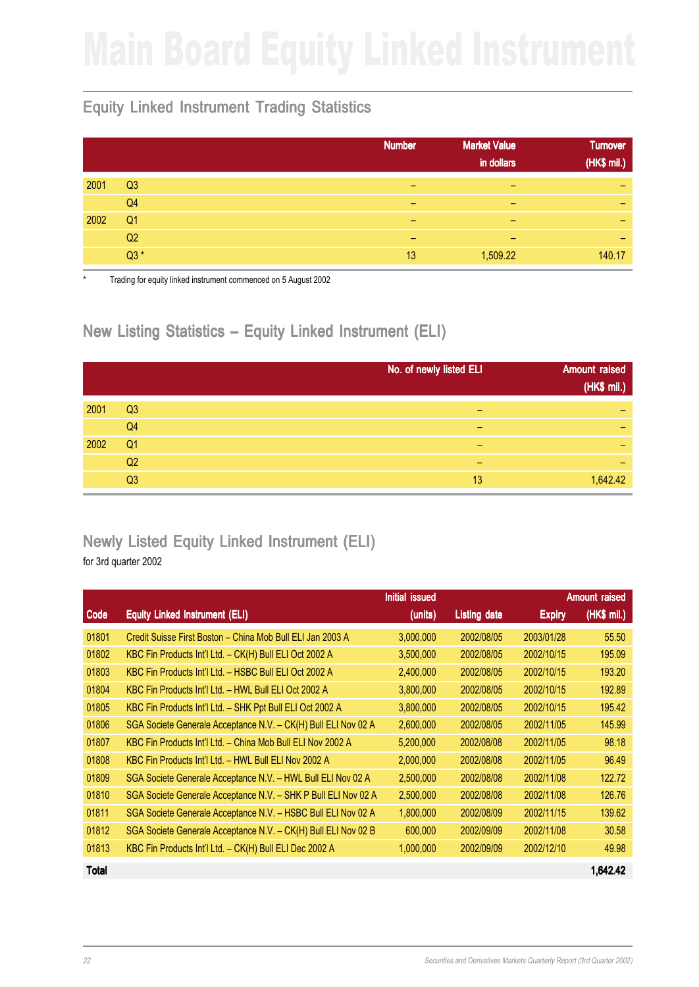## Equity Linked Instrument Trading Statistics

|      |                | <b>Market Value</b><br><b>Number</b><br>in dollars | <b>Turnover</b><br>(HK\$ mil.) |
|------|----------------|----------------------------------------------------|--------------------------------|
| 2001 | Q <sub>3</sub> | -<br>-                                             | $\overline{\phantom{0}}$       |
|      | Q <sub>4</sub> | -<br>-                                             | $\overline{\phantom{0}}$       |
| 2002 | Q <sub>1</sub> | -<br>-                                             | -                              |
|      | Q2             | -<br>-                                             | -                              |
|      | $Q3*$          | 1,509.22<br>13                                     | 140.17                         |

Trading for equity linked instrument commenced on 5 August 2002

## New Listing Statistics – Equity Linked Instrument (ELI)

|      |                | No. of newly listed ELI | <b>Amount raised</b><br>(HK\$ mil.) |
|------|----------------|-------------------------|-------------------------------------|
| 2001 | Q <sub>3</sub> |                         | -                                   |
|      | Q <sub>4</sub> |                         | -                                   |
| 2002 | Q <sub>1</sub> | -                       | -                                   |
|      | Q2             | -                       | -                                   |
|      | Q3             | 13                      | 1,642.42                            |

# Newly Listed Equity Linked Instrument (ELI)

for 3rd quarter 2002

|       |                                                                | Initial issued |                     |               | <b>Amount raised</b> |
|-------|----------------------------------------------------------------|----------------|---------------------|---------------|----------------------|
| Code  | <b>Equity Linked Instrument (ELI)</b>                          | (units)        | <b>Listing date</b> | <b>Expiry</b> | (HK\$ mil.)          |
| 01801 | Credit Suisse First Boston - China Mob Bull ELI Jan 2003 A     | 3,000,000      | 2002/08/05          | 2003/01/28    | 55.50                |
| 01802 | KBC Fin Products Int'l Ltd. - CK(H) Bull ELI Oct 2002 A        | 3,500,000      | 2002/08/05          | 2002/10/15    | 195.09               |
| 01803 | KBC Fin Products Int'l Ltd. - HSBC Bull ELI Oct 2002 A         | 2,400,000      | 2002/08/05          | 2002/10/15    | 193.20               |
| 01804 | KBC Fin Products Int'l Ltd. - HWL Bull ELI Oct 2002 A          | 3,800,000      | 2002/08/05          | 2002/10/15    | 192.89               |
| 01805 | KBC Fin Products Int'l Ltd. - SHK Ppt Bull ELI Oct 2002 A      | 3,800,000      | 2002/08/05          | 2002/10/15    | 195.42               |
| 01806 | SGA Societe Generale Acceptance N.V. - CK(H) Bull ELI Nov 02 A | 2,600,000      | 2002/08/05          | 2002/11/05    | 145.99               |
| 01807 | KBC Fin Products Int'l Ltd. - China Mob Bull ELI Nov 2002 A    | 5,200,000      | 2002/08/08          | 2002/11/05    | 98.18                |
| 01808 | KBC Fin Products Int'l Ltd. - HWL Bull ELI Nov 2002 A          | 2,000,000      | 2002/08/08          | 2002/11/05    | 96.49                |
| 01809 | SGA Societe Generale Acceptance N.V. - HWL Bull ELI Nov 02 A   | 2,500,000      | 2002/08/08          | 2002/11/08    | 122.72               |
| 01810 | SGA Societe Generale Acceptance N.V. - SHK P Bull ELI Nov 02 A | 2,500,000      | 2002/08/08          | 2002/11/08    | 126.76               |
| 01811 | SGA Societe Generale Acceptance N.V. - HSBC Bull ELI Nov 02 A  | 1,800,000      | 2002/08/09          | 2002/11/15    | 139.62               |
| 01812 | SGA Societe Generale Acceptance N.V. - CK(H) Bull ELI Nov 02 B | 600,000        | 2002/09/09          | 2002/11/08    | 30.58                |
| 01813 | KBC Fin Products Int'l Ltd. - CK(H) Bull ELI Dec 2002 A        | 1,000,000      | 2002/09/09          | 2002/12/10    | 49.98                |
|       |                                                                |                |                     |               |                      |

Total 1,642.42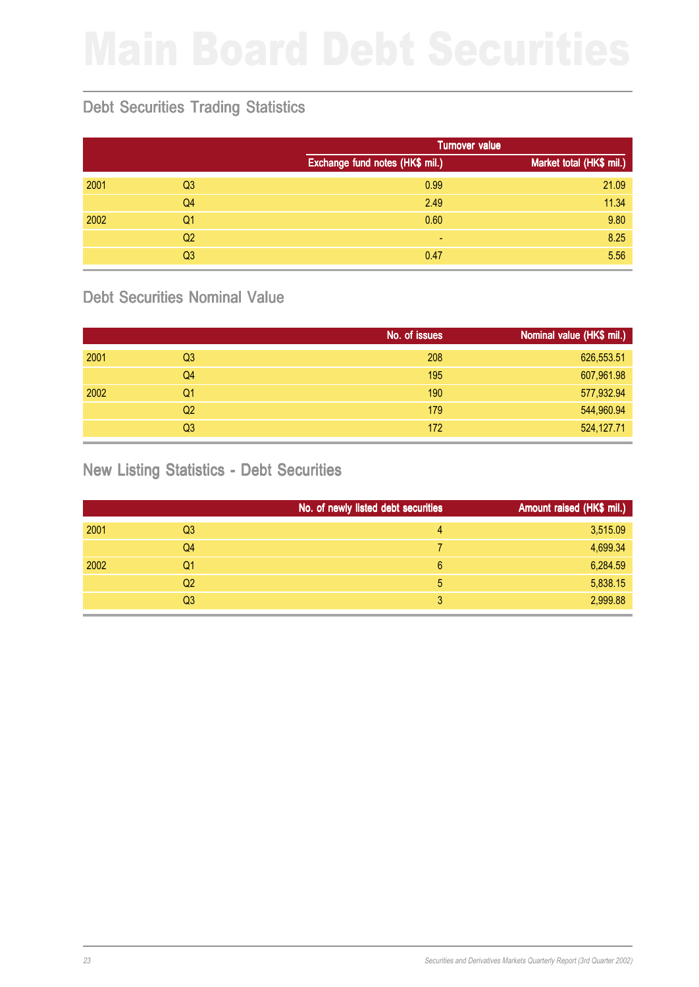# Debt Securities Trading Statistics

|      |                |                                 | <b>Turnover value</b>    |
|------|----------------|---------------------------------|--------------------------|
|      |                | Exchange fund notes (HK\$ mil.) | Market total (HK\$ mil.) |
| 2001 | Q <sub>3</sub> | 0.99                            | 21.09                    |
|      | Q <sub>4</sub> | 2.49                            | 11.34                    |
| 2002 | Q <sub>1</sub> | 0.60                            | 9.80                     |
|      | Q <sub>2</sub> | ۰                               | 8.25                     |
|      | Q3             | 0.47                            | 5.56                     |

### Debt Securities Nominal Value

|      |                | No. of issues | Nominal value (HK\$ mil.) |
|------|----------------|---------------|---------------------------|
| 2001 | Q <sub>3</sub> | 208           | 626,553.51                |
|      | Q4             | 195           | 607,961.98                |
| 2002 | Q1             | 190           | 577,932.94                |
|      | Q <sub>2</sub> | 179           | 544,960.94                |
|      | Q <sub>3</sub> | 172           | 524,127.71                |

### New Listing Statistics - Debt Securities

|      |                | No. of newly listed debt securities | Amount raised (HK\$ mil.) |
|------|----------------|-------------------------------------|---------------------------|
| 2001 | Q3             | 4                                   | 3,515.09                  |
|      | Q4             |                                     | 4,699.34                  |
| 2002 | Q1             | 6                                   | 6,284.59                  |
|      | Q <sub>2</sub> | 5                                   | 5,838.15                  |
|      | Q <sub>3</sub> | 3                                   | 2,999.88                  |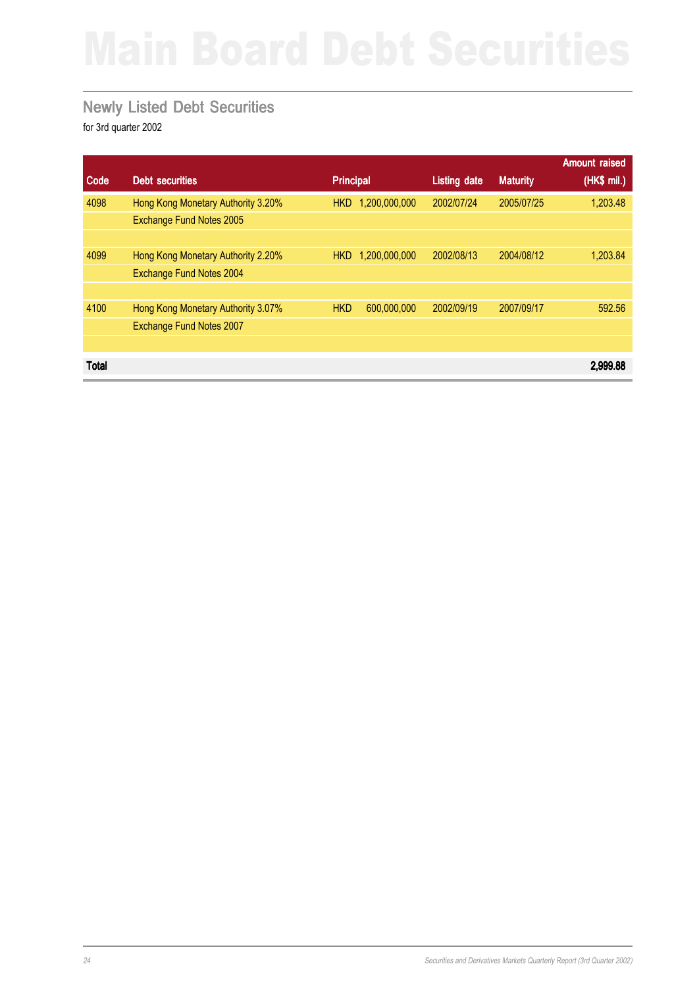### Newly Listed Debt Securities

|              |                                    |                  |               |                     |                 | <b>Amount raised</b> |
|--------------|------------------------------------|------------------|---------------|---------------------|-----------------|----------------------|
| Code         | <b>Debt securities</b>             | <b>Principal</b> |               | <b>Listing date</b> | <b>Maturity</b> | (HK\$ mil.)          |
| 4098         | Hong Kong Monetary Authority 3.20% | HKD.             | 1,200,000,000 | 2002/07/24          | 2005/07/25      | 1,203.48             |
|              | Exchange Fund Notes 2005           |                  |               |                     |                 |                      |
|              |                                    |                  |               |                     |                 |                      |
| 4099         | Hong Kong Monetary Authority 2.20% | <b>HKD</b>       | 1,200,000,000 | 2002/08/13          | 2004/08/12      | 1,203.84             |
|              | Exchange Fund Notes 2004           |                  |               |                     |                 |                      |
|              |                                    |                  |               |                     |                 |                      |
| 4100         | Hong Kong Monetary Authority 3.07% | <b>HKD</b>       | 600,000,000   | 2002/09/19          | 2007/09/17      | 592.56               |
|              | <b>Exchange Fund Notes 2007</b>    |                  |               |                     |                 |                      |
|              |                                    |                  |               |                     |                 |                      |
| <b>Total</b> |                                    |                  |               |                     |                 | 2.999.88             |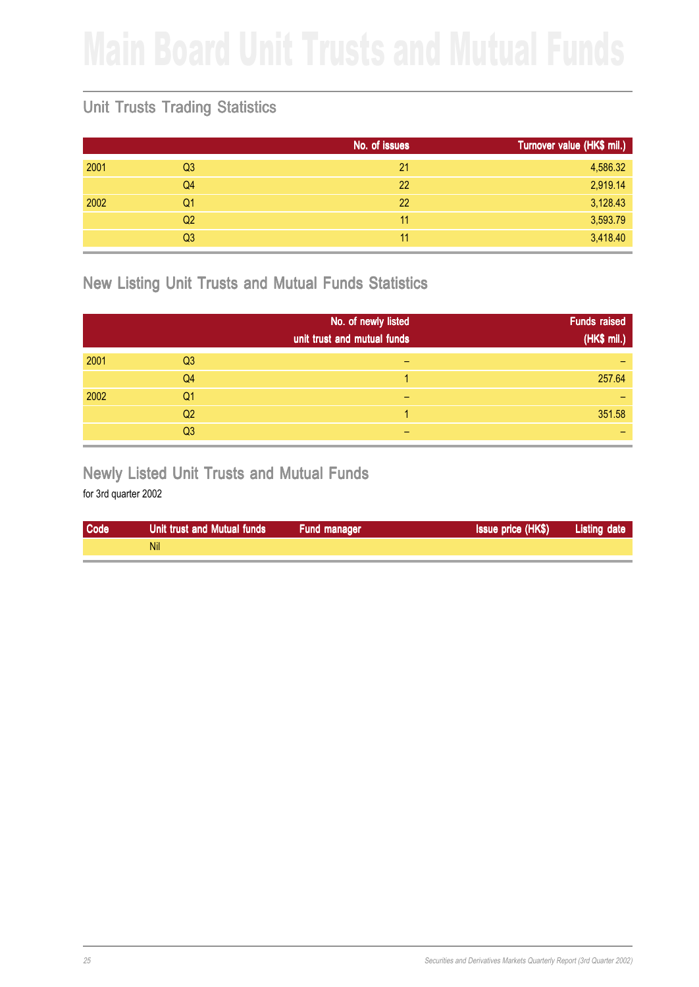## Unit Trusts Trading Statistics

|      |                | No. of issues | Turnover value (HK\$ mil.) |
|------|----------------|---------------|----------------------------|
| 2001 | Q <sub>3</sub> | 21            | 4,586.32                   |
|      | Q4             | 22            | 2,919.14                   |
| 2002 | Q1             | 22            | 3,128.43                   |
|      | Q <sub>2</sub> | 11            | 3,593.79                   |
|      | Q <sub>3</sub> | 11            | 3,418.40                   |
|      |                |               |                            |

### New Listing Unit Trusts and Mutual Funds Statistics

|      |                | No. of newly listed<br>unit trust and mutual funds | <b>Funds raised</b><br>(HK\$ mil.) |
|------|----------------|----------------------------------------------------|------------------------------------|
| 2001 | Q <sub>3</sub> |                                                    |                                    |
|      | Q <sub>4</sub> |                                                    | 257.64                             |
| 2002 | Q <sub>1</sub> |                                                    |                                    |
|      | Q <sub>2</sub> |                                                    | 351.58                             |
|      | Q <sub>3</sub> |                                                    |                                    |

### Newly Listed Unit Trusts and Mutual Funds

| Code | Unit trust and Mutual funds | <b>Fund manager</b> | <b>Issue price (HK\$)</b> | <b>Listing date</b> |
|------|-----------------------------|---------------------|---------------------------|---------------------|
|      | Nil                         |                     |                           |                     |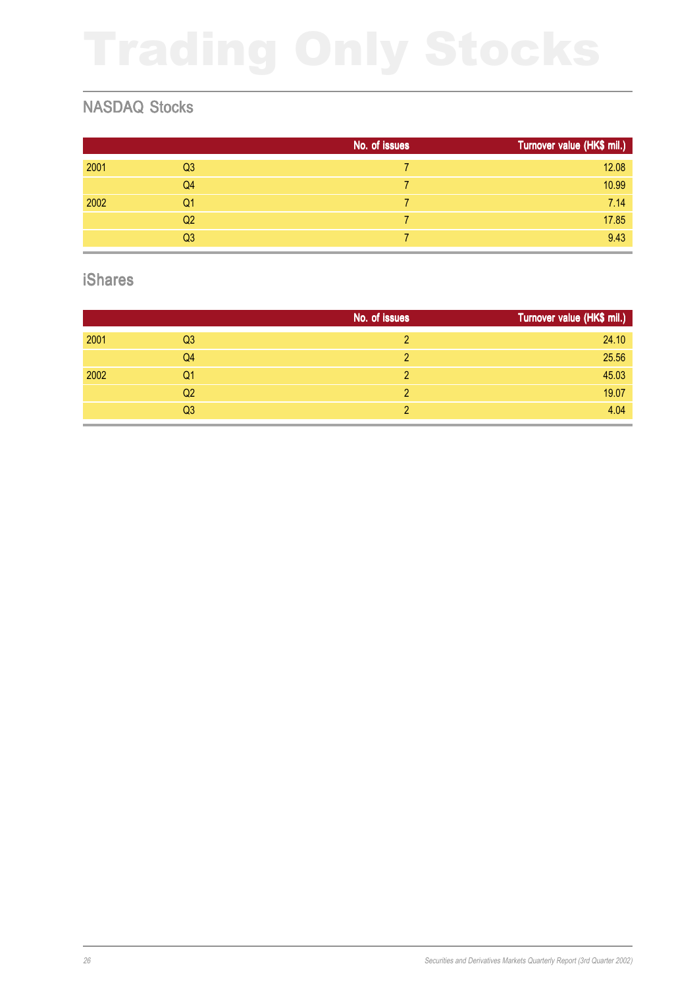## NASDAQ Stocks

|      |                | No. of issues | Turnover value (HK\$ mil.) |
|------|----------------|---------------|----------------------------|
| 2001 | Q <sub>3</sub> |               | 12.08                      |
|      | Q <sub>4</sub> |               | 10.99                      |
| 2002 | Q <sub>1</sub> | 7             | 7.14                       |
|      | Q <sub>2</sub> |               | 17.85                      |
|      | Q <sub>3</sub> |               | 9.43                       |

### iShares

|      |                | No. of issues | Turnover value (HK\$ mil.) |
|------|----------------|---------------|----------------------------|
| 2001 | Q <sub>3</sub> | 2             | 24.10                      |
|      | Q <sub>4</sub> | 2             | 25.56                      |
| 2002 | Q1             | っ             | 45.03                      |
|      | Q <sub>2</sub> | $\mathcal{P}$ | 19.07                      |
|      | Q <sub>3</sub> |               | 4.04                       |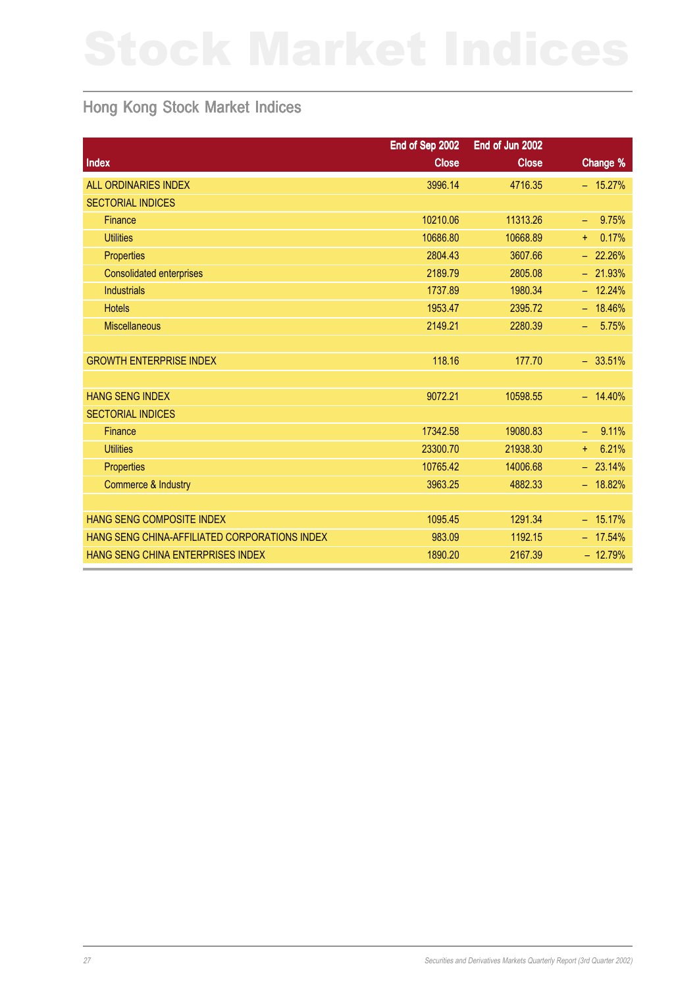## Hong Kong Stock Market Indices

|                                               | End of Sep 2002 | End of Jun 2002 |                     |
|-----------------------------------------------|-----------------|-----------------|---------------------|
| <b>Index</b>                                  | <b>Close</b>    | <b>Close</b>    | Change %            |
| <b>ALL ORDINARIES INDEX</b>                   | 3996.14         | 4716.35         | $-15.27%$           |
| <b>SECTORIAL INDICES</b>                      |                 |                 |                     |
| Finance                                       | 10210.06        | 11313.26        | 9.75%<br>÷,         |
| <b>Utilities</b>                              | 10686.80        | 10668.89        | 0.17%<br>÷.         |
| <b>Properties</b>                             | 2804.43         | 3607.66         | $-22.26%$           |
| <b>Consolidated enterprises</b>               | 2189.79         | 2805.08         | $-21.93%$           |
| <b>Industrials</b>                            | 1737.89         | 1980.34         | $-12.24%$           |
| <b>Hotels</b>                                 | 1953.47         | 2395.72         | $-18.46%$           |
| <b>Miscellaneous</b>                          | 2149.21         | 2280.39         | 5.75%<br>$\equiv$ . |
|                                               |                 |                 |                     |
| <b>GROWTH ENTERPRISE INDEX</b>                | 118.16          | 177.70          | $-33.51%$           |
|                                               |                 |                 |                     |
| <b>HANG SENG INDEX</b>                        | 9072.21         | 10598.55        | $-14.40%$           |
| <b>SECTORIAL INDICES</b>                      |                 |                 |                     |
| Finance                                       | 17342.58        | 19080.83        | 9.11%<br>$\equiv$   |
| <b>Utilities</b>                              | 23300.70        | 21938.30        | 6.21%<br>$+$        |
| Properties                                    | 10765.42        | 14006.68        | $-23.14%$           |
| Commerce & Industry                           | 3963.25         | 4882.33         | $-18.82%$           |
|                                               |                 |                 |                     |
| <b>HANG SENG COMPOSITE INDEX</b>              | 1095.45         | 1291.34         | $-15.17%$           |
| HANG SENG CHINA-AFFILIATED CORPORATIONS INDEX | 983.09          | 1192.15         | $-17.54%$           |
| HANG SENG CHINA ENTERPRISES INDEX             | 1890.20         | 2167.39         | $-12.79%$           |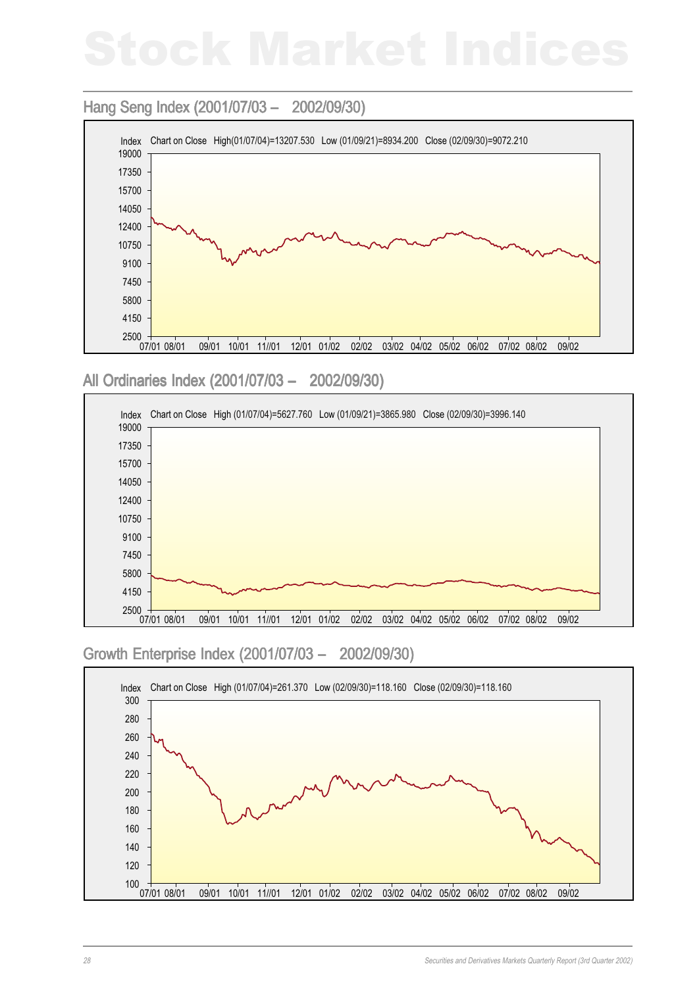### Hang Seng Index (2001/07/03 - 2002/09/30)



All Ordinaries Index (2001/07/03 – 2002/09/30)



### Growth Enterprise Index (2001/07/03 – 2002/09/30)

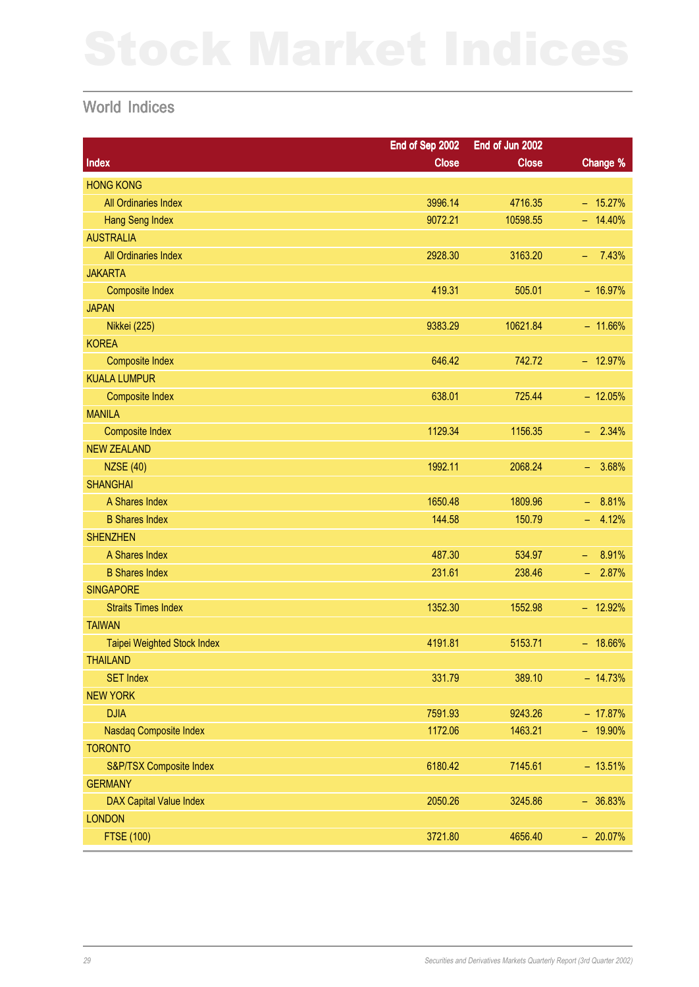### World Indices

|                             | End of Sep 2002 | End of Jun 2002 |                                   |
|-----------------------------|-----------------|-----------------|-----------------------------------|
| Index                       | <b>Close</b>    | <b>Close</b>    | Change %                          |
| <b>HONG KONG</b>            |                 |                 |                                   |
| All Ordinaries Index        | 3996.14         | 4716.35         | $-15.27%$                         |
| <b>Hang Seng Index</b>      | 9072.21         | 10598.55        | $- 14.40%$                        |
| <b>AUSTRALIA</b>            |                 |                 |                                   |
| All Ordinaries Index        | 2928.30         | 3163.20         | 7.43%<br>$\overline{\phantom{m}}$ |
| <b>JAKARTA</b>              |                 |                 |                                   |
| <b>Composite Index</b>      | 419.31          | 505.01          | $-16.97%$                         |
| <b>JAPAN</b>                |                 |                 |                                   |
| <b>Nikkei (225)</b>         | 9383.29         | 10621.84        | $-11.66%$                         |
| <b>KOREA</b>                |                 |                 |                                   |
| <b>Composite Index</b>      | 646.42          | 742.72          | $-12.97%$                         |
| <b>KUALA LUMPUR</b>         |                 |                 |                                   |
| <b>Composite Index</b>      | 638.01          | 725.44          | $-12.05%$                         |
| <b>MANILA</b>               |                 |                 |                                   |
| <b>Composite Index</b>      | 1129.34         | 1156.35         | 2.34%<br>÷.                       |
| <b>NEW ZEALAND</b>          |                 |                 |                                   |
| <b>NZSE (40)</b>            | 1992.11         | 2068.24         | 3.68%<br>н.                       |
| <b>SHANGHAI</b>             |                 |                 |                                   |
| A Shares Index              | 1650.48         | 1809.96         | 8.81%<br>$\equiv$                 |
| <b>B Shares Index</b>       | 144.58          | 150.79          | 4.12%<br>49                       |
| <b>SHENZHEN</b>             |                 |                 |                                   |
| A Shares Index              | 487.30          | 534.97          | 8.91%<br>$\equiv$                 |
| <b>B Shares Index</b>       | 231.61          | 238.46          | 2.87%<br>н.                       |
| <b>SINGAPORE</b>            |                 |                 |                                   |
| <b>Straits Times Index</b>  | 1352.30         | 1552.98         | $-12.92%$                         |
| <b>TAIWAN</b>               |                 |                 |                                   |
| Taipei Weighted Stock Index | 4191.81         | 5153.71         | $- 18.66\%$                       |
| <b>THAILAND</b>             |                 |                 |                                   |
| <b>SET Index</b>            | 331.79          | 389.10          | $-14.73%$                         |
| <b>NEW YORK</b>             |                 |                 |                                   |
| <b>DJIA</b>                 | 7591.93         | 9243.26         | $-17.87%$                         |
| Nasdaq Composite Index      | 1172.06         | 1463.21         | $-19.90\%$                        |
| <b>TORONTO</b>              |                 |                 |                                   |
| S&P/TSX Composite Index     | 6180.42         | 7145.61         | $-13.51%$                         |
| <b>GERMANY</b>              |                 |                 |                                   |
| DAX Capital Value Index     | 2050.26         | 3245.86         | $-36.83%$                         |
| <b>LONDON</b>               |                 |                 |                                   |
| <b>FTSE (100)</b>           | 3721.80         | 4656.40         | $-20.07\%$                        |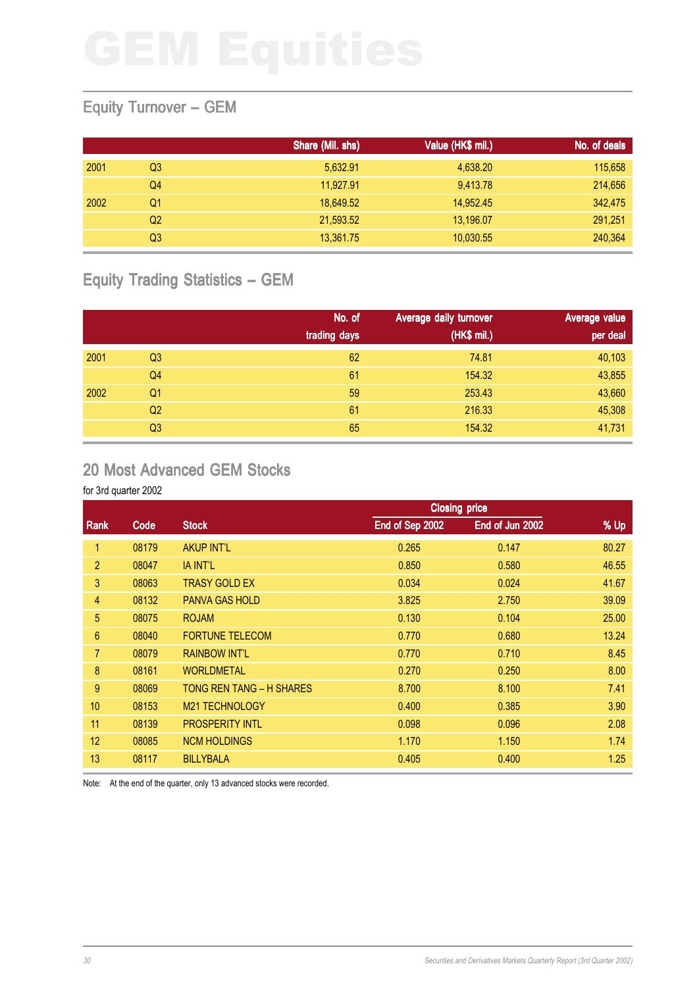### Equity Turnover – GEM

|      |    | Share (Mil. shs) | Value (HK\$ mil.) | No. of deals |
|------|----|------------------|-------------------|--------------|
| 2001 | Q3 | 5,632.91         | 4,638.20          | 115,658      |
|      | Q4 | 11,927.91        | 9,413.78          | 214,656      |
| 2002 | Q1 | 18,649.52        | 14,952.45         | 342,475      |
|      | Q2 | 21,593.52        | 13,196.07         | 291,251      |
|      | Q3 | 13,361.75        | 10,030.55         | 240,364      |

# Equity Trading Statistics – GEM

|      |                | No. of<br>trading days | Average daily turnover<br>(HK\$ mil.) | <b>Average value</b><br>per deal |
|------|----------------|------------------------|---------------------------------------|----------------------------------|
| 2001 | Q <sub>3</sub> | 62                     | 74.81                                 | 40,103                           |
|      | Q <sub>4</sub> | 61                     | 154.32                                | 43,855                           |
| 2002 | Q <sub>1</sub> | 59                     | 253.43                                | 43,660                           |
|      | Q <sub>2</sub> | 61                     | 216.33                                | 45,308                           |
|      | Q <sub>3</sub> | 65                     | 154.32                                | 41,731                           |

## 20 Most Advanced GEM Stocks

### for 3rd quarter 2002

|                |       |                            |                 | <b>Closing price</b> |       |
|----------------|-------|----------------------------|-----------------|----------------------|-------|
| Rank           | Code  | <b>Stock</b>               | End of Sep 2002 | End of Jun 2002      | % Up  |
| 1              | 08179 | <b>AKUP INT'L</b>          | 0.265           | 0.147                | 80.27 |
| $\overline{2}$ | 08047 | <b>IA INT'L</b>            | 0.850           | 0.580                | 46.55 |
| 3              | 08063 | <b>TRASY GOLD EX</b>       | 0.034           | 0.024                | 41.67 |
| 4              | 08132 | <b>PANVA GAS HOLD</b>      | 3.825           | 2.750                | 39.09 |
| 5              | 08075 | <b>ROJAM</b>               | 0.130           | 0.104                | 25.00 |
| $6\phantom{1}$ | 08040 | <b>FORTUNE TELECOM</b>     | 0.770           | 0.680                | 13.24 |
| 7              | 08079 | <b>RAINBOW INT'L</b>       | 0.770           | 0.710                | 8.45  |
| $\bf 8$        | 08161 | <b>WORLDMETAL</b>          | 0.270           | 0.250                | 8.00  |
| 9              | 08069 | TONG REN TANG - H SHARES   | 8.700           | 8.100                | 7.41  |
| 10             | 08153 | M <sub>21</sub> TECHNOLOGY | 0.400           | 0.385                | 3.90  |
| 11             | 08139 | <b>PROSPERITY INTL</b>     | 0.098           | 0.096                | 2.08  |
| 12             | 08085 | <b>NCM HOLDINGS</b>        | 1.170           | 1.150                | 1.74  |
| 13             | 08117 | <b>BILLYBALA</b>           | 0.405           | 0.400                | 1.25  |

Note: At the end of the quarter, only 13 advanced stocks were recorded.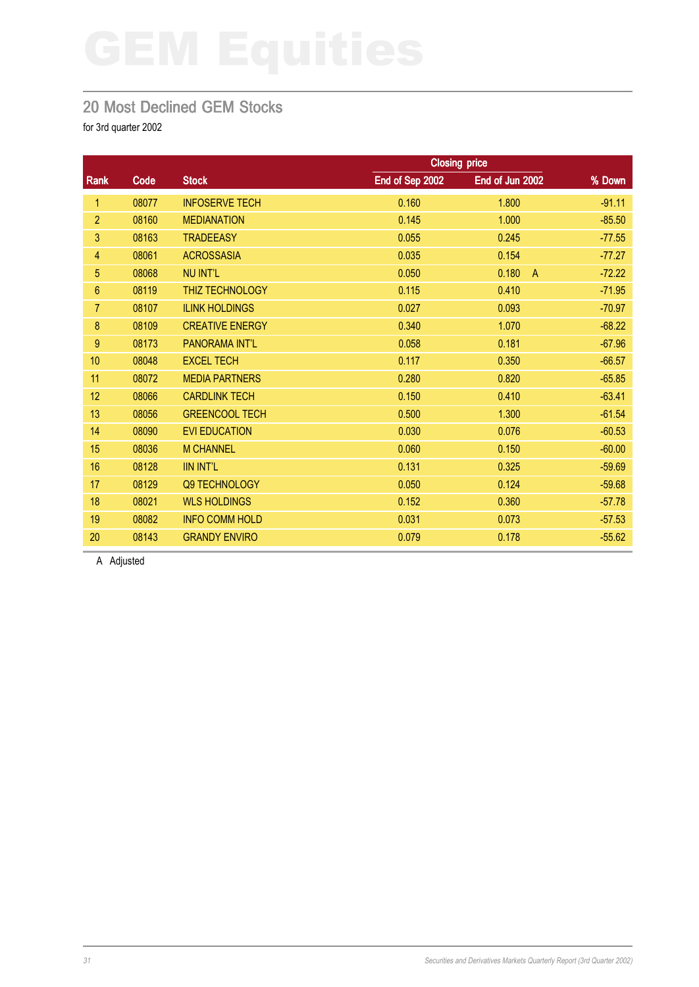### 20 Most Declined GEM Stocks

for 3rd quarter 2002

|                  |       |                        |                 | <b>Closing price</b>    |          |
|------------------|-------|------------------------|-----------------|-------------------------|----------|
| Rank             | Code  | <b>Stock</b>           | End of Sep 2002 | End of Jun 2002         | % Down   |
| 1                | 08077 | <b>INFOSERVE TECH</b>  | 0.160           | 1.800                   | $-91.11$ |
| $\overline{2}$   | 08160 | <b>MEDIANATION</b>     | 0.145           | 1.000                   | $-85.50$ |
| 3                | 08163 | <b>TRADEEASY</b>       | 0.055           | 0.245                   | $-77.55$ |
| 4                | 08061 | <b>ACROSSASIA</b>      | 0.035           | 0.154                   | $-77.27$ |
| 5                | 08068 | <b>NU INT'L</b>        | 0.050           | 0.180<br>$\overline{A}$ | $-72.22$ |
| 6                | 08119 | <b>THIZ TECHNOLOGY</b> | 0.115           | 0.410                   | $-71.95$ |
| 7                | 08107 | <b>ILINK HOLDINGS</b>  | 0.027           | 0.093                   | $-70.97$ |
| 8                | 08109 | <b>CREATIVE ENERGY</b> | 0.340           | 1.070                   | $-68.22$ |
| $\boldsymbol{9}$ | 08173 | PANORAMA INT'L         | 0.058           | 0.181                   | $-67.96$ |
| 10               | 08048 | <b>EXCEL TECH</b>      | 0.117           | 0.350                   | $-66.57$ |
| 11               | 08072 | <b>MEDIA PARTNERS</b>  | 0.280           | 0.820                   | $-65.85$ |
| 12               | 08066 | <b>CARDLINK TECH</b>   | 0.150           | 0.410                   | $-63.41$ |
| 13               | 08056 | <b>GREENCOOL TECH</b>  | 0.500           | 1.300                   | $-61.54$ |
| 14               | 08090 | <b>EVI EDUCATION</b>   | 0.030           | 0.076                   | $-60.53$ |
| 15               | 08036 | <b>M CHANNEL</b>       | 0.060           | 0.150                   | $-60.00$ |
| 16               | 08128 | <b>IIN INT'L</b>       | 0.131           | 0.325                   | $-59.69$ |
| 17               | 08129 | Q9 TECHNOLOGY          | 0.050           | 0.124                   | $-59.68$ |
| 18               | 08021 | <b>WLS HOLDINGS</b>    | 0.152           | 0.360                   | $-57.78$ |
| 19               | 08082 | <b>INFO COMM HOLD</b>  | 0.031           | 0.073                   | $-57.53$ |
| 20               | 08143 | <b>GRANDY ENVIRO</b>   | 0.079           | 0.178                   | $-55.62$ |

A Adjusted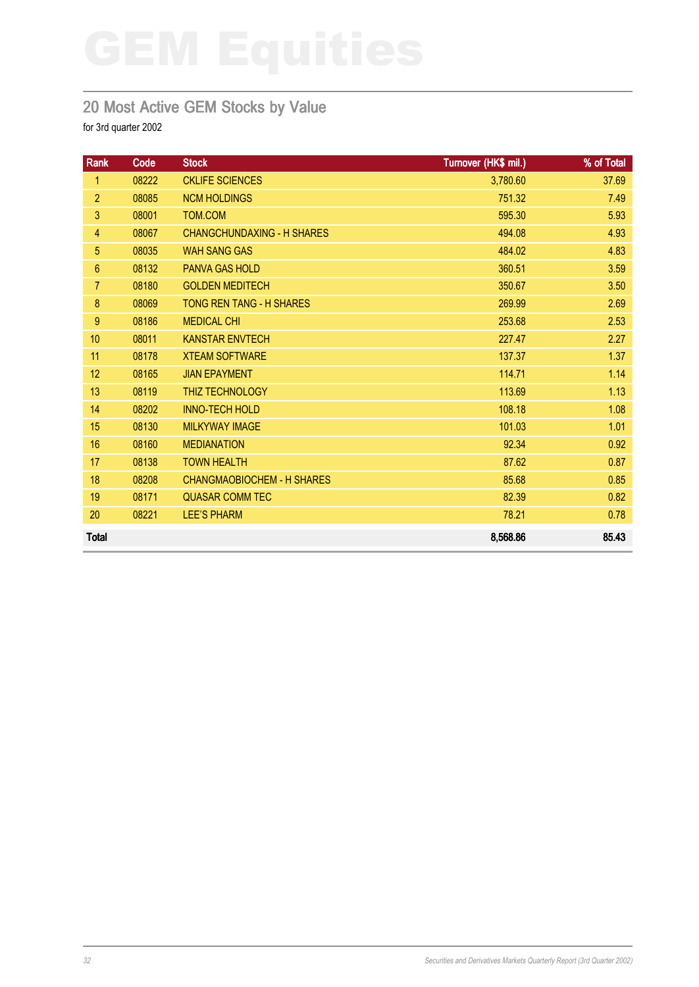# 20 Most Active GEM Stocks by Value

| Rank           | Code  | <b>Stock</b>                      | Turnover (HK\$ mil.) | % of Total |
|----------------|-------|-----------------------------------|----------------------|------------|
| 1              | 08222 | <b>CKLIFE SCIENCES</b>            | 3,780.60             | 37.69      |
| $\overline{2}$ | 08085 | <b>NCM HOLDINGS</b>               | 751.32               | 7.49       |
| 3              | 08001 | TOM.COM                           | 595.30               | 5.93       |
| $\overline{4}$ | 08067 | <b>CHANGCHUNDAXING - H SHARES</b> | 494.08               | 4.93       |
| 5              | 08035 | <b>WAH SANG GAS</b>               | 484.02               | 4.83       |
| $6\phantom{1}$ | 08132 | <b>PANVA GAS HOLD</b>             | 360.51               | 3.59       |
| $\overline{7}$ | 08180 | <b>GOLDEN MEDITECH</b>            | 350.67               | 3.50       |
| 8              | 08069 | <b>TONG REN TANG - H SHARES</b>   | 269.99               | 2.69       |
| 9              | 08186 | <b>MEDICAL CHI</b>                | 253.68               | 2.53       |
| 10             | 08011 | <b>KANSTAR ENVTECH</b>            | 227.47               | 2.27       |
| 11             | 08178 | <b>XTEAM SOFTWARE</b>             | 137.37               | 1.37       |
| 12             | 08165 | <b>JIAN EPAYMENT</b>              | 114.71               | 1.14       |
| 13             | 08119 | <b>THIZ TECHNOLOGY</b>            | 113.69               | 1.13       |
| 14             | 08202 | <b>INNO-TECH HOLD</b>             | 108.18               | 1.08       |
| 15             | 08130 | <b>MILKYWAY IMAGE</b>             | 101.03               | 1.01       |
| 16             | 08160 | <b>MEDIANATION</b>                | 92.34                | 0.92       |
| 17             | 08138 | <b>TOWN HEALTH</b>                | 87.62                | 0.87       |
| 18             | 08208 | <b>CHANGMAOBIOCHEM - H SHARES</b> | 85.68                | 0.85       |
| 19             | 08171 | <b>QUASAR COMM TEC</b>            | 82.39                | 0.82       |
| 20             | 08221 | <b>LEE'S PHARM</b>                | 78.21                | 0.78       |
| <b>Total</b>   |       |                                   | 8,568.86             | 85.43      |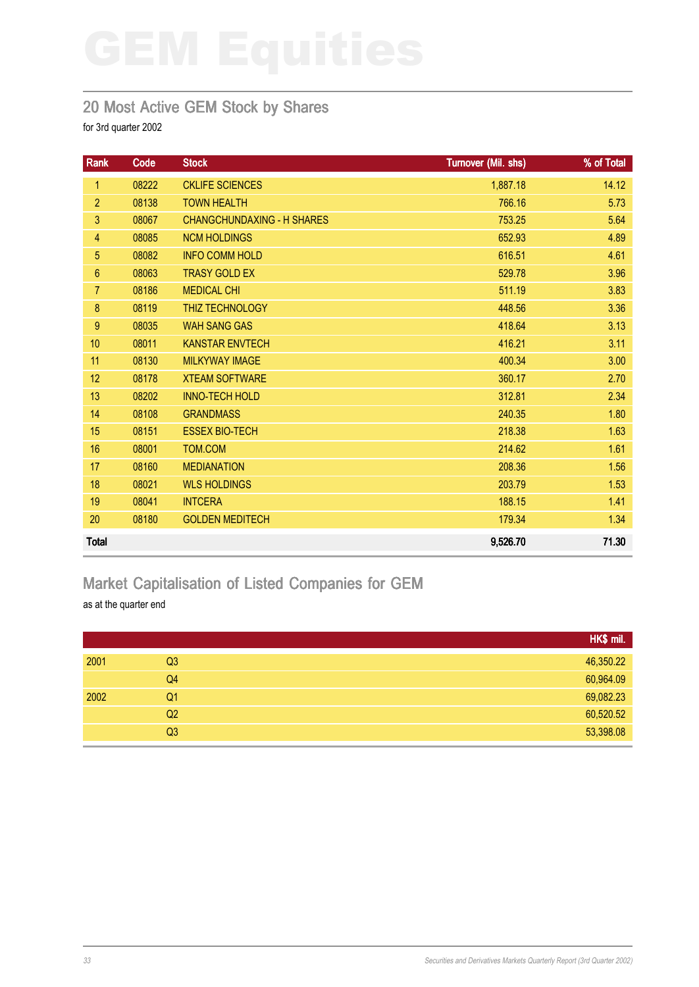### 20 Most Active GEM Stock by Shares

for 3rd quarter 2002

| Rank            | Code  | <b>Stock</b>                      | Turnover (Mil. shs) | % of Total |
|-----------------|-------|-----------------------------------|---------------------|------------|
| 1               | 08222 | <b>CKLIFE SCIENCES</b>            | 1,887.18            | 14.12      |
| $\overline{2}$  | 08138 | <b>TOWN HEALTH</b>                | 766.16              | 5.73       |
| 3               | 08067 | <b>CHANGCHUNDAXING - H SHARES</b> | 753.25              | 5.64       |
| 4               | 08085 | <b>NCM HOLDINGS</b>               | 652.93              | 4.89       |
| 5               | 08082 | <b>INFO COMM HOLD</b>             | 616.51              | 4.61       |
| $6\phantom{.}6$ | 08063 | <b>TRASY GOLD EX</b>              | 529.78              | 3.96       |
| $\overline{7}$  | 08186 | <b>MEDICAL CHI</b>                | 511.19              | 3.83       |
| 8               | 08119 | THIZ TECHNOLOGY                   | 448.56              | 3.36       |
| 9               | 08035 | <b>WAH SANG GAS</b>               | 418.64              | 3.13       |
| 10              | 08011 | <b>KANSTAR ENVTECH</b>            | 416.21              | 3.11       |
| 11              | 08130 | <b>MILKYWAY IMAGE</b>             | 400.34              | 3.00       |
| 12              | 08178 | <b>XTEAM SOFTWARE</b>             | 360.17              | 2.70       |
| 13              | 08202 | <b>INNO-TECH HOLD</b>             | 312.81              | 2.34       |
| 14              | 08108 | <b>GRANDMASS</b>                  | 240.35              | 1.80       |
| 15              | 08151 | <b>ESSEX BIO-TECH</b>             | 218.38              | 1.63       |
| 16              | 08001 | TOM.COM                           | 214.62              | 1.61       |
| 17              | 08160 | <b>MEDIANATION</b>                | 208.36              | 1.56       |
| 18              | 08021 | <b>WLS HOLDINGS</b>               | 203.79              | 1.53       |
| 19              | 08041 | <b>INTCERA</b>                    | 188.15              | 1.41       |
| 20              | 08180 | <b>GOLDEN MEDITECH</b>            | 179.34              | 1.34       |
| <b>Total</b>    |       |                                   | 9,526.70            | 71.30      |

# Market Capitalisation of Listed Companies for GEM

as at the quarter end

|      |                | HK\$ mil. |
|------|----------------|-----------|
| 2001 | Q <sub>3</sub> | 46,350.22 |
|      | Q4             | 60,964.09 |
| 2002 | Q <sub>1</sub> | 69,082.23 |
|      | Q2             | 60,520.52 |
|      | Q3             | 53,398.08 |
|      |                |           |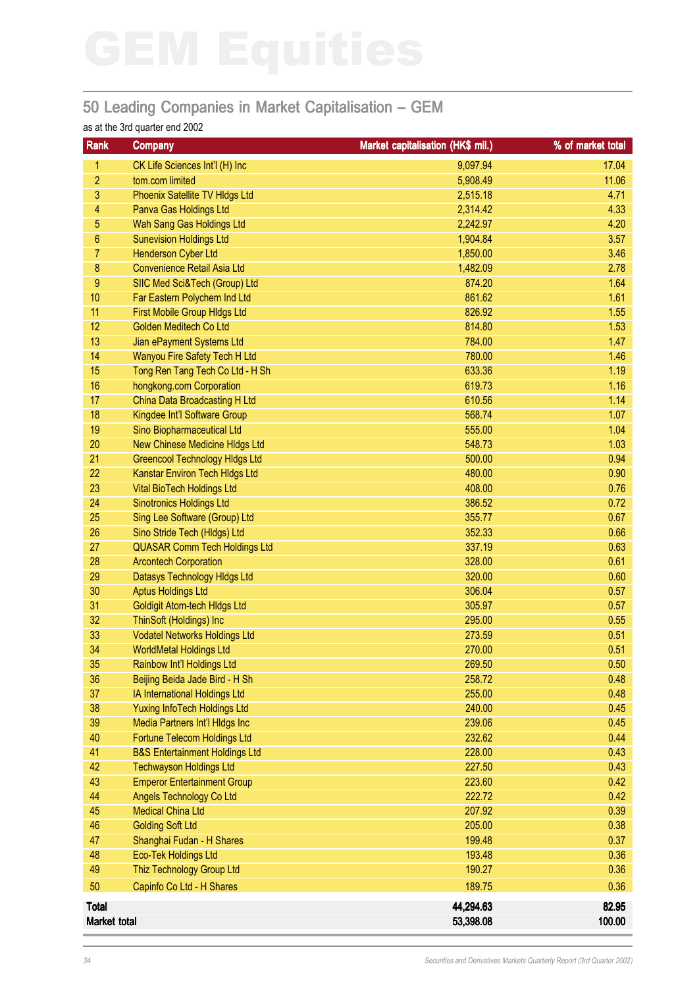# 50 Leading Companies in Market Capitalisation – GEM

### as at the 3rd quarter end 2002

| Rank           | <b>Company</b>                            | Market capitalisation (HK\$ mil.) | % of market total |
|----------------|-------------------------------------------|-----------------------------------|-------------------|
| 1.             | CK Life Sciences Int'l (H) Inc            | 9,097.94                          | 17.04             |
| $\overline{c}$ | tom.com limited                           | 5,908.49                          | 11.06             |
| 3              | Phoenix Satellite TV HIdgs Ltd            | 2,515.18                          | 4.71              |
| 4              | Panva Gas Holdings Ltd                    | 2,314.42                          | 4.33              |
| 5              | Wah Sang Gas Holdings Ltd                 | 2,242.97                          | 4.20              |
| 6              | <b>Sunevision Holdings Ltd</b>            | 1,904.84                          | 3.57              |
| $\overline{7}$ | <b>Henderson Cyber Ltd</b>                | 1,850.00                          | 3.46              |
| $\bf 8$        | <b>Convenience Retail Asia Ltd</b>        | 1,482.09                          | 2.78              |
| $9\,$          | SIIC Med Sci&Tech (Group) Ltd             | 874.20                            | 1.64              |
| 10             | Far Eastern Polychem Ind Ltd              | 861.62                            | 1.61              |
| 11             | <b>First Mobile Group HIdgs Ltd</b>       | 826.92                            | 1.55              |
| 12             | Golden Meditech Co Ltd                    | 814.80                            | 1.53              |
| 13             | Jian ePayment Systems Ltd                 | 784.00                            | 1.47              |
| 14             | Wanyou Fire Safety Tech H Ltd             | 780.00                            | 1.46              |
| 15             | Tong Ren Tang Tech Co Ltd - H Sh          | 633.36                            | 1.19              |
| 16             | hongkong.com Corporation                  | 619.73                            | 1.16              |
| 17             | China Data Broadcasting H Ltd             | 610.56                            | 1.14              |
| 18             | Kingdee Int'l Software Group              | 568.74                            | 1.07              |
| 19             | Sino Biopharmaceutical Ltd                | 555.00                            | 1.04              |
| 20             | New Chinese Medicine HIdgs Ltd            | 548.73                            | 1.03              |
| 21             | <b>Greencool Technology Hidgs Ltd</b>     | 500.00                            | 0.94              |
| 22             | Kanstar Environ Tech Hldgs Ltd            | 480.00                            | 0.90              |
| 23             | <b>Vital BioTech Holdings Ltd</b>         | 408.00                            | 0.76              |
| 24             | <b>Sinotronics Holdings Ltd</b>           | 386.52                            | 0.72              |
| 25             | Sing Lee Software (Group) Ltd             | 355.77                            | 0.67              |
| 26             | Sino Stride Tech (Hldgs) Ltd              | 352.33                            | 0.66              |
| 27             | <b>QUASAR Comm Tech Holdings Ltd</b>      | 337.19                            | 0.63              |
| 28             | <b>Arcontech Corporation</b>              | 328.00                            | 0.61              |
| 29             | Datasys Technology Hidgs Ltd              | 320.00                            | 0.60              |
| 30             | <b>Aptus Holdings Ltd</b>                 | 306.04                            | 0.57              |
| 31             | <b>Goldigit Atom-tech HIdgs Ltd</b>       | 305.97                            | 0.57              |
| 32             | ThinSoft (Holdings) Inc                   | 295.00                            | 0.55              |
| 33             | <b>Vodatel Networks Holdings Ltd</b>      | 273.59                            | 0.51              |
| 34             | <b>WorldMetal Holdings Ltd</b>            | 270.00                            | 0.51              |
| 35             | Rainbow Int'l Holdings Ltd                | 269.50                            | 0.50              |
| 36             | Beijing Beida Jade Bird - H Sh            | 258.72                            | 0.48              |
| 37             | IA International Holdings Ltd             | 255.00                            | 0.48              |
| 38             | <b>Yuxing InfoTech Holdings Ltd</b>       | 240.00                            | 0.45              |
| 39             | Media Partners Int'l HIdgs Inc            | 239.06                            | 0.45              |
| 40             | Fortune Telecom Holdings Ltd              | 232.62                            | 0.44              |
| 41             | <b>B&amp;S Entertainment Holdings Ltd</b> | 228.00                            | 0.43              |
| 42             | <b>Techwayson Holdings Ltd</b>            | 227.50                            | 0.43              |
| 43             | <b>Emperor Entertainment Group</b>        | 223.60                            | 0.42              |
| 44             | Angels Technology Co Ltd                  | 222.72                            | 0.42              |
| 45             | <b>Medical China Ltd</b>                  | 207.92                            | 0.39              |
| 46             | <b>Golding Soft Ltd</b>                   | 205.00                            | 0.38              |
| 47             | Shanghai Fudan - H Shares                 | 199.48                            | 0.37              |
| 48             | Eco-Tek Holdings Ltd                      | 193.48                            | 0.36              |
| 49             | Thiz Technology Group Ltd                 | 190.27                            | 0.36              |
| 50             | Capinfo Co Ltd - H Shares                 | 189.75                            | 0.36              |
|                |                                           |                                   |                   |
| <b>Total</b>   |                                           | 44,294.63                         | 82.95             |
| Market total   |                                           | 53,398.08                         | 100.00            |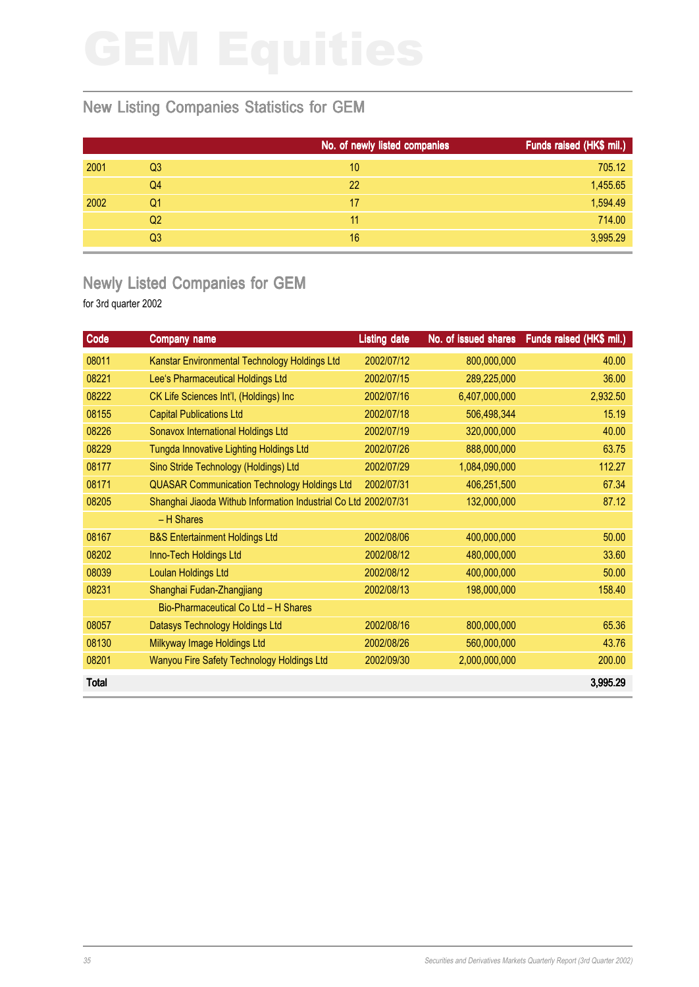## New Listing Companies Statistics for GEM

|      |    | No. of newly listed companies | Funds raised (HK\$ mil.) |
|------|----|-------------------------------|--------------------------|
| 2001 | Q3 | 10                            | 705.12                   |
|      | Q4 | 22                            | 1,455.65                 |
| 2002 | Q1 | 17                            | 1,594.49                 |
|      | Q2 | 11                            | 714.00                   |
|      | Q3 | 16                            | 3,995.29                 |

## Newly Listed Companies for GEM

| Code         | <b>Company name</b>                                             | <b>Listing date</b> | No. of issued shares | Funds raised (HK\$ mil.) |
|--------------|-----------------------------------------------------------------|---------------------|----------------------|--------------------------|
| 08011        | Kanstar Environmental Technology Holdings Ltd                   | 2002/07/12          | 800,000,000          | 40.00                    |
| 08221        | Lee's Pharmaceutical Holdings Ltd                               | 2002/07/15          | 289,225,000          | 36.00                    |
| 08222        | CK Life Sciences Int'l, (Holdings) Inc                          | 2002/07/16          | 6,407,000,000        | 2,932.50                 |
| 08155        | <b>Capital Publications Ltd</b>                                 | 2002/07/18          | 506,498,344          | 15.19                    |
| 08226        | Sonavox International Holdings Ltd                              | 2002/07/19          | 320,000,000          | 40.00                    |
| 08229        | Tungda Innovative Lighting Holdings Ltd                         | 2002/07/26          | 888,000,000          | 63.75                    |
| 08177        | Sino Stride Technology (Holdings) Ltd                           | 2002/07/29          | 1,084,090,000        | 112.27                   |
| 08171        | <b>QUASAR Communication Technology Holdings Ltd</b>             | 2002/07/31          | 406,251,500          | 67.34                    |
| 08205        | Shanghai Jiaoda Withub Information Industrial Co Ltd 2002/07/31 |                     | 132,000,000          | 87.12                    |
|              | - H Shares                                                      |                     |                      |                          |
| 08167        | <b>B&amp;S Entertainment Holdings Ltd</b>                       | 2002/08/06          | 400,000,000          | 50.00                    |
| 08202        | Inno-Tech Holdings Ltd                                          | 2002/08/12          | 480,000,000          | 33.60                    |
| 08039        | <b>Loulan Holdings Ltd</b>                                      | 2002/08/12          | 400,000,000          | 50.00                    |
| 08231        | Shanghai Fudan-Zhangjiang                                       | 2002/08/13          | 198,000,000          | 158.40                   |
|              | Bio-Pharmaceutical Co Ltd - H Shares                            |                     |                      |                          |
| 08057        | Datasys Technology Holdings Ltd                                 | 2002/08/16          | 800,000,000          | 65.36                    |
| 08130        | Milkyway Image Holdings Ltd                                     | 2002/08/26          | 560,000,000          | 43.76                    |
| 08201        | Wanyou Fire Safety Technology Holdings Ltd                      | 2002/09/30          | 2,000,000,000        | 200.00                   |
| <b>Total</b> |                                                                 |                     |                      | 3,995.29                 |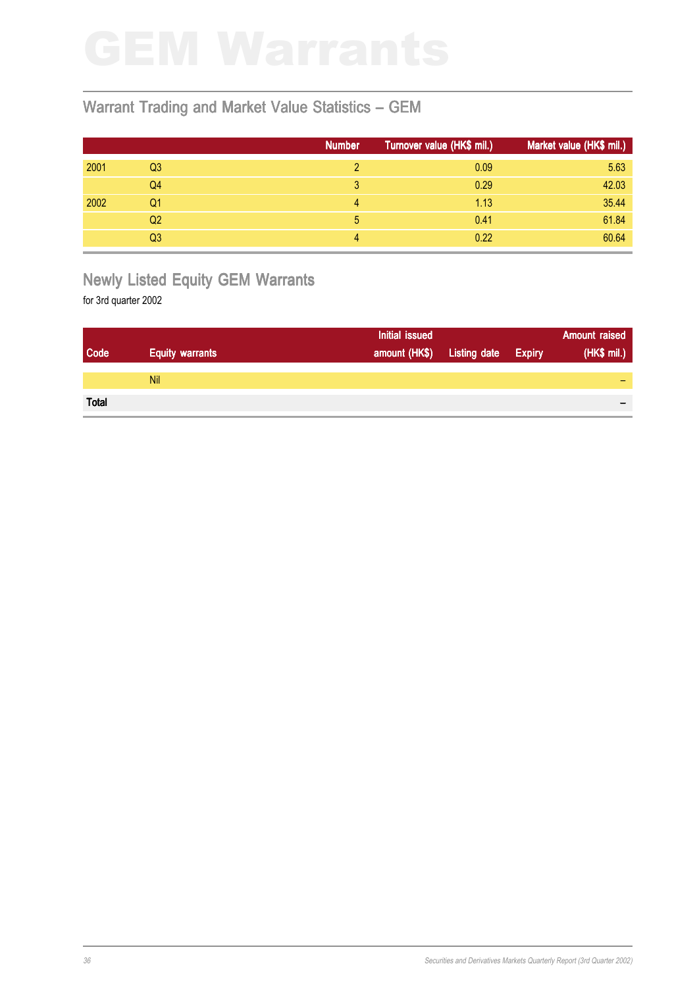## Warrant Trading and Market Value Statistics – GEM

|      |    | <b>Number</b> | Turnover value (HK\$ mil.) | Market value (HK\$ mil.) |
|------|----|---------------|----------------------------|--------------------------|
| 2001 | Q3 |               | 0.09                       | 5.63                     |
|      | Q4 | 3             | 0.29                       | 42.03                    |
| 2002 | Q1 | 4             | 1.13                       | 35.44                    |
|      | Q2 | 5             | 0.41                       | 61.84                    |
|      | Q3 | 4             | 0.22                       | 60.64                    |

# Newly Listed Equity GEM Warrants

|              |                        | Initial issued |                     |               | <b>Amount raised</b> |
|--------------|------------------------|----------------|---------------------|---------------|----------------------|
| Code         | <b>Equity warrants</b> | amount (HK\$)  | <b>Listing date</b> | <b>Expiry</b> | (HK\$ mil.)          |
|              |                        |                |                     |               |                      |
|              | <b>Nil</b>             |                |                     |               |                      |
|              |                        |                |                     |               |                      |
| <b>Total</b> |                        |                |                     |               | $\,$                 |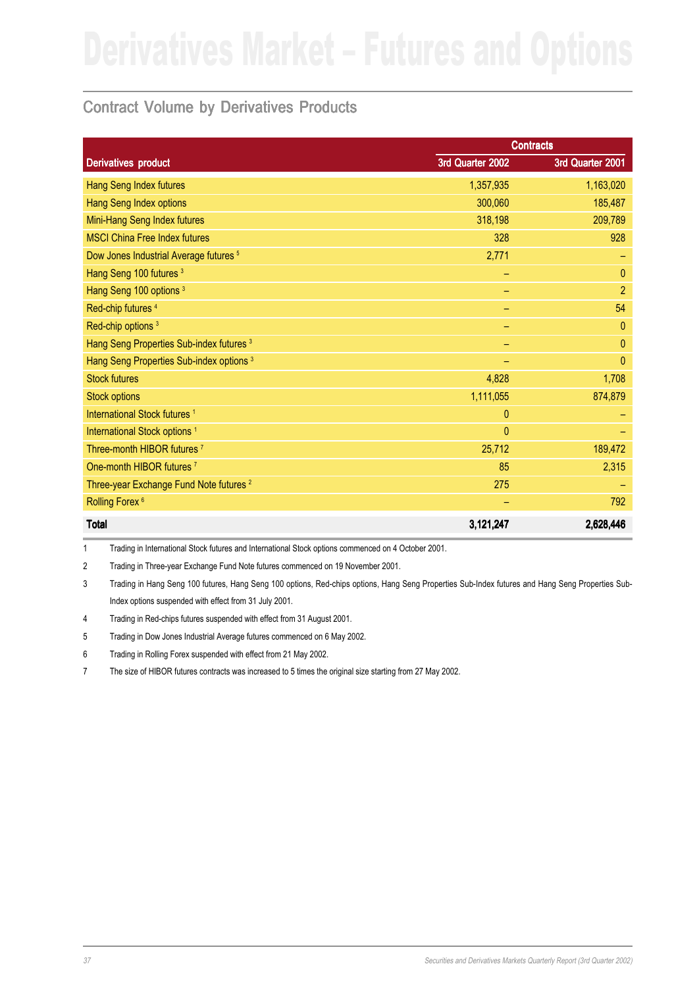### Contract Volume by Derivatives Products

|                                                     |                  | <b>Contracts</b> |
|-----------------------------------------------------|------------------|------------------|
| <b>Derivatives product</b>                          | 3rd Quarter 2002 | 3rd Quarter 2001 |
| Hang Seng Index futures                             | 1,357,935        | 1,163,020        |
| Hang Seng Index options                             | 300,060          | 185,487          |
| Mini-Hang Seng Index futures                        | 318,198          | 209,789          |
| <b>MSCI China Free Index futures</b>                | 328              | 928              |
| Dow Jones Industrial Average futures <sup>5</sup>   | 2,771            |                  |
| Hang Seng 100 futures <sup>3</sup>                  |                  | $\theta$         |
| Hang Seng 100 options <sup>3</sup>                  | ۳                | $\overline{2}$   |
| Red-chip futures <sup>4</sup>                       | -                | 54               |
| Red-chip options <sup>3</sup>                       | -                | $\mathbf{0}$     |
| Hang Seng Properties Sub-index futures 3            |                  | $\theta$         |
| Hang Seng Properties Sub-index options <sup>3</sup> |                  | $\Omega$         |
| <b>Stock futures</b>                                | 4,828            | 1,708            |
| <b>Stock options</b>                                | 1,111,055        | 874,879          |
| International Stock futures <sup>1</sup>            | $\mathbf{0}$     |                  |
| International Stock options <sup>1</sup>            | $\mathbf{0}$     |                  |
| Three-month HIBOR futures <sup>7</sup>              | 25,712           | 189,472          |
| One-month HIBOR futures <sup>7</sup>                | 85               | 2,315            |
| Three-year Exchange Fund Note futures <sup>2</sup>  | 275              |                  |
| Rolling Forex <sup>6</sup>                          |                  | 792              |
| <b>Total</b>                                        | 3,121,247        | 2,628,446        |

1 Trading in International Stock futures and International Stock options commenced on 4 October 2001.

2 Trading in Three-year Exchange Fund Note futures commenced on 19 November 2001.

3 Trading in Hang Seng 100 futures, Hang Seng 100 options, Red-chips options, Hang Seng Properties Sub-Index futures and Hang Seng Properties Sub-Index options suspended with effect from 31 July 2001.

4 Trading in Red-chips futures suspended with effect from 31 August 2001.

5 Trading in Dow Jones Industrial Average futures commenced on 6 May 2002.

6 Trading in Rolling Forex suspended with effect from 21 May 2002.

7 The size of HIBOR futures contracts was increased to 5 times the original size starting from 27 May 2002.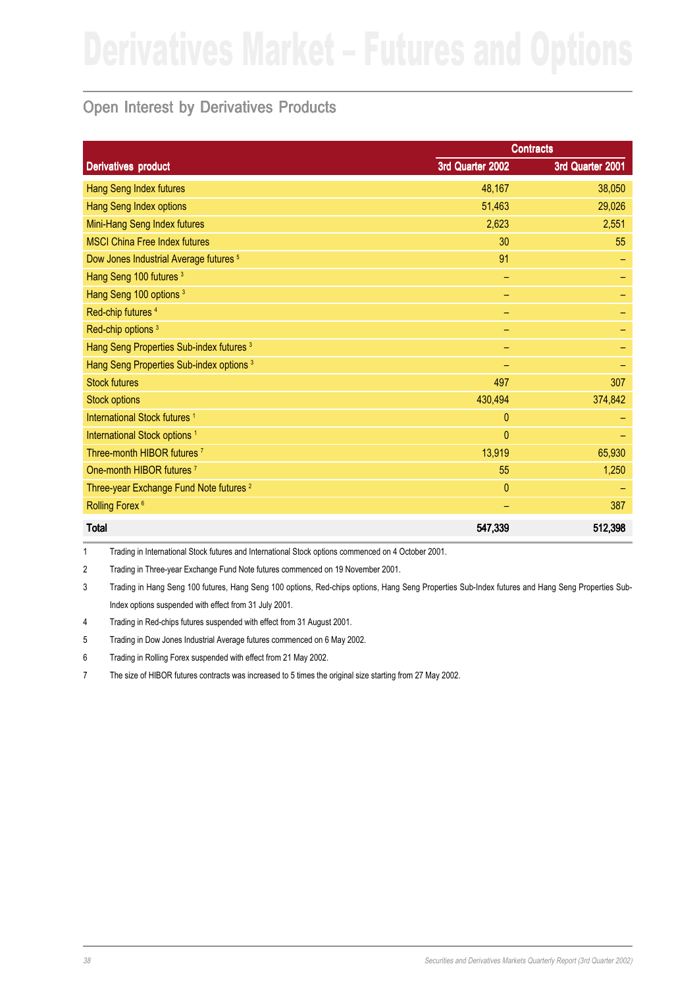## Open Interest by Derivatives Products

|                                                     |                  | <b>Contracts</b> |
|-----------------------------------------------------|------------------|------------------|
| <b>Derivatives product</b>                          | 3rd Quarter 2002 | 3rd Quarter 2001 |
| Hang Seng Index futures                             | 48,167           | 38,050           |
| Hang Seng Index options                             | 51,463           | 29,026           |
| Mini-Hang Seng Index futures                        | 2,623            | 2,551            |
| <b>MSCI China Free Index futures</b>                | 30               | 55               |
| Dow Jones Industrial Average futures <sup>5</sup>   | 91               |                  |
| Hang Seng 100 futures <sup>3</sup>                  | -                |                  |
| Hang Seng 100 options <sup>3</sup>                  | -                |                  |
| Red-chip futures <sup>4</sup>                       |                  |                  |
| Red-chip options <sup>3</sup>                       |                  |                  |
| Hang Seng Properties Sub-index futures <sup>3</sup> |                  |                  |
| Hang Seng Properties Sub-index options <sup>3</sup> |                  |                  |
| <b>Stock futures</b>                                | 497              | 307              |
| <b>Stock options</b>                                | 430,494          | 374,842          |
| International Stock futures <sup>1</sup>            | $\mathbf{0}$     |                  |
| International Stock options <sup>1</sup>            | $\mathbf{0}$     |                  |
| Three-month HIBOR futures <sup>7</sup>              | 13,919           | 65,930           |
| One-month HIBOR futures <sup>7</sup>                | 55               | 1,250            |
| Three-year Exchange Fund Note futures <sup>2</sup>  | $\mathbf{0}$     |                  |
| Rolling Forex <sup>6</sup>                          |                  | 387              |
| <b>Total</b>                                        | 547,339          | 512,398          |

1 Trading in International Stock futures and International Stock options commenced on 4 October 2001.

2 Trading in Three-year Exchange Fund Note futures commenced on 19 November 2001.

3 Trading in Hang Seng 100 futures, Hang Seng 100 options, Red-chips options, Hang Seng Properties Sub-Index futures and Hang Seng Properties Sub-Index options suspended with effect from 31 July 2001.

4 Trading in Red-chips futures suspended with effect from 31 August 2001.

5 Trading in Dow Jones Industrial Average futures commenced on 6 May 2002.

6 Trading in Rolling Forex suspended with effect from 21 May 2002.

7 The size of HIBOR futures contracts was increased to 5 times the original size starting from 27 May 2002.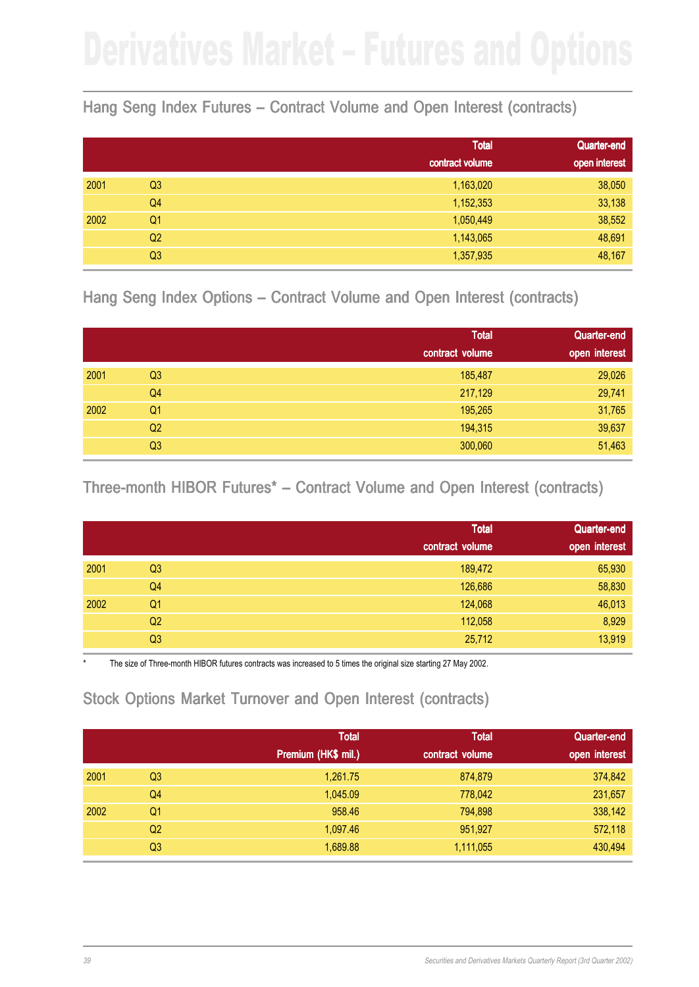### Hang Seng Index Futures – Contract Volume and Open Interest (contracts)

|      |                | <b>Total</b>    | <b>Quarter-end</b> |
|------|----------------|-----------------|--------------------|
|      |                | contract volume | open interest      |
| 2001 | Q <sub>3</sub> | 1,163,020       | 38,050             |
|      | Q4             | 1,152,353       | 33,138             |
| 2002 | Q <sub>1</sub> | 1,050,449       | 38,552             |
|      | Q <sub>2</sub> | 1,143,065       | 48,691             |
|      | Q3             | 1,357,935       | 48,167             |

Hang Seng Index Options – Contract Volume and Open Interest (contracts)

|      |                | <b>Total</b>    | Quarter-end   |
|------|----------------|-----------------|---------------|
|      |                | contract volume | open interest |
| 2001 | Q <sub>3</sub> | 185,487         | 29,026        |
|      | Q4             | 217,129         | 29,741        |
| 2002 | Q <sub>1</sub> | 195,265         | 31,765        |
|      | Q <sub>2</sub> | 194,315         | 39,637        |
|      | Q3             | 300,060         | 51,463        |

Three-month HIBOR Futures<sup>\*</sup> – Contract Volume and Open Interest (contracts)

|      |                | <b>Total</b>    | Quarter-end   |
|------|----------------|-----------------|---------------|
|      |                | contract volume | open interest |
| 2001 | Q <sub>3</sub> | 189,472         | 65,930        |
|      | Q <sub>4</sub> | 126,686         | 58,830        |
| 2002 | Q <sub>1</sub> | 124,068         | 46,013        |
|      | Q <sub>2</sub> | 112,058         | 8,929         |
|      | Q <sub>3</sub> | 25,712          | 13,919        |

The size of Three-month HIBOR futures contracts was increased to 5 times the original size starting 27 May 2002.

## Stock Options Market Turnover and Open Interest (contracts)

|      |                | <b>Total</b>        | <b>Total</b>    | Quarter-end   |
|------|----------------|---------------------|-----------------|---------------|
|      |                | Premium (HK\$ mil.) | contract volume | open interest |
| 2001 | Q <sub>3</sub> | 1,261.75            | 874,879         | 374,842       |
|      | Q4             | 1.045.09            | 778,042         | 231,657       |
| 2002 | Q1             | 958.46              | 794,898         | 338,142       |
|      | Q <sub>2</sub> | 1,097.46            | 951,927         | 572,118       |
|      | Q <sub>3</sub> | 1,689.88            | 1,111,055       | 430,494       |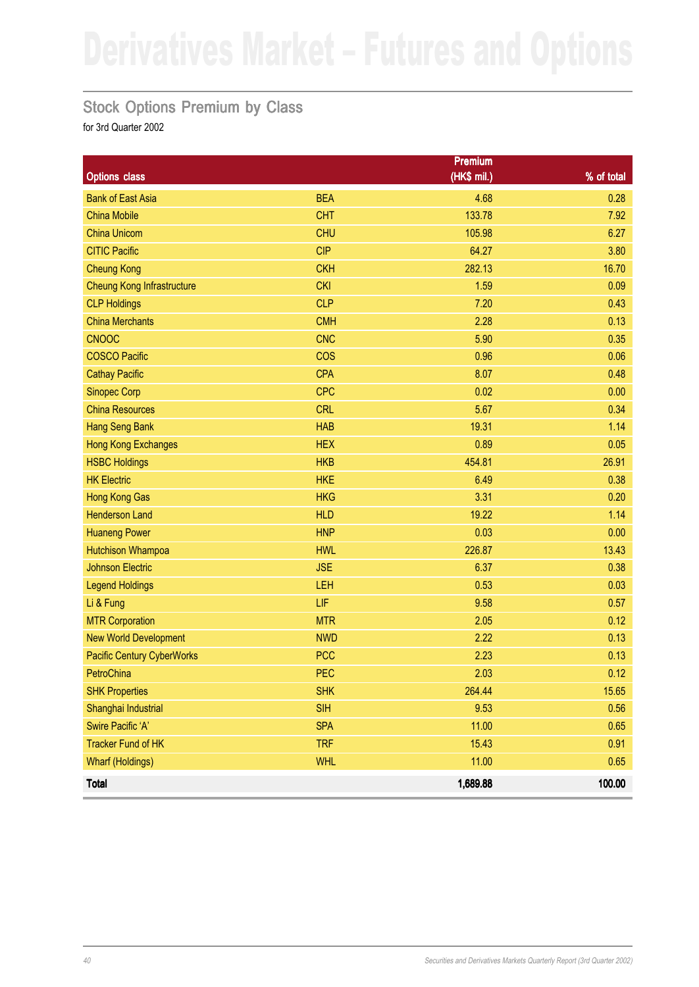### Stock Options Premium by Class

|                                   |            | <b>Premium</b> |            |
|-----------------------------------|------------|----------------|------------|
| <b>Options class</b>              |            | (HK\$ mil.)    | % of total |
| <b>Bank of East Asia</b>          | <b>BEA</b> | 4.68           | 0.28       |
| <b>China Mobile</b>               | <b>CHT</b> | 133.78         | 7.92       |
| <b>China Unicom</b>               | <b>CHU</b> | 105.98         | 6.27       |
| <b>CITIC Pacific</b>              | <b>CIP</b> | 64.27          | 3.80       |
| <b>Cheung Kong</b>                | <b>CKH</b> | 282.13         | 16.70      |
| <b>Cheung Kong Infrastructure</b> | <b>CKI</b> | 1.59           | 0.09       |
| <b>CLP Holdings</b>               | <b>CLP</b> | 7.20           | 0.43       |
| <b>China Merchants</b>            | <b>CMH</b> | 2.28           | 0.13       |
| <b>CNOOC</b>                      | <b>CNC</b> | 5.90           | 0.35       |
| <b>COSCO Pacific</b>              | <b>COS</b> | 0.96           | 0.06       |
| <b>Cathay Pacific</b>             | <b>CPA</b> | 8.07           | 0.48       |
| <b>Sinopec Corp</b>               | <b>CPC</b> | 0.02           | 0.00       |
| <b>China Resources</b>            | <b>CRL</b> | 5.67           | 0.34       |
| <b>Hang Seng Bank</b>             | <b>HAB</b> | 19.31          | 1.14       |
| Hong Kong Exchanges               | <b>HEX</b> | 0.89           | 0.05       |
| <b>HSBC Holdings</b>              | <b>HKB</b> | 454.81         | 26.91      |
| <b>HK Electric</b>                | <b>HKE</b> | 6.49           | 0.38       |
| <b>Hong Kong Gas</b>              | <b>HKG</b> | 3.31           | 0.20       |
| <b>Henderson Land</b>             | <b>HLD</b> | 19.22          | 1.14       |
| <b>Huaneng Power</b>              | <b>HNP</b> | 0.03           | 0.00       |
| <b>Hutchison Whampoa</b>          | <b>HWL</b> | 226.87         | 13.43      |
| <b>Johnson Electric</b>           | <b>JSE</b> | 6.37           | 0.38       |
| <b>Legend Holdings</b>            | LEH        | 0.53           | 0.03       |
| Li & Fung                         | LIF        | 9.58           | 0.57       |
| <b>MTR Corporation</b>            | <b>MTR</b> | 2.05           | 0.12       |
| <b>New World Development</b>      | <b>NWD</b> | 2.22           | 0.13       |
| <b>Pacific Century CyberWorks</b> | <b>PCC</b> | 2.23           | 0.13       |
| PetroChina                        | <b>PEC</b> | 2.03           | 0.12       |
| <b>SHK Properties</b>             | <b>SHK</b> | 264.44         | 15.65      |
| Shanghai Industrial               | <b>SIH</b> | 9.53           | 0.56       |
| Swire Pacific 'A'                 | <b>SPA</b> | 11.00          | 0.65       |
| <b>Tracker Fund of HK</b>         | <b>TRF</b> | 15.43          | 0.91       |
| <b>Wharf (Holdings)</b>           | <b>WHL</b> | 11.00          | 0.65       |
| <b>Total</b>                      |            | 1,689.88       | 100.00     |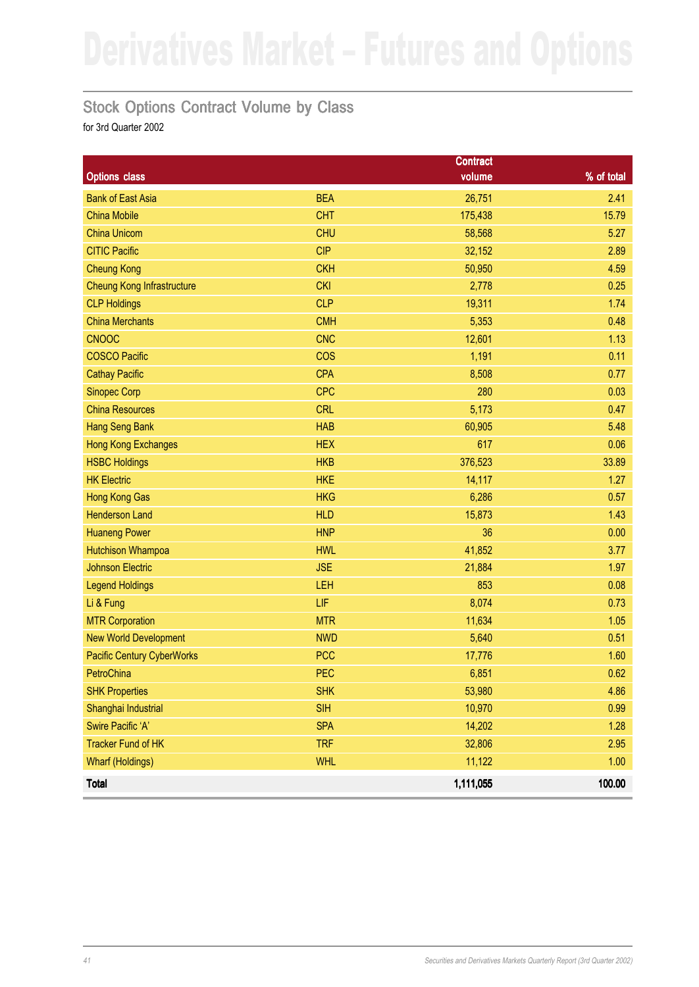### Stock Options Contract Volume by Class

|                                   |            | <b>Contract</b> |            |
|-----------------------------------|------------|-----------------|------------|
| <b>Options class</b>              |            | volume          | % of total |
| <b>Bank of East Asia</b>          | <b>BEA</b> | 26,751          | 2.41       |
| <b>China Mobile</b>               | <b>CHT</b> | 175,438         | 15.79      |
| <b>China Unicom</b>               | <b>CHU</b> | 58,568          | 5.27       |
| <b>CITIC Pacific</b>              | <b>CIP</b> | 32,152          | 2.89       |
| <b>Cheung Kong</b>                | <b>CKH</b> | 50,950          | 4.59       |
| <b>Cheung Kong Infrastructure</b> | <b>CKI</b> | 2,778           | 0.25       |
| <b>CLP Holdings</b>               | <b>CLP</b> | 19,311          | 1.74       |
| <b>China Merchants</b>            | <b>CMH</b> | 5,353           | 0.48       |
| <b>CNOOC</b>                      | <b>CNC</b> | 12,601          | 1.13       |
| <b>COSCO Pacific</b>              | cos        | 1,191           | 0.11       |
| <b>Cathay Pacific</b>             | <b>CPA</b> | 8,508           | 0.77       |
| <b>Sinopec Corp</b>               | <b>CPC</b> | 280             | 0.03       |
| <b>China Resources</b>            | <b>CRL</b> | 5,173           | 0.47       |
| <b>Hang Seng Bank</b>             | <b>HAB</b> | 60,905          | 5.48       |
| <b>Hong Kong Exchanges</b>        | <b>HEX</b> | 617             | 0.06       |
| <b>HSBC Holdings</b>              | <b>HKB</b> | 376,523         | 33.89      |
| <b>HK Electric</b>                | <b>HKE</b> | 14,117          | 1.27       |
| <b>Hong Kong Gas</b>              | <b>HKG</b> | 6,286           | 0.57       |
| <b>Henderson Land</b>             | <b>HLD</b> | 15,873          | 1.43       |
| <b>Huaneng Power</b>              | <b>HNP</b> | 36              | 0.00       |
| <b>Hutchison Whampoa</b>          | <b>HWL</b> | 41,852          | 3.77       |
| <b>Johnson Electric</b>           | <b>JSE</b> | 21,884          | 1.97       |
| <b>Legend Holdings</b>            | LEH        | 853             | 0.08       |
| Li & Fung                         | LIF        | 8,074           | 0.73       |
| <b>MTR Corporation</b>            | <b>MTR</b> | 11,634          | 1.05       |
| <b>New World Development</b>      | <b>NWD</b> | 5,640           | 0.51       |
| <b>Pacific Century CyberWorks</b> | <b>PCC</b> | 17,776          | 1.60       |
| PetroChina                        | <b>PEC</b> | 6,851           | 0.62       |
| <b>SHK Properties</b>             | <b>SHK</b> | 53,980          | 4.86       |
| Shanghai Industrial               | <b>SIH</b> | 10,970          | 0.99       |
| Swire Pacific 'A'                 | <b>SPA</b> | 14,202          | 1.28       |
| <b>Tracker Fund of HK</b>         | <b>TRF</b> | 32,806          | 2.95       |
| <b>Wharf (Holdings)</b>           | <b>WHL</b> | 11,122          | 1.00       |
| <b>Total</b>                      |            | 1,111,055       | 100.00     |